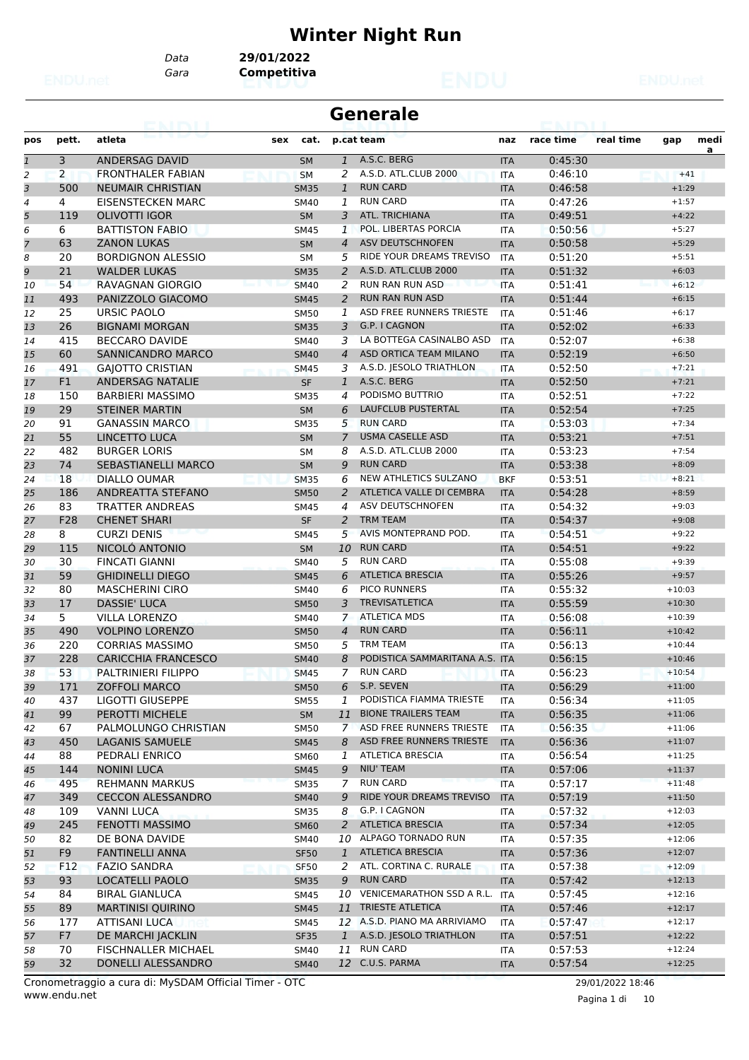# **Winter Night Run**

*Gara* **Competitiva** *Data* **29/01/2022**

| ealm           |                |                            |     |             |                | <b>Generale</b>                |            |           |           |          |      |
|----------------|----------------|----------------------------|-----|-------------|----------------|--------------------------------|------------|-----------|-----------|----------|------|
| pos            | pett.          | atleta                     | sex | cat.        |                | p.cat team                     | naz        | race time | real time | gap      | medi |
| $\mathbf{1}$   | 3              | ANDERSAG DAVID             |     | <b>SM</b>   |                | 1 A.S.C. BERG                  | <b>ITA</b> | 0:45:30   |           |          | a    |
| 2              | $\overline{2}$ | <b>FRONTHALER FABIAN</b>   |     | <b>SM</b>   | 2              | A.S.D. ATL.CLUB 2000           | <b>ITA</b> | 0:46:10   |           | $+41$    |      |
| 3              | 500            | <b>NEUMAIR CHRISTIAN</b>   |     | <b>SM35</b> | 1              | <b>RUN CARD</b>                | <b>ITA</b> | 0:46:58   |           | $+1:29$  |      |
| $\overline{4}$ | 4              | EISENSTECKEN MARC          |     | <b>SM40</b> | 1              | <b>RUN CARD</b>                | <b>ITA</b> | 0:47:26   |           | $+1:57$  |      |
| 5              | 119            | <b>OLIVOTTI IGOR</b>       |     | <b>SM</b>   | 3              | <b>ATL. TRICHIANA</b>          | <b>ITA</b> | 0:49:51   |           | $+4:22$  |      |
| 6              | 6              | <b>BATTISTON FABIO</b>     |     | <b>SM45</b> | 1              | POL. LIBERTAS PORCIA           | <b>ITA</b> | 0:50:56   |           | $+5:27$  |      |
| $\overline{7}$ | 63             | <b>ZANON LUKAS</b>         |     | <b>SM</b>   | $\overline{4}$ | <b>ASV DEUTSCHNOFEN</b>        | <b>ITA</b> | 0:50:58   |           | $+5:29$  |      |
| 8              | 20             | <b>BORDIGNON ALESSIO</b>   |     | <b>SM</b>   | 5              | RIDE YOUR DREAMS TREVISO       | <b>ITA</b> | 0:51:20   |           | $+5:51$  |      |
| 9              | 21             | <b>WALDER LUKAS</b>        |     | <b>SM35</b> | 2              | A.S.D. ATL.CLUB 2000           | <b>ITA</b> | 0:51:32   |           | $+6:03$  |      |
| 10             | 54             | RAVAGNAN GIORGIO           |     | <b>SM40</b> | 2              | <b>RUN RAN RUN ASD</b>         | <b>ITA</b> | 0:51:41   |           | $+6:12$  |      |
| 11             | 493            | PANIZZOLO GIACOMO          |     | <b>SM45</b> | 2              | <b>RUN RAN RUN ASD</b>         | <b>ITA</b> | 0:51:44   |           | $+6:15$  |      |
| 12             | 25             | <b>URSIC PAOLO</b>         |     | <b>SM50</b> | 1              | ASD FREE RUNNERS TRIESTE       | <b>ITA</b> | 0:51:46   |           | $+6:17$  |      |
| 13             | 26             | <b>BIGNAMI MORGAN</b>      |     | <b>SM35</b> | 3              | G.P. I CAGNON                  | <b>ITA</b> | 0:52:02   |           | $+6:33$  |      |
| 14             | 415            | <b>BECCARO DAVIDE</b>      |     | <b>SM40</b> | 3              | LA BOTTEGA CASINALBO ASD       | <b>ITA</b> | 0:52:07   |           | $+6:38$  |      |
| 15             | 60             | <b>SANNICANDRO MARCO</b>   |     | <b>SM40</b> | $\overline{4}$ | ASD ORTICA TEAM MILANO         | <b>ITA</b> | 0:52:19   |           | $+6:50$  |      |
| 16             | 491            | <b>GAIOTTO CRISTIAN</b>    |     | <b>SM45</b> | 3              | A.S.D. JESOLO TRIATHLON        | <b>ITA</b> | 0:52:50   |           | $+7:21$  |      |
| 17             | F1             | ANDERSAG NATALIE           |     | <b>SF</b>   | $\mathbf{1}$   | A.S.C. BERG                    | <b>ITA</b> | 0:52:50   |           | $+7:21$  |      |
| 18             | 150            | <b>BARBIERI MASSIMO</b>    |     | <b>SM35</b> | 4              | PODISMO BUTTRIO                | <b>ITA</b> | 0:52:51   |           | $+7:22$  |      |
| 19             | 29             | <b>STEINER MARTIN</b>      |     | <b>SM</b>   | 6              | <b>LAUFCLUB PUSTERTAL</b>      | <b>ITA</b> | 0:52:54   |           | $+7:25$  |      |
| 20             | 91             | <b>GANASSIN MARCO</b>      |     | <b>SM35</b> | 5              | <b>RUN CARD</b>                | <b>ITA</b> | 0:53:03   |           | $+7:34$  |      |
| 21             | 55             | <b>LINCETTO LUCA</b>       |     | <b>SM</b>   | $\overline{7}$ | <b>USMA CASELLE ASD</b>        | <b>ITA</b> | 0:53:21   |           | $+7:51$  |      |
| 22             | 482            | <b>BURGER LORIS</b>        |     | <b>SM</b>   | 8              | A.S.D. ATL.CLUB 2000           | <b>ITA</b> | 0:53:23   |           | $+7:54$  |      |
| 23             | 74             | <b>SEBASTIANELLI MARCO</b> |     | <b>SM</b>   | 9              | <b>RUN CARD</b>                | <b>ITA</b> | 0:53:38   |           | $+8:09$  |      |
| 24             | 18             | DIALLO OUMAR               |     | <b>SM35</b> | 6              | NEW ATHLETICS SULZANO          | <b>BKF</b> | 0:53:51   |           | $+8:21$  |      |
| 25             | 186            | ANDREATTA STEFANO          |     | <b>SM50</b> | 2              | ATLETICA VALLE DI CEMBRA       | <b>ITA</b> | 0:54:28   |           | $+8:59$  |      |
| 26             | 83             | <b>TRATTER ANDREAS</b>     |     | <b>SM45</b> | $\overline{4}$ | ASV DEUTSCHNOFEN               | <b>ITA</b> | 0:54:32   |           | $+9:03$  |      |
| 27             | F28            | <b>CHENET SHARI</b>        |     | <b>SF</b>   | 2              | <b>TRM TEAM</b>                | <b>ITA</b> | 0:54:37   |           | $+9:08$  |      |
| 28             | 8              | <b>CURZI DENIS</b>         |     | <b>SM45</b> | 5              | AVIS MONTEPRAND POD.           | <b>ITA</b> | 0:54:51   |           | $+9:22$  |      |
| 29             | 115            | NICOLO ANTONIO             |     | <b>SM</b>   | 10             | <b>RUN CARD</b>                | <b>ITA</b> | 0:54:51   |           | $+9:22$  |      |
| 30             | 30             | <b>FINCATI GIANNI</b>      |     | <b>SM40</b> | 5              | <b>RUN CARD</b>                | <b>ITA</b> | 0:55:08   |           | $+9:39$  |      |
| 31             | 59             | <b>GHIDINELLI DIEGO</b>    |     | <b>SM45</b> | 6              | <b>ATLETICA BRESCIA</b>        | <b>ITA</b> | 0:55:26   |           | $+9:57$  |      |
| 32             | 80             | <b>MASCHERINI CIRO</b>     |     | <b>SM40</b> | 6              | <b>PICO RUNNERS</b>            | <b>ITA</b> | 0:55:32   |           | $+10:03$ |      |
| 33             | 17             | DASSIE' LUCA               |     | <b>SM50</b> | 3              | <b>TREVISATLETICA</b>          | <b>ITA</b> | 0:55:59   |           | $+10:30$ |      |
| 34             | 5              | <b>VILLA LORENZO</b>       |     | <b>SM40</b> | $\overline{7}$ | <b>ATLETICA MDS</b>            | <b>ITA</b> | 0:56:08   |           | $+10:39$ |      |
| 35             | 490            | <b>VOLPINO LORENZO</b>     |     | <b>SM50</b> | $\overline{4}$ | <b>RUN CARD</b>                | <b>ITA</b> | 0:56:11   |           | $+10:42$ |      |
| 36             | 220            | <b>CORRIAS MASSIMO</b>     |     | <b>SM50</b> | 5              | <b>TRM TEAM</b>                | <b>ITA</b> | 0:56:13   |           | $+10:44$ |      |
| 37             | 228            | <b>CARICCHIA FRANCESCO</b> |     | <b>SM40</b> | 8              | PODISTICA SAMMARITANA A.S. ITA |            | 0:56:15   |           | $+10:46$ |      |
| 38             | 53             | PALTRINIERI FILIPPO        |     | <b>SM45</b> |                | 7 RUN CARD                     | <b>ITA</b> | 0:56:23   |           | $+10:54$ |      |
| 39             | 171            | <b>ZOFFOLI MARCO</b>       |     | <b>SM50</b> | 6              | S.P. SEVEN                     | <b>ITA</b> | 0:56:29   |           | $+11:00$ |      |
| 40             | 437            | LIGOTTI GIUSEPPE           |     | <b>SM55</b> | 1              | PODISTICA FIAMMA TRIESTE       | ITA        | 0:56:34   |           | $+11:05$ |      |
| 41             | 99             | <b>PEROTTI MICHELE</b>     |     | <b>SM</b>   | 11             | <b>BIONE TRAILERS TEAM</b>     | <b>ITA</b> | 0:56:35   |           | $+11:06$ |      |
| 42             | 67             | PALMOLUNGO CHRISTIAN       |     | <b>SM50</b> | $\mathbf{7}$   | ASD FREE RUNNERS TRIESTE       | ITA        | 0:56:35   |           | $+11:06$ |      |
| 43             | 450            | <b>LAGANIS SAMUELE</b>     |     | <b>SM45</b> | 8              | ASD FREE RUNNERS TRIESTE       | <b>ITA</b> | 0:56:36   |           | $+11:07$ |      |
| 44             | 88             | PEDRALI ENRICO             |     | SM60        | 1              | <b>ATLETICA BRESCIA</b>        | ITA        | 0:56:54   |           | $+11:25$ |      |
| 45             | 144            | <b>NONINI LUCA</b>         |     | <b>SM45</b> | 9              | NIU' TEAM                      | <b>ITA</b> | 0:57:06   |           | $+11:37$ |      |
| 46             | 495            | REHMANN MARKUS             |     | <b>SM35</b> | 7              | <b>RUN CARD</b>                | <b>ITA</b> | 0:57:17   |           | $+11:48$ |      |
| 47             | 349            | <b>CECCON ALESSANDRO</b>   |     | <b>SM40</b> | 9              | RIDE YOUR DREAMS TREVISO       | <b>ITA</b> | 0:57:19   |           | $+11:50$ |      |
| 48             | 109            | VANNI LUCA                 |     | SM35        | 8              | G.P. I CAGNON                  | ITA        | 0:57:32   |           | $+12:03$ |      |
| 49             | 245            | FENOTTI MASSIMO            |     | <b>SM60</b> | $\mathbf{2}$   | <b>ATLETICA BRESCIA</b>        | <b>ITA</b> | 0:57:34   |           | $+12:05$ |      |
| 50             | 82             | DE BONA DAVIDE             |     | SM40        |                | 10 ALPAGO TORNADO RUN          | ITA        | 0:57:35   |           | $+12:06$ |      |
| 51             | F <sub>9</sub> | FANTINELLI ANNA            |     | <b>SF50</b> | $\mathbf{1}$   | <b>ATLETICA BRESCIA</b>        | <b>ITA</b> | 0:57:36   |           | $+12:07$ |      |
| 52             | F12            | <b>FAZIO SANDRA</b>        |     | <b>SF50</b> | 2              | ATL. CORTINA C. RURALE         | <b>ITA</b> | 0:57:38   |           | $+12:09$ |      |
| 53             | 93             | LOCATELLI PAOLO            |     | <b>SM35</b> | 9              | <b>RUN CARD</b>                | <b>ITA</b> | 0:57:42   |           | $+12:13$ |      |
| 54             | 84             | <b>BIRAL GIANLUCA</b>      |     | SM45        |                | 10 VENICEMARATHON SSD A R.L.   | ITA        | 0:57:45   |           | $+12:16$ |      |
| 55             | 89             | <b>MARTINISI QUIRINO</b>   |     | <b>SM45</b> |                | 11 TRIESTE ATLETICA            | <b>ITA</b> | 0:57:46   |           | $+12:17$ |      |
| 56             | 177            | <b>ATTISANI LUCA</b>       |     | SM45        |                | 12 A.S.D. PIANO MA ARRIVIAMO   | ITA        | 0:57:47   |           | $+12:17$ |      |
| 57             | F7             | DE MARCHI JACKLIN          |     | <b>SF35</b> | $\mathbf{1}$   | A.S.D. JESOLO TRIATHLON        | <b>ITA</b> | 0:57:51   |           | $+12:22$ |      |
| 58             | 70             | <b>FISCHNALLER MICHAEL</b> |     | SM40        | 11             | <b>RUN CARD</b>                | ITA        | 0:57:53   |           | $+12:24$ |      |
| 59             | 32             | DONELLI ALESSANDRO         |     | <b>SM40</b> |                | 12 C.U.S. PARMA                | <b>ITA</b> | 0:57:54   |           | $+12:25$ |      |

www.endu.net Cronometraggio a cura di: MySDAM Official Timer - OTC 29/01/2022 18:46

Pagina 1 di 10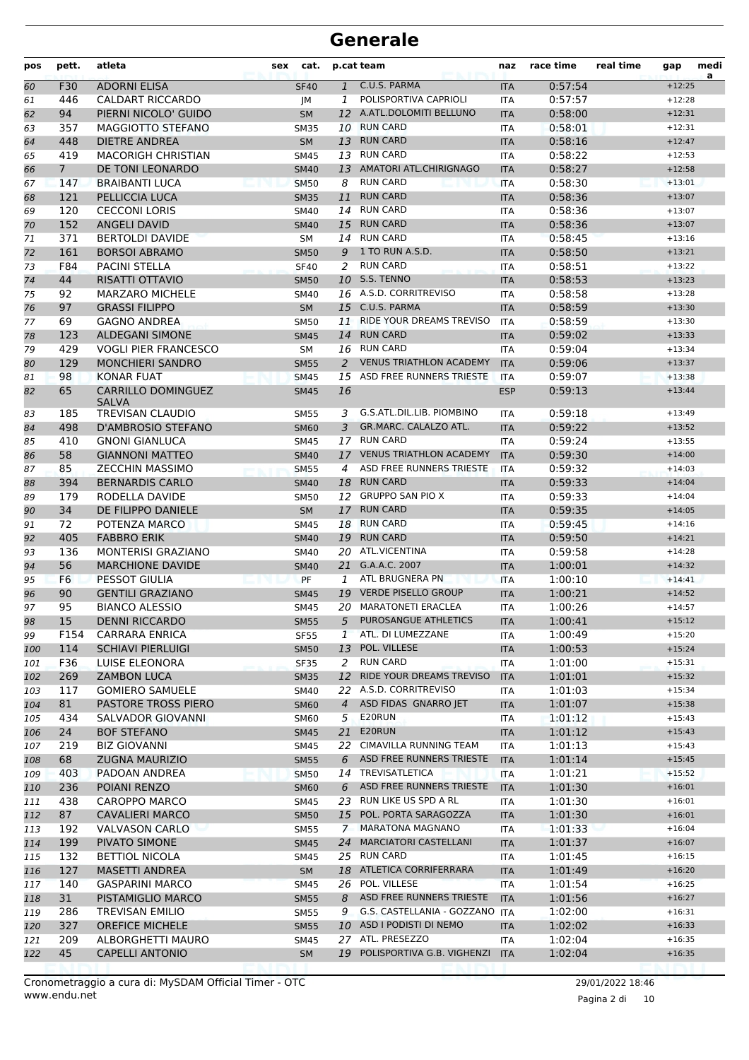| C.U.S. PARMA<br><b>ADORNI ELISA</b><br>0:57:54<br>$+12:25$<br>60<br>F30<br>$\mathbf{1}$<br><b>ITA</b><br><b>SF40</b><br>POLISPORTIVA CAPRIOLI<br><b>CALDART RICCARDO</b><br>0:57:57<br>446<br>1<br>61<br><b>ITA</b><br>$+12:28$<br>JМ<br>A.ATL.DOLOMITI BELLUNO<br>0:58:00<br>94<br>PIERNI NICOLO' GUIDO<br>62<br><b>SM</b><br>12<br><b>ITA</b><br>$+12:31$<br><b>RUN CARD</b><br>MAGGIOTTO STEFANO<br>0:58:01<br>$+12:31$<br>63<br>357<br><b>SM35</b><br>10<br><b>ITA</b><br><b>RUN CARD</b><br>448<br><b>DIETRE ANDREA</b><br>0:58:16<br><b>SM</b><br>13<br><b>ITA</b><br>64<br>$+12:47$<br>13 RUN CARD<br>419<br><b>MACORIGH CHRISTIAN</b><br><b>SM45</b><br>0:58:22<br>$+12:53$<br>65<br><b>ITA</b><br>13 AMATORI ATL.CHIRIGNAGO<br>$7^{\circ}$<br>DE TONI LEONARDO<br>0:58:27<br>$+12:58$<br><b>SM40</b><br><b>ITA</b><br>66<br><b>RUN CARD</b><br>147<br><b>BRAIBANTI LUCA</b><br>0:58:30<br><b>SM50</b><br>8<br><b>ITA</b><br>$+13:01$<br>67<br><b>RUN CARD</b><br>121<br>PELLICCIA LUCA<br>11<br>0:58:36<br>$+13:07$<br><b>SM35</b><br><b>ITA</b><br>68<br><b>RUN CARD</b><br>120<br><b>CECCONI LORIS</b><br>0:58:36<br>69<br>SM40<br>14<br>$+13:07$<br><b>ITA</b><br><b>RUN CARD</b><br>152<br><b>ANGELI DAVID</b><br>15<br>0:58:36<br><b>ITA</b><br>$+13:07$<br>70<br><b>SM40</b><br>14 RUN CARD<br>371<br><b>BERTOLDI DAVIDE</b><br>0:58:45<br>71<br><b>SM</b><br><b>ITA</b><br>$+13:16$<br>1 TO RUN A.S.D.<br>161<br><b>BORSOI ABRAMO</b><br>0:58:50<br>$+13:21$<br>9<br>72<br><b>SM50</b><br><b>ITA</b><br>F84<br>2<br><b>RUN CARD</b><br>0:58:51<br>73<br>PACINI STELLA<br><b>SF40</b><br>$+13:22$<br><b>ITA</b><br><b>10 S.S. TENNO</b><br>44<br>RISATTI OTTAVIO<br>0:58:53<br>74<br>$+13:23$<br><b>SM50</b><br><b>ITA</b><br>16 A.S.D. CORRITREVISO<br>0:58:58<br>75<br>92<br><b>MARZARO MICHELE</b><br>$+13:28$<br><b>SM40</b><br><b>ITA</b><br>97<br><b>GRASSI FILIPPO</b><br>15 C.U.S. PARMA<br>0:58:59<br><b>SM</b><br><b>ITA</b><br>76<br>$+13:30$<br>RIDE YOUR DREAMS TREVISO<br>69<br><b>GAGNO ANDREA</b><br>0:58:59<br><b>SM50</b><br>11<br><b>ITA</b><br>$+13:30$<br>77<br><b>RUN CARD</b><br>123<br><b>ALDEGANI SIMONE</b><br>14<br>0:59:02<br><b>SM45</b><br>$+13:33$<br>78<br><b>ITA</b><br>429<br><b>VOGLI PIER FRANCESCO</b><br>16 RUN CARD<br>0:59:04<br>79<br><b>SM</b><br><b>ITA</b><br>$+13:34$<br><b>VENUS TRIATHLON ACADEMY</b><br>129<br><b>MONCHIERI SANDRO</b><br>0:59:06<br><b>SM55</b><br>2<br><b>ITA</b><br>$+13:37$<br>80<br>ASD FREE RUNNERS TRIESTE<br>98<br><b>KONAR FUAT</b><br>0:59:07<br>$+13:38$<br>15<br><b>ITA</b><br>81<br><b>SM45</b><br>65<br><b>CARRILLO DOMINGUEZ</b><br>16<br>0:59:13<br>82<br><b>SM45</b><br><b>ESP</b><br>$+13:44$<br><b>SALVA</b><br>G.S.ATL.DIL.LIB. PIOMBINO<br>185<br>TREVISAN CLAUDIO<br>0:59:18<br><b>SM55</b><br>3.<br><b>ITA</b><br>$+13:49$<br>83<br>GR.MARC. CALALZO ATL.<br>498<br>D'AMBROSIO STEFANO<br>3<br>0:59:22<br><b>SM60</b><br><b>ITA</b><br>$+13:52$<br>84<br>17 RUN CARD<br>410<br><b>GNONI GIANLUCA</b><br>0:59:24<br>$+13:55$<br>85<br><b>SM45</b><br><b>ITA</b><br>58<br>17 VENUS TRIATHLON ACADEMY<br><b>GIANNONI MATTEO</b><br>0:59:30<br><b>SM40</b><br><b>ITA</b><br>$+14:00$<br>86<br>85<br>ASD FREE RUNNERS TRIESTE<br><b>ZECCHIN MASSIMO</b><br>0:59:32<br>$+14:03$<br>87<br><b>SM55</b><br>$\overline{4}$<br><b>ITA</b><br><b>RUN CARD</b><br><b>BERNARDIS CARLO</b><br>0:59:33<br>$+14:04$<br>394<br>18<br>88<br><b>SM40</b><br><b>ITA</b><br>12 GRUPPO SAN PIO X<br>0:59:33<br>179<br>RODELLA DAVIDE<br>$+14:04$<br>89<br><b>SM50</b><br><b>ITA</b><br>34<br><b>RUN CARD</b><br>DE FILIPPO DANIELE<br>17<br>0:59:35<br><b>SM</b><br><b>ITA</b><br>$+14:05$<br>90<br>18 RUN CARD<br>72<br>POTENZA MARCO<br>0:59:45<br>91<br>$+14:16$<br>SM45<br><b>ITA</b><br>19 RUN CARD<br>405<br><b>FABBRO ERIK</b><br>0:59:50<br>92<br><b>SM40</b><br><b>ITA</b><br>$+14:21$<br>20 ATL.VICENTINA<br>136<br><b>MONTERISI GRAZIANO</b><br>0:59:58<br>93<br>$+14:28$<br><b>SM40</b><br><b>ITA</b><br>G.A.A.C. 2007<br>56<br><b>MARCHIONE DAVIDE</b><br>94<br>21<br>1:00:01<br>$+14:32$<br><b>SM40</b><br><b>ITA</b><br>ATL BRUGNERA PN<br>F6<br><b>PESSOT GIULIA</b><br>PF<br>1:00:10<br>95<br>1<br><b>ITA</b><br>$+14:41$<br><b>VERDE PISELLO GROUP</b><br>90<br><b>GENTILI GRAZIANO</b><br>19<br><b>ITA</b><br>1:00:21<br>$+14:52$<br>96<br><b>SM45</b><br>20 MARATONETI ERACLEA<br>95<br>1:00:26<br>97<br><b>BIANCO ALESSIO</b><br><b>SM45</b><br><b>ITA</b><br>$+14:57$<br>98<br>15<br><b>DENNI RICCARDO</b><br>5 PUROSANGUE ATHLETICS<br>1:00:41<br><b>SM55</b><br><b>ITA</b><br>$+15:12$<br>1 ATL. DI LUMEZZANE<br>$+15:20$<br><b>CARRARA ENRICA</b><br>1:00:49<br>99<br>F154<br><b>SF55</b><br>ITA<br>POL. VILLESE<br>114<br><b>SCHIAVI PIERLUIGI</b><br>13<br>1:00:53<br>$+15:24$<br><b>SM50</b><br><b>ITA</b><br>100<br>F36<br>RUN CARD<br>$+15:31$<br>LUISE ELEONORA<br><b>SF35</b><br>ITA<br>1:01:00<br>101<br>2<br>12 RIDE YOUR DREAMS TREVISO<br>269<br><b>ZAMBON LUCA</b><br><b>ITA</b><br>1:01:01<br>$+15:32$<br>102<br><b>SM35</b><br>22 A.S.D. CORRITREVISO<br>117<br><b>GOMIERO SAMUELE</b><br>1:01:03<br>$+15:34$<br>SM40<br>ITA<br>103<br>81<br>ASD FIDAS GNARRO JET<br>PASTORE TROSS PIERO<br>1:01:07<br><b>SM60</b><br>$\overline{4}$<br><b>ITA</b><br>$+15:38$<br>104<br>E20RUN<br>434<br>SALVADOR GIOVANNI<br>5<br>1:01:12<br>$+15:43$<br>105<br><b>SM60</b><br>ITA<br>E20RUN<br>24<br><b>BOF STEFANO</b><br>21<br>1:01:12<br>$+15:43$<br>106<br><b>SM45</b><br><b>ITA</b><br>22 CIMAVILLA RUNNING TEAM<br>1:01:13<br>$+15:43$<br>107<br>219<br>BIZ GIOVANNI<br>SM45<br>ITA<br>ASD FREE RUNNERS TRIESTE<br>68<br><b>ZUGNA MAURIZIO</b><br>6<br><b>ITA</b><br>1:01:14<br>$+15:45$<br>108<br><b>SM55</b><br>14 TREVISATLETICA<br>403<br>1:01:21<br>$+15:52$<br>109<br>PADOAN ANDREA<br><b>SM50</b><br><b>ITA</b><br>ASD FREE RUNNERS TRIESTE<br>236<br>1:01:30<br>POIANI RENZO<br><b>SM60</b><br>6<br><b>ITA</b><br>$+16:01$<br>110<br>23 RUN LIKE US SPD A RL<br>$+16:01$<br>438<br><b>CAROPPO MARCO</b><br>1:01:30<br>SM45<br>ITA<br>111<br>87<br><b>CAVALIERI MARCO</b><br>POL. PORTA SARAGOZZA<br>1:01:30<br>$+16:01$<br>112<br><b>SM50</b><br>15<br><b>ITA</b><br><b>VALVASON CARLO</b><br>7 MARATONA MAGNANO<br>$+16:04$<br>192<br>1:01:33<br>113<br>SM55<br>ITA<br>24 MARCIATORI CASTELLANI<br>199<br>PIVATO SIMONE<br>1:01:37<br>$+16:07$<br>114<br><b>SM45</b><br><b>ITA</b><br>132<br>25 RUN CARD<br><b>BETTIOL NICOLA</b><br>1:01:45<br>ITA<br>$+16:15$<br>115<br>SM45<br>127<br><b>MASETTI ANDREA</b><br>18 ATLETICA CORRIFERRARA<br>1:01:49<br>SM<br>$+16:20$<br>116<br><b>ITA</b><br>26 POL. VILLESE<br>$+16:25$<br>140<br><b>GASPARINI MARCO</b><br>1:01:54<br>117<br>SM45<br>ITA<br>ASD FREE RUNNERS TRIESTE<br>31<br>PISTAMIGLIO MARCO<br>8<br>1:01:56<br>$+16:27$<br>118<br><b>SM55</b><br><b>ITA</b><br>G.S. CASTELLANIA - GOZZANO<br>$+16:31$<br>286<br><b>TREVISAN EMILIO</b><br><b>ITA</b><br>1:02:00<br>119<br>SM55<br>9<br>10 ASD I PODISTI DI NEMO<br>327<br><b>OREFICE MICHELE</b><br><b>ITA</b><br>1:02:02<br>$+16:33$<br>120<br><b>SM55</b><br>209<br>27 ATL. PRESEZZO<br>1:02:04<br>$+16:35$<br>ALBORGHETTI MAURO<br>ITA<br>121<br>SM45<br>45<br>19 POLISPORTIVA G.B. VIGHENZI<br><b>CAPELLI ANTONIO</b><br>SM<br>1:02:04<br>$+16:35$<br>122<br><b>ITA</b> | pos | pett. | atleta | sex | cat. | p.cat team | naz | race time | real time | gap | medi<br>a |
|--------------------------------------------------------------------------------------------------------------------------------------------------------------------------------------------------------------------------------------------------------------------------------------------------------------------------------------------------------------------------------------------------------------------------------------------------------------------------------------------------------------------------------------------------------------------------------------------------------------------------------------------------------------------------------------------------------------------------------------------------------------------------------------------------------------------------------------------------------------------------------------------------------------------------------------------------------------------------------------------------------------------------------------------------------------------------------------------------------------------------------------------------------------------------------------------------------------------------------------------------------------------------------------------------------------------------------------------------------------------------------------------------------------------------------------------------------------------------------------------------------------------------------------------------------------------------------------------------------------------------------------------------------------------------------------------------------------------------------------------------------------------------------------------------------------------------------------------------------------------------------------------------------------------------------------------------------------------------------------------------------------------------------------------------------------------------------------------------------------------------------------------------------------------------------------------------------------------------------------------------------------------------------------------------------------------------------------------------------------------------------------------------------------------------------------------------------------------------------------------------------------------------------------------------------------------------------------------------------------------------------------------------------------------------------------------------------------------------------------------------------------------------------------------------------------------------------------------------------------------------------------------------------------------------------------------------------------------------------------------------------------------------------------------------------------------------------------------------------------------------------------------------------------------------------------------------------------------------------------------------------------------------------------------------------------------------------------------------------------------------------------------------------------------------------------------------------------------------------------------------------------------------------------------------------------------------------------------------------------------------------------------------------------------------------------------------------------------------------------------------------------------------------------------------------------------------------------------------------------------------------------------------------------------------------------------------------------------------------------------------------------------------------------------------------------------------------------------------------------------------------------------------------------------------------------------------------------------------------------------------------------------------------------------------------------------------------------------------------------------------------------------------------------------------------------------------------------------------------------------------------------------------------------------------------------------------------------------------------------------------------------------------------------------------------------------------------------------------------------------------------------------------------------------------------------------------------------------------------------------------------------------------------------------------------------------------------------------------------------------------------------------------------------------------------------------------------------------------------------------------------------------------------------------------------------------------------------------------------------------------------------------------------------------------------------------------------------------------------------------------------------------------------------------------------------------------------------------------------------------------------------------------------------------------------------------------------------------------------------------------------------------------------------------------------------------------------------------------------------------------------------------------------------------------------------------------------------------------------------------------------------------------------------------------------------------------------------------------------------------------------------------------------------------------------------------------------------------------------------------------------------------------------------------------------------------------------------------------------------------------------------------------------------------------------------------------------------------------------------------------------------------------------------------------------------------------------------------------------------------------------------------------------------------------------------------------------------------------------------------------------------------------------------------------------------------------------------------------------------------------------------------------------------------------------------------------------------------------------------------------------------------------------------------------------------------------------------------------------------------------------------------------------------------------------------------------------------------------------------------------------------------------------------------------------------------------------------------------------------------------------------------------------------------------------------|-----|-------|--------|-----|------|------------|-----|-----------|-----------|-----|-----------|
|                                                                                                                                                                                                                                                                                                                                                                                                                                                                                                                                                                                                                                                                                                                                                                                                                                                                                                                                                                                                                                                                                                                                                                                                                                                                                                                                                                                                                                                                                                                                                                                                                                                                                                                                                                                                                                                                                                                                                                                                                                                                                                                                                                                                                                                                                                                                                                                                                                                                                                                                                                                                                                                                                                                                                                                                                                                                                                                                                                                                                                                                                                                                                                                                                                                                                                                                                                                                                                                                                                                                                                                                                                                                                                                                                                                                                                                                                                                                                                                                                                                                                                                                                                                                                                                                                                                                                                                                                                                                                                                                                                                                                                                                                                                                                                                                                                                                                                                                                                                                                                                                                                                                                                                                                                                                                                                                                                                                                                                                                                                                                                                                                                                                                                                                                                                                                                                                                                                                                                                                                                                                                                                                                                                                                                                                                                                                                                                                                                                                                                                                                                                                                                                                                                                                                                                                                                                                                                                                                                                                                                                                                                                                                                                                                                                                                                              |     |       |        |     |      |            |     |           |           |     |           |
|                                                                                                                                                                                                                                                                                                                                                                                                                                                                                                                                                                                                                                                                                                                                                                                                                                                                                                                                                                                                                                                                                                                                                                                                                                                                                                                                                                                                                                                                                                                                                                                                                                                                                                                                                                                                                                                                                                                                                                                                                                                                                                                                                                                                                                                                                                                                                                                                                                                                                                                                                                                                                                                                                                                                                                                                                                                                                                                                                                                                                                                                                                                                                                                                                                                                                                                                                                                                                                                                                                                                                                                                                                                                                                                                                                                                                                                                                                                                                                                                                                                                                                                                                                                                                                                                                                                                                                                                                                                                                                                                                                                                                                                                                                                                                                                                                                                                                                                                                                                                                                                                                                                                                                                                                                                                                                                                                                                                                                                                                                                                                                                                                                                                                                                                                                                                                                                                                                                                                                                                                                                                                                                                                                                                                                                                                                                                                                                                                                                                                                                                                                                                                                                                                                                                                                                                                                                                                                                                                                                                                                                                                                                                                                                                                                                                                                              |     |       |        |     |      |            |     |           |           |     |           |
|                                                                                                                                                                                                                                                                                                                                                                                                                                                                                                                                                                                                                                                                                                                                                                                                                                                                                                                                                                                                                                                                                                                                                                                                                                                                                                                                                                                                                                                                                                                                                                                                                                                                                                                                                                                                                                                                                                                                                                                                                                                                                                                                                                                                                                                                                                                                                                                                                                                                                                                                                                                                                                                                                                                                                                                                                                                                                                                                                                                                                                                                                                                                                                                                                                                                                                                                                                                                                                                                                                                                                                                                                                                                                                                                                                                                                                                                                                                                                                                                                                                                                                                                                                                                                                                                                                                                                                                                                                                                                                                                                                                                                                                                                                                                                                                                                                                                                                                                                                                                                                                                                                                                                                                                                                                                                                                                                                                                                                                                                                                                                                                                                                                                                                                                                                                                                                                                                                                                                                                                                                                                                                                                                                                                                                                                                                                                                                                                                                                                                                                                                                                                                                                                                                                                                                                                                                                                                                                                                                                                                                                                                                                                                                                                                                                                                                              |     |       |        |     |      |            |     |           |           |     |           |
|                                                                                                                                                                                                                                                                                                                                                                                                                                                                                                                                                                                                                                                                                                                                                                                                                                                                                                                                                                                                                                                                                                                                                                                                                                                                                                                                                                                                                                                                                                                                                                                                                                                                                                                                                                                                                                                                                                                                                                                                                                                                                                                                                                                                                                                                                                                                                                                                                                                                                                                                                                                                                                                                                                                                                                                                                                                                                                                                                                                                                                                                                                                                                                                                                                                                                                                                                                                                                                                                                                                                                                                                                                                                                                                                                                                                                                                                                                                                                                                                                                                                                                                                                                                                                                                                                                                                                                                                                                                                                                                                                                                                                                                                                                                                                                                                                                                                                                                                                                                                                                                                                                                                                                                                                                                                                                                                                                                                                                                                                                                                                                                                                                                                                                                                                                                                                                                                                                                                                                                                                                                                                                                                                                                                                                                                                                                                                                                                                                                                                                                                                                                                                                                                                                                                                                                                                                                                                                                                                                                                                                                                                                                                                                                                                                                                                                              |     |       |        |     |      |            |     |           |           |     |           |
|                                                                                                                                                                                                                                                                                                                                                                                                                                                                                                                                                                                                                                                                                                                                                                                                                                                                                                                                                                                                                                                                                                                                                                                                                                                                                                                                                                                                                                                                                                                                                                                                                                                                                                                                                                                                                                                                                                                                                                                                                                                                                                                                                                                                                                                                                                                                                                                                                                                                                                                                                                                                                                                                                                                                                                                                                                                                                                                                                                                                                                                                                                                                                                                                                                                                                                                                                                                                                                                                                                                                                                                                                                                                                                                                                                                                                                                                                                                                                                                                                                                                                                                                                                                                                                                                                                                                                                                                                                                                                                                                                                                                                                                                                                                                                                                                                                                                                                                                                                                                                                                                                                                                                                                                                                                                                                                                                                                                                                                                                                                                                                                                                                                                                                                                                                                                                                                                                                                                                                                                                                                                                                                                                                                                                                                                                                                                                                                                                                                                                                                                                                                                                                                                                                                                                                                                                                                                                                                                                                                                                                                                                                                                                                                                                                                                                                              |     |       |        |     |      |            |     |           |           |     |           |
|                                                                                                                                                                                                                                                                                                                                                                                                                                                                                                                                                                                                                                                                                                                                                                                                                                                                                                                                                                                                                                                                                                                                                                                                                                                                                                                                                                                                                                                                                                                                                                                                                                                                                                                                                                                                                                                                                                                                                                                                                                                                                                                                                                                                                                                                                                                                                                                                                                                                                                                                                                                                                                                                                                                                                                                                                                                                                                                                                                                                                                                                                                                                                                                                                                                                                                                                                                                                                                                                                                                                                                                                                                                                                                                                                                                                                                                                                                                                                                                                                                                                                                                                                                                                                                                                                                                                                                                                                                                                                                                                                                                                                                                                                                                                                                                                                                                                                                                                                                                                                                                                                                                                                                                                                                                                                                                                                                                                                                                                                                                                                                                                                                                                                                                                                                                                                                                                                                                                                                                                                                                                                                                                                                                                                                                                                                                                                                                                                                                                                                                                                                                                                                                                                                                                                                                                                                                                                                                                                                                                                                                                                                                                                                                                                                                                                                              |     |       |        |     |      |            |     |           |           |     |           |
|                                                                                                                                                                                                                                                                                                                                                                                                                                                                                                                                                                                                                                                                                                                                                                                                                                                                                                                                                                                                                                                                                                                                                                                                                                                                                                                                                                                                                                                                                                                                                                                                                                                                                                                                                                                                                                                                                                                                                                                                                                                                                                                                                                                                                                                                                                                                                                                                                                                                                                                                                                                                                                                                                                                                                                                                                                                                                                                                                                                                                                                                                                                                                                                                                                                                                                                                                                                                                                                                                                                                                                                                                                                                                                                                                                                                                                                                                                                                                                                                                                                                                                                                                                                                                                                                                                                                                                                                                                                                                                                                                                                                                                                                                                                                                                                                                                                                                                                                                                                                                                                                                                                                                                                                                                                                                                                                                                                                                                                                                                                                                                                                                                                                                                                                                                                                                                                                                                                                                                                                                                                                                                                                                                                                                                                                                                                                                                                                                                                                                                                                                                                                                                                                                                                                                                                                                                                                                                                                                                                                                                                                                                                                                                                                                                                                                                              |     |       |        |     |      |            |     |           |           |     |           |
|                                                                                                                                                                                                                                                                                                                                                                                                                                                                                                                                                                                                                                                                                                                                                                                                                                                                                                                                                                                                                                                                                                                                                                                                                                                                                                                                                                                                                                                                                                                                                                                                                                                                                                                                                                                                                                                                                                                                                                                                                                                                                                                                                                                                                                                                                                                                                                                                                                                                                                                                                                                                                                                                                                                                                                                                                                                                                                                                                                                                                                                                                                                                                                                                                                                                                                                                                                                                                                                                                                                                                                                                                                                                                                                                                                                                                                                                                                                                                                                                                                                                                                                                                                                                                                                                                                                                                                                                                                                                                                                                                                                                                                                                                                                                                                                                                                                                                                                                                                                                                                                                                                                                                                                                                                                                                                                                                                                                                                                                                                                                                                                                                                                                                                                                                                                                                                                                                                                                                                                                                                                                                                                                                                                                                                                                                                                                                                                                                                                                                                                                                                                                                                                                                                                                                                                                                                                                                                                                                                                                                                                                                                                                                                                                                                                                                                              |     |       |        |     |      |            |     |           |           |     |           |
|                                                                                                                                                                                                                                                                                                                                                                                                                                                                                                                                                                                                                                                                                                                                                                                                                                                                                                                                                                                                                                                                                                                                                                                                                                                                                                                                                                                                                                                                                                                                                                                                                                                                                                                                                                                                                                                                                                                                                                                                                                                                                                                                                                                                                                                                                                                                                                                                                                                                                                                                                                                                                                                                                                                                                                                                                                                                                                                                                                                                                                                                                                                                                                                                                                                                                                                                                                                                                                                                                                                                                                                                                                                                                                                                                                                                                                                                                                                                                                                                                                                                                                                                                                                                                                                                                                                                                                                                                                                                                                                                                                                                                                                                                                                                                                                                                                                                                                                                                                                                                                                                                                                                                                                                                                                                                                                                                                                                                                                                                                                                                                                                                                                                                                                                                                                                                                                                                                                                                                                                                                                                                                                                                                                                                                                                                                                                                                                                                                                                                                                                                                                                                                                                                                                                                                                                                                                                                                                                                                                                                                                                                                                                                                                                                                                                                                              |     |       |        |     |      |            |     |           |           |     |           |
|                                                                                                                                                                                                                                                                                                                                                                                                                                                                                                                                                                                                                                                                                                                                                                                                                                                                                                                                                                                                                                                                                                                                                                                                                                                                                                                                                                                                                                                                                                                                                                                                                                                                                                                                                                                                                                                                                                                                                                                                                                                                                                                                                                                                                                                                                                                                                                                                                                                                                                                                                                                                                                                                                                                                                                                                                                                                                                                                                                                                                                                                                                                                                                                                                                                                                                                                                                                                                                                                                                                                                                                                                                                                                                                                                                                                                                                                                                                                                                                                                                                                                                                                                                                                                                                                                                                                                                                                                                                                                                                                                                                                                                                                                                                                                                                                                                                                                                                                                                                                                                                                                                                                                                                                                                                                                                                                                                                                                                                                                                                                                                                                                                                                                                                                                                                                                                                                                                                                                                                                                                                                                                                                                                                                                                                                                                                                                                                                                                                                                                                                                                                                                                                                                                                                                                                                                                                                                                                                                                                                                                                                                                                                                                                                                                                                                                              |     |       |        |     |      |            |     |           |           |     |           |
|                                                                                                                                                                                                                                                                                                                                                                                                                                                                                                                                                                                                                                                                                                                                                                                                                                                                                                                                                                                                                                                                                                                                                                                                                                                                                                                                                                                                                                                                                                                                                                                                                                                                                                                                                                                                                                                                                                                                                                                                                                                                                                                                                                                                                                                                                                                                                                                                                                                                                                                                                                                                                                                                                                                                                                                                                                                                                                                                                                                                                                                                                                                                                                                                                                                                                                                                                                                                                                                                                                                                                                                                                                                                                                                                                                                                                                                                                                                                                                                                                                                                                                                                                                                                                                                                                                                                                                                                                                                                                                                                                                                                                                                                                                                                                                                                                                                                                                                                                                                                                                                                                                                                                                                                                                                                                                                                                                                                                                                                                                                                                                                                                                                                                                                                                                                                                                                                                                                                                                                                                                                                                                                                                                                                                                                                                                                                                                                                                                                                                                                                                                                                                                                                                                                                                                                                                                                                                                                                                                                                                                                                                                                                                                                                                                                                                                              |     |       |        |     |      |            |     |           |           |     |           |
|                                                                                                                                                                                                                                                                                                                                                                                                                                                                                                                                                                                                                                                                                                                                                                                                                                                                                                                                                                                                                                                                                                                                                                                                                                                                                                                                                                                                                                                                                                                                                                                                                                                                                                                                                                                                                                                                                                                                                                                                                                                                                                                                                                                                                                                                                                                                                                                                                                                                                                                                                                                                                                                                                                                                                                                                                                                                                                                                                                                                                                                                                                                                                                                                                                                                                                                                                                                                                                                                                                                                                                                                                                                                                                                                                                                                                                                                                                                                                                                                                                                                                                                                                                                                                                                                                                                                                                                                                                                                                                                                                                                                                                                                                                                                                                                                                                                                                                                                                                                                                                                                                                                                                                                                                                                                                                                                                                                                                                                                                                                                                                                                                                                                                                                                                                                                                                                                                                                                                                                                                                                                                                                                                                                                                                                                                                                                                                                                                                                                                                                                                                                                                                                                                                                                                                                                                                                                                                                                                                                                                                                                                                                                                                                                                                                                                                              |     |       |        |     |      |            |     |           |           |     |           |
|                                                                                                                                                                                                                                                                                                                                                                                                                                                                                                                                                                                                                                                                                                                                                                                                                                                                                                                                                                                                                                                                                                                                                                                                                                                                                                                                                                                                                                                                                                                                                                                                                                                                                                                                                                                                                                                                                                                                                                                                                                                                                                                                                                                                                                                                                                                                                                                                                                                                                                                                                                                                                                                                                                                                                                                                                                                                                                                                                                                                                                                                                                                                                                                                                                                                                                                                                                                                                                                                                                                                                                                                                                                                                                                                                                                                                                                                                                                                                                                                                                                                                                                                                                                                                                                                                                                                                                                                                                                                                                                                                                                                                                                                                                                                                                                                                                                                                                                                                                                                                                                                                                                                                                                                                                                                                                                                                                                                                                                                                                                                                                                                                                                                                                                                                                                                                                                                                                                                                                                                                                                                                                                                                                                                                                                                                                                                                                                                                                                                                                                                                                                                                                                                                                                                                                                                                                                                                                                                                                                                                                                                                                                                                                                                                                                                                                              |     |       |        |     |      |            |     |           |           |     |           |
|                                                                                                                                                                                                                                                                                                                                                                                                                                                                                                                                                                                                                                                                                                                                                                                                                                                                                                                                                                                                                                                                                                                                                                                                                                                                                                                                                                                                                                                                                                                                                                                                                                                                                                                                                                                                                                                                                                                                                                                                                                                                                                                                                                                                                                                                                                                                                                                                                                                                                                                                                                                                                                                                                                                                                                                                                                                                                                                                                                                                                                                                                                                                                                                                                                                                                                                                                                                                                                                                                                                                                                                                                                                                                                                                                                                                                                                                                                                                                                                                                                                                                                                                                                                                                                                                                                                                                                                                                                                                                                                                                                                                                                                                                                                                                                                                                                                                                                                                                                                                                                                                                                                                                                                                                                                                                                                                                                                                                                                                                                                                                                                                                                                                                                                                                                                                                                                                                                                                                                                                                                                                                                                                                                                                                                                                                                                                                                                                                                                                                                                                                                                                                                                                                                                                                                                                                                                                                                                                                                                                                                                                                                                                                                                                                                                                                                              |     |       |        |     |      |            |     |           |           |     |           |
|                                                                                                                                                                                                                                                                                                                                                                                                                                                                                                                                                                                                                                                                                                                                                                                                                                                                                                                                                                                                                                                                                                                                                                                                                                                                                                                                                                                                                                                                                                                                                                                                                                                                                                                                                                                                                                                                                                                                                                                                                                                                                                                                                                                                                                                                                                                                                                                                                                                                                                                                                                                                                                                                                                                                                                                                                                                                                                                                                                                                                                                                                                                                                                                                                                                                                                                                                                                                                                                                                                                                                                                                                                                                                                                                                                                                                                                                                                                                                                                                                                                                                                                                                                                                                                                                                                                                                                                                                                                                                                                                                                                                                                                                                                                                                                                                                                                                                                                                                                                                                                                                                                                                                                                                                                                                                                                                                                                                                                                                                                                                                                                                                                                                                                                                                                                                                                                                                                                                                                                                                                                                                                                                                                                                                                                                                                                                                                                                                                                                                                                                                                                                                                                                                                                                                                                                                                                                                                                                                                                                                                                                                                                                                                                                                                                                                                              |     |       |        |     |      |            |     |           |           |     |           |
|                                                                                                                                                                                                                                                                                                                                                                                                                                                                                                                                                                                                                                                                                                                                                                                                                                                                                                                                                                                                                                                                                                                                                                                                                                                                                                                                                                                                                                                                                                                                                                                                                                                                                                                                                                                                                                                                                                                                                                                                                                                                                                                                                                                                                                                                                                                                                                                                                                                                                                                                                                                                                                                                                                                                                                                                                                                                                                                                                                                                                                                                                                                                                                                                                                                                                                                                                                                                                                                                                                                                                                                                                                                                                                                                                                                                                                                                                                                                                                                                                                                                                                                                                                                                                                                                                                                                                                                                                                                                                                                                                                                                                                                                                                                                                                                                                                                                                                                                                                                                                                                                                                                                                                                                                                                                                                                                                                                                                                                                                                                                                                                                                                                                                                                                                                                                                                                                                                                                                                                                                                                                                                                                                                                                                                                                                                                                                                                                                                                                                                                                                                                                                                                                                                                                                                                                                                                                                                                                                                                                                                                                                                                                                                                                                                                                                                              |     |       |        |     |      |            |     |           |           |     |           |
|                                                                                                                                                                                                                                                                                                                                                                                                                                                                                                                                                                                                                                                                                                                                                                                                                                                                                                                                                                                                                                                                                                                                                                                                                                                                                                                                                                                                                                                                                                                                                                                                                                                                                                                                                                                                                                                                                                                                                                                                                                                                                                                                                                                                                                                                                                                                                                                                                                                                                                                                                                                                                                                                                                                                                                                                                                                                                                                                                                                                                                                                                                                                                                                                                                                                                                                                                                                                                                                                                                                                                                                                                                                                                                                                                                                                                                                                                                                                                                                                                                                                                                                                                                                                                                                                                                                                                                                                                                                                                                                                                                                                                                                                                                                                                                                                                                                                                                                                                                                                                                                                                                                                                                                                                                                                                                                                                                                                                                                                                                                                                                                                                                                                                                                                                                                                                                                                                                                                                                                                                                                                                                                                                                                                                                                                                                                                                                                                                                                                                                                                                                                                                                                                                                                                                                                                                                                                                                                                                                                                                                                                                                                                                                                                                                                                                                              |     |       |        |     |      |            |     |           |           |     |           |
|                                                                                                                                                                                                                                                                                                                                                                                                                                                                                                                                                                                                                                                                                                                                                                                                                                                                                                                                                                                                                                                                                                                                                                                                                                                                                                                                                                                                                                                                                                                                                                                                                                                                                                                                                                                                                                                                                                                                                                                                                                                                                                                                                                                                                                                                                                                                                                                                                                                                                                                                                                                                                                                                                                                                                                                                                                                                                                                                                                                                                                                                                                                                                                                                                                                                                                                                                                                                                                                                                                                                                                                                                                                                                                                                                                                                                                                                                                                                                                                                                                                                                                                                                                                                                                                                                                                                                                                                                                                                                                                                                                                                                                                                                                                                                                                                                                                                                                                                                                                                                                                                                                                                                                                                                                                                                                                                                                                                                                                                                                                                                                                                                                                                                                                                                                                                                                                                                                                                                                                                                                                                                                                                                                                                                                                                                                                                                                                                                                                                                                                                                                                                                                                                                                                                                                                                                                                                                                                                                                                                                                                                                                                                                                                                                                                                                                              |     |       |        |     |      |            |     |           |           |     |           |
|                                                                                                                                                                                                                                                                                                                                                                                                                                                                                                                                                                                                                                                                                                                                                                                                                                                                                                                                                                                                                                                                                                                                                                                                                                                                                                                                                                                                                                                                                                                                                                                                                                                                                                                                                                                                                                                                                                                                                                                                                                                                                                                                                                                                                                                                                                                                                                                                                                                                                                                                                                                                                                                                                                                                                                                                                                                                                                                                                                                                                                                                                                                                                                                                                                                                                                                                                                                                                                                                                                                                                                                                                                                                                                                                                                                                                                                                                                                                                                                                                                                                                                                                                                                                                                                                                                                                                                                                                                                                                                                                                                                                                                                                                                                                                                                                                                                                                                                                                                                                                                                                                                                                                                                                                                                                                                                                                                                                                                                                                                                                                                                                                                                                                                                                                                                                                                                                                                                                                                                                                                                                                                                                                                                                                                                                                                                                                                                                                                                                                                                                                                                                                                                                                                                                                                                                                                                                                                                                                                                                                                                                                                                                                                                                                                                                                                              |     |       |        |     |      |            |     |           |           |     |           |
|                                                                                                                                                                                                                                                                                                                                                                                                                                                                                                                                                                                                                                                                                                                                                                                                                                                                                                                                                                                                                                                                                                                                                                                                                                                                                                                                                                                                                                                                                                                                                                                                                                                                                                                                                                                                                                                                                                                                                                                                                                                                                                                                                                                                                                                                                                                                                                                                                                                                                                                                                                                                                                                                                                                                                                                                                                                                                                                                                                                                                                                                                                                                                                                                                                                                                                                                                                                                                                                                                                                                                                                                                                                                                                                                                                                                                                                                                                                                                                                                                                                                                                                                                                                                                                                                                                                                                                                                                                                                                                                                                                                                                                                                                                                                                                                                                                                                                                                                                                                                                                                                                                                                                                                                                                                                                                                                                                                                                                                                                                                                                                                                                                                                                                                                                                                                                                                                                                                                                                                                                                                                                                                                                                                                                                                                                                                                                                                                                                                                                                                                                                                                                                                                                                                                                                                                                                                                                                                                                                                                                                                                                                                                                                                                                                                                                                              |     |       |        |     |      |            |     |           |           |     |           |
|                                                                                                                                                                                                                                                                                                                                                                                                                                                                                                                                                                                                                                                                                                                                                                                                                                                                                                                                                                                                                                                                                                                                                                                                                                                                                                                                                                                                                                                                                                                                                                                                                                                                                                                                                                                                                                                                                                                                                                                                                                                                                                                                                                                                                                                                                                                                                                                                                                                                                                                                                                                                                                                                                                                                                                                                                                                                                                                                                                                                                                                                                                                                                                                                                                                                                                                                                                                                                                                                                                                                                                                                                                                                                                                                                                                                                                                                                                                                                                                                                                                                                                                                                                                                                                                                                                                                                                                                                                                                                                                                                                                                                                                                                                                                                                                                                                                                                                                                                                                                                                                                                                                                                                                                                                                                                                                                                                                                                                                                                                                                                                                                                                                                                                                                                                                                                                                                                                                                                                                                                                                                                                                                                                                                                                                                                                                                                                                                                                                                                                                                                                                                                                                                                                                                                                                                                                                                                                                                                                                                                                                                                                                                                                                                                                                                                                              |     |       |        |     |      |            |     |           |           |     |           |
|                                                                                                                                                                                                                                                                                                                                                                                                                                                                                                                                                                                                                                                                                                                                                                                                                                                                                                                                                                                                                                                                                                                                                                                                                                                                                                                                                                                                                                                                                                                                                                                                                                                                                                                                                                                                                                                                                                                                                                                                                                                                                                                                                                                                                                                                                                                                                                                                                                                                                                                                                                                                                                                                                                                                                                                                                                                                                                                                                                                                                                                                                                                                                                                                                                                                                                                                                                                                                                                                                                                                                                                                                                                                                                                                                                                                                                                                                                                                                                                                                                                                                                                                                                                                                                                                                                                                                                                                                                                                                                                                                                                                                                                                                                                                                                                                                                                                                                                                                                                                                                                                                                                                                                                                                                                                                                                                                                                                                                                                                                                                                                                                                                                                                                                                                                                                                                                                                                                                                                                                                                                                                                                                                                                                                                                                                                                                                                                                                                                                                                                                                                                                                                                                                                                                                                                                                                                                                                                                                                                                                                                                                                                                                                                                                                                                                                              |     |       |        |     |      |            |     |           |           |     |           |
|                                                                                                                                                                                                                                                                                                                                                                                                                                                                                                                                                                                                                                                                                                                                                                                                                                                                                                                                                                                                                                                                                                                                                                                                                                                                                                                                                                                                                                                                                                                                                                                                                                                                                                                                                                                                                                                                                                                                                                                                                                                                                                                                                                                                                                                                                                                                                                                                                                                                                                                                                                                                                                                                                                                                                                                                                                                                                                                                                                                                                                                                                                                                                                                                                                                                                                                                                                                                                                                                                                                                                                                                                                                                                                                                                                                                                                                                                                                                                                                                                                                                                                                                                                                                                                                                                                                                                                                                                                                                                                                                                                                                                                                                                                                                                                                                                                                                                                                                                                                                                                                                                                                                                                                                                                                                                                                                                                                                                                                                                                                                                                                                                                                                                                                                                                                                                                                                                                                                                                                                                                                                                                                                                                                                                                                                                                                                                                                                                                                                                                                                                                                                                                                                                                                                                                                                                                                                                                                                                                                                                                                                                                                                                                                                                                                                                                              |     |       |        |     |      |            |     |           |           |     |           |
|                                                                                                                                                                                                                                                                                                                                                                                                                                                                                                                                                                                                                                                                                                                                                                                                                                                                                                                                                                                                                                                                                                                                                                                                                                                                                                                                                                                                                                                                                                                                                                                                                                                                                                                                                                                                                                                                                                                                                                                                                                                                                                                                                                                                                                                                                                                                                                                                                                                                                                                                                                                                                                                                                                                                                                                                                                                                                                                                                                                                                                                                                                                                                                                                                                                                                                                                                                                                                                                                                                                                                                                                                                                                                                                                                                                                                                                                                                                                                                                                                                                                                                                                                                                                                                                                                                                                                                                                                                                                                                                                                                                                                                                                                                                                                                                                                                                                                                                                                                                                                                                                                                                                                                                                                                                                                                                                                                                                                                                                                                                                                                                                                                                                                                                                                                                                                                                                                                                                                                                                                                                                                                                                                                                                                                                                                                                                                                                                                                                                                                                                                                                                                                                                                                                                                                                                                                                                                                                                                                                                                                                                                                                                                                                                                                                                                                              |     |       |        |     |      |            |     |           |           |     |           |
|                                                                                                                                                                                                                                                                                                                                                                                                                                                                                                                                                                                                                                                                                                                                                                                                                                                                                                                                                                                                                                                                                                                                                                                                                                                                                                                                                                                                                                                                                                                                                                                                                                                                                                                                                                                                                                                                                                                                                                                                                                                                                                                                                                                                                                                                                                                                                                                                                                                                                                                                                                                                                                                                                                                                                                                                                                                                                                                                                                                                                                                                                                                                                                                                                                                                                                                                                                                                                                                                                                                                                                                                                                                                                                                                                                                                                                                                                                                                                                                                                                                                                                                                                                                                                                                                                                                                                                                                                                                                                                                                                                                                                                                                                                                                                                                                                                                                                                                                                                                                                                                                                                                                                                                                                                                                                                                                                                                                                                                                                                                                                                                                                                                                                                                                                                                                                                                                                                                                                                                                                                                                                                                                                                                                                                                                                                                                                                                                                                                                                                                                                                                                                                                                                                                                                                                                                                                                                                                                                                                                                                                                                                                                                                                                                                                                                                              |     |       |        |     |      |            |     |           |           |     |           |
|                                                                                                                                                                                                                                                                                                                                                                                                                                                                                                                                                                                                                                                                                                                                                                                                                                                                                                                                                                                                                                                                                                                                                                                                                                                                                                                                                                                                                                                                                                                                                                                                                                                                                                                                                                                                                                                                                                                                                                                                                                                                                                                                                                                                                                                                                                                                                                                                                                                                                                                                                                                                                                                                                                                                                                                                                                                                                                                                                                                                                                                                                                                                                                                                                                                                                                                                                                                                                                                                                                                                                                                                                                                                                                                                                                                                                                                                                                                                                                                                                                                                                                                                                                                                                                                                                                                                                                                                                                                                                                                                                                                                                                                                                                                                                                                                                                                                                                                                                                                                                                                                                                                                                                                                                                                                                                                                                                                                                                                                                                                                                                                                                                                                                                                                                                                                                                                                                                                                                                                                                                                                                                                                                                                                                                                                                                                                                                                                                                                                                                                                                                                                                                                                                                                                                                                                                                                                                                                                                                                                                                                                                                                                                                                                                                                                                                              |     |       |        |     |      |            |     |           |           |     |           |
|                                                                                                                                                                                                                                                                                                                                                                                                                                                                                                                                                                                                                                                                                                                                                                                                                                                                                                                                                                                                                                                                                                                                                                                                                                                                                                                                                                                                                                                                                                                                                                                                                                                                                                                                                                                                                                                                                                                                                                                                                                                                                                                                                                                                                                                                                                                                                                                                                                                                                                                                                                                                                                                                                                                                                                                                                                                                                                                                                                                                                                                                                                                                                                                                                                                                                                                                                                                                                                                                                                                                                                                                                                                                                                                                                                                                                                                                                                                                                                                                                                                                                                                                                                                                                                                                                                                                                                                                                                                                                                                                                                                                                                                                                                                                                                                                                                                                                                                                                                                                                                                                                                                                                                                                                                                                                                                                                                                                                                                                                                                                                                                                                                                                                                                                                                                                                                                                                                                                                                                                                                                                                                                                                                                                                                                                                                                                                                                                                                                                                                                                                                                                                                                                                                                                                                                                                                                                                                                                                                                                                                                                                                                                                                                                                                                                                                              |     |       |        |     |      |            |     |           |           |     |           |
|                                                                                                                                                                                                                                                                                                                                                                                                                                                                                                                                                                                                                                                                                                                                                                                                                                                                                                                                                                                                                                                                                                                                                                                                                                                                                                                                                                                                                                                                                                                                                                                                                                                                                                                                                                                                                                                                                                                                                                                                                                                                                                                                                                                                                                                                                                                                                                                                                                                                                                                                                                                                                                                                                                                                                                                                                                                                                                                                                                                                                                                                                                                                                                                                                                                                                                                                                                                                                                                                                                                                                                                                                                                                                                                                                                                                                                                                                                                                                                                                                                                                                                                                                                                                                                                                                                                                                                                                                                                                                                                                                                                                                                                                                                                                                                                                                                                                                                                                                                                                                                                                                                                                                                                                                                                                                                                                                                                                                                                                                                                                                                                                                                                                                                                                                                                                                                                                                                                                                                                                                                                                                                                                                                                                                                                                                                                                                                                                                                                                                                                                                                                                                                                                                                                                                                                                                                                                                                                                                                                                                                                                                                                                                                                                                                                                                                              |     |       |        |     |      |            |     |           |           |     |           |
|                                                                                                                                                                                                                                                                                                                                                                                                                                                                                                                                                                                                                                                                                                                                                                                                                                                                                                                                                                                                                                                                                                                                                                                                                                                                                                                                                                                                                                                                                                                                                                                                                                                                                                                                                                                                                                                                                                                                                                                                                                                                                                                                                                                                                                                                                                                                                                                                                                                                                                                                                                                                                                                                                                                                                                                                                                                                                                                                                                                                                                                                                                                                                                                                                                                                                                                                                                                                                                                                                                                                                                                                                                                                                                                                                                                                                                                                                                                                                                                                                                                                                                                                                                                                                                                                                                                                                                                                                                                                                                                                                                                                                                                                                                                                                                                                                                                                                                                                                                                                                                                                                                                                                                                                                                                                                                                                                                                                                                                                                                                                                                                                                                                                                                                                                                                                                                                                                                                                                                                                                                                                                                                                                                                                                                                                                                                                                                                                                                                                                                                                                                                                                                                                                                                                                                                                                                                                                                                                                                                                                                                                                                                                                                                                                                                                                                              |     |       |        |     |      |            |     |           |           |     |           |
|                                                                                                                                                                                                                                                                                                                                                                                                                                                                                                                                                                                                                                                                                                                                                                                                                                                                                                                                                                                                                                                                                                                                                                                                                                                                                                                                                                                                                                                                                                                                                                                                                                                                                                                                                                                                                                                                                                                                                                                                                                                                                                                                                                                                                                                                                                                                                                                                                                                                                                                                                                                                                                                                                                                                                                                                                                                                                                                                                                                                                                                                                                                                                                                                                                                                                                                                                                                                                                                                                                                                                                                                                                                                                                                                                                                                                                                                                                                                                                                                                                                                                                                                                                                                                                                                                                                                                                                                                                                                                                                                                                                                                                                                                                                                                                                                                                                                                                                                                                                                                                                                                                                                                                                                                                                                                                                                                                                                                                                                                                                                                                                                                                                                                                                                                                                                                                                                                                                                                                                                                                                                                                                                                                                                                                                                                                                                                                                                                                                                                                                                                                                                                                                                                                                                                                                                                                                                                                                                                                                                                                                                                                                                                                                                                                                                                                              |     |       |        |     |      |            |     |           |           |     |           |
|                                                                                                                                                                                                                                                                                                                                                                                                                                                                                                                                                                                                                                                                                                                                                                                                                                                                                                                                                                                                                                                                                                                                                                                                                                                                                                                                                                                                                                                                                                                                                                                                                                                                                                                                                                                                                                                                                                                                                                                                                                                                                                                                                                                                                                                                                                                                                                                                                                                                                                                                                                                                                                                                                                                                                                                                                                                                                                                                                                                                                                                                                                                                                                                                                                                                                                                                                                                                                                                                                                                                                                                                                                                                                                                                                                                                                                                                                                                                                                                                                                                                                                                                                                                                                                                                                                                                                                                                                                                                                                                                                                                                                                                                                                                                                                                                                                                                                                                                                                                                                                                                                                                                                                                                                                                                                                                                                                                                                                                                                                                                                                                                                                                                                                                                                                                                                                                                                                                                                                                                                                                                                                                                                                                                                                                                                                                                                                                                                                                                                                                                                                                                                                                                                                                                                                                                                                                                                                                                                                                                                                                                                                                                                                                                                                                                                                              |     |       |        |     |      |            |     |           |           |     |           |
|                                                                                                                                                                                                                                                                                                                                                                                                                                                                                                                                                                                                                                                                                                                                                                                                                                                                                                                                                                                                                                                                                                                                                                                                                                                                                                                                                                                                                                                                                                                                                                                                                                                                                                                                                                                                                                                                                                                                                                                                                                                                                                                                                                                                                                                                                                                                                                                                                                                                                                                                                                                                                                                                                                                                                                                                                                                                                                                                                                                                                                                                                                                                                                                                                                                                                                                                                                                                                                                                                                                                                                                                                                                                                                                                                                                                                                                                                                                                                                                                                                                                                                                                                                                                                                                                                                                                                                                                                                                                                                                                                                                                                                                                                                                                                                                                                                                                                                                                                                                                                                                                                                                                                                                                                                                                                                                                                                                                                                                                                                                                                                                                                                                                                                                                                                                                                                                                                                                                                                                                                                                                                                                                                                                                                                                                                                                                                                                                                                                                                                                                                                                                                                                                                                                                                                                                                                                                                                                                                                                                                                                                                                                                                                                                                                                                                                              |     |       |        |     |      |            |     |           |           |     |           |
|                                                                                                                                                                                                                                                                                                                                                                                                                                                                                                                                                                                                                                                                                                                                                                                                                                                                                                                                                                                                                                                                                                                                                                                                                                                                                                                                                                                                                                                                                                                                                                                                                                                                                                                                                                                                                                                                                                                                                                                                                                                                                                                                                                                                                                                                                                                                                                                                                                                                                                                                                                                                                                                                                                                                                                                                                                                                                                                                                                                                                                                                                                                                                                                                                                                                                                                                                                                                                                                                                                                                                                                                                                                                                                                                                                                                                                                                                                                                                                                                                                                                                                                                                                                                                                                                                                                                                                                                                                                                                                                                                                                                                                                                                                                                                                                                                                                                                                                                                                                                                                                                                                                                                                                                                                                                                                                                                                                                                                                                                                                                                                                                                                                                                                                                                                                                                                                                                                                                                                                                                                                                                                                                                                                                                                                                                                                                                                                                                                                                                                                                                                                                                                                                                                                                                                                                                                                                                                                                                                                                                                                                                                                                                                                                                                                                                                              |     |       |        |     |      |            |     |           |           |     |           |
|                                                                                                                                                                                                                                                                                                                                                                                                                                                                                                                                                                                                                                                                                                                                                                                                                                                                                                                                                                                                                                                                                                                                                                                                                                                                                                                                                                                                                                                                                                                                                                                                                                                                                                                                                                                                                                                                                                                                                                                                                                                                                                                                                                                                                                                                                                                                                                                                                                                                                                                                                                                                                                                                                                                                                                                                                                                                                                                                                                                                                                                                                                                                                                                                                                                                                                                                                                                                                                                                                                                                                                                                                                                                                                                                                                                                                                                                                                                                                                                                                                                                                                                                                                                                                                                                                                                                                                                                                                                                                                                                                                                                                                                                                                                                                                                                                                                                                                                                                                                                                                                                                                                                                                                                                                                                                                                                                                                                                                                                                                                                                                                                                                                                                                                                                                                                                                                                                                                                                                                                                                                                                                                                                                                                                                                                                                                                                                                                                                                                                                                                                                                                                                                                                                                                                                                                                                                                                                                                                                                                                                                                                                                                                                                                                                                                                                              |     |       |        |     |      |            |     |           |           |     |           |
|                                                                                                                                                                                                                                                                                                                                                                                                                                                                                                                                                                                                                                                                                                                                                                                                                                                                                                                                                                                                                                                                                                                                                                                                                                                                                                                                                                                                                                                                                                                                                                                                                                                                                                                                                                                                                                                                                                                                                                                                                                                                                                                                                                                                                                                                                                                                                                                                                                                                                                                                                                                                                                                                                                                                                                                                                                                                                                                                                                                                                                                                                                                                                                                                                                                                                                                                                                                                                                                                                                                                                                                                                                                                                                                                                                                                                                                                                                                                                                                                                                                                                                                                                                                                                                                                                                                                                                                                                                                                                                                                                                                                                                                                                                                                                                                                                                                                                                                                                                                                                                                                                                                                                                                                                                                                                                                                                                                                                                                                                                                                                                                                                                                                                                                                                                                                                                                                                                                                                                                                                                                                                                                                                                                                                                                                                                                                                                                                                                                                                                                                                                                                                                                                                                                                                                                                                                                                                                                                                                                                                                                                                                                                                                                                                                                                                                              |     |       |        |     |      |            |     |           |           |     |           |
|                                                                                                                                                                                                                                                                                                                                                                                                                                                                                                                                                                                                                                                                                                                                                                                                                                                                                                                                                                                                                                                                                                                                                                                                                                                                                                                                                                                                                                                                                                                                                                                                                                                                                                                                                                                                                                                                                                                                                                                                                                                                                                                                                                                                                                                                                                                                                                                                                                                                                                                                                                                                                                                                                                                                                                                                                                                                                                                                                                                                                                                                                                                                                                                                                                                                                                                                                                                                                                                                                                                                                                                                                                                                                                                                                                                                                                                                                                                                                                                                                                                                                                                                                                                                                                                                                                                                                                                                                                                                                                                                                                                                                                                                                                                                                                                                                                                                                                                                                                                                                                                                                                                                                                                                                                                                                                                                                                                                                                                                                                                                                                                                                                                                                                                                                                                                                                                                                                                                                                                                                                                                                                                                                                                                                                                                                                                                                                                                                                                                                                                                                                                                                                                                                                                                                                                                                                                                                                                                                                                                                                                                                                                                                                                                                                                                                                              |     |       |        |     |      |            |     |           |           |     |           |
|                                                                                                                                                                                                                                                                                                                                                                                                                                                                                                                                                                                                                                                                                                                                                                                                                                                                                                                                                                                                                                                                                                                                                                                                                                                                                                                                                                                                                                                                                                                                                                                                                                                                                                                                                                                                                                                                                                                                                                                                                                                                                                                                                                                                                                                                                                                                                                                                                                                                                                                                                                                                                                                                                                                                                                                                                                                                                                                                                                                                                                                                                                                                                                                                                                                                                                                                                                                                                                                                                                                                                                                                                                                                                                                                                                                                                                                                                                                                                                                                                                                                                                                                                                                                                                                                                                                                                                                                                                                                                                                                                                                                                                                                                                                                                                                                                                                                                                                                                                                                                                                                                                                                                                                                                                                                                                                                                                                                                                                                                                                                                                                                                                                                                                                                                                                                                                                                                                                                                                                                                                                                                                                                                                                                                                                                                                                                                                                                                                                                                                                                                                                                                                                                                                                                                                                                                                                                                                                                                                                                                                                                                                                                                                                                                                                                                                              |     |       |        |     |      |            |     |           |           |     |           |
|                                                                                                                                                                                                                                                                                                                                                                                                                                                                                                                                                                                                                                                                                                                                                                                                                                                                                                                                                                                                                                                                                                                                                                                                                                                                                                                                                                                                                                                                                                                                                                                                                                                                                                                                                                                                                                                                                                                                                                                                                                                                                                                                                                                                                                                                                                                                                                                                                                                                                                                                                                                                                                                                                                                                                                                                                                                                                                                                                                                                                                                                                                                                                                                                                                                                                                                                                                                                                                                                                                                                                                                                                                                                                                                                                                                                                                                                                                                                                                                                                                                                                                                                                                                                                                                                                                                                                                                                                                                                                                                                                                                                                                                                                                                                                                                                                                                                                                                                                                                                                                                                                                                                                                                                                                                                                                                                                                                                                                                                                                                                                                                                                                                                                                                                                                                                                                                                                                                                                                                                                                                                                                                                                                                                                                                                                                                                                                                                                                                                                                                                                                                                                                                                                                                                                                                                                                                                                                                                                                                                                                                                                                                                                                                                                                                                                                              |     |       |        |     |      |            |     |           |           |     |           |
|                                                                                                                                                                                                                                                                                                                                                                                                                                                                                                                                                                                                                                                                                                                                                                                                                                                                                                                                                                                                                                                                                                                                                                                                                                                                                                                                                                                                                                                                                                                                                                                                                                                                                                                                                                                                                                                                                                                                                                                                                                                                                                                                                                                                                                                                                                                                                                                                                                                                                                                                                                                                                                                                                                                                                                                                                                                                                                                                                                                                                                                                                                                                                                                                                                                                                                                                                                                                                                                                                                                                                                                                                                                                                                                                                                                                                                                                                                                                                                                                                                                                                                                                                                                                                                                                                                                                                                                                                                                                                                                                                                                                                                                                                                                                                                                                                                                                                                                                                                                                                                                                                                                                                                                                                                                                                                                                                                                                                                                                                                                                                                                                                                                                                                                                                                                                                                                                                                                                                                                                                                                                                                                                                                                                                                                                                                                                                                                                                                                                                                                                                                                                                                                                                                                                                                                                                                                                                                                                                                                                                                                                                                                                                                                                                                                                                                              |     |       |        |     |      |            |     |           |           |     |           |
|                                                                                                                                                                                                                                                                                                                                                                                                                                                                                                                                                                                                                                                                                                                                                                                                                                                                                                                                                                                                                                                                                                                                                                                                                                                                                                                                                                                                                                                                                                                                                                                                                                                                                                                                                                                                                                                                                                                                                                                                                                                                                                                                                                                                                                                                                                                                                                                                                                                                                                                                                                                                                                                                                                                                                                                                                                                                                                                                                                                                                                                                                                                                                                                                                                                                                                                                                                                                                                                                                                                                                                                                                                                                                                                                                                                                                                                                                                                                                                                                                                                                                                                                                                                                                                                                                                                                                                                                                                                                                                                                                                                                                                                                                                                                                                                                                                                                                                                                                                                                                                                                                                                                                                                                                                                                                                                                                                                                                                                                                                                                                                                                                                                                                                                                                                                                                                                                                                                                                                                                                                                                                                                                                                                                                                                                                                                                                                                                                                                                                                                                                                                                                                                                                                                                                                                                                                                                                                                                                                                                                                                                                                                                                                                                                                                                                                              |     |       |        |     |      |            |     |           |           |     |           |
|                                                                                                                                                                                                                                                                                                                                                                                                                                                                                                                                                                                                                                                                                                                                                                                                                                                                                                                                                                                                                                                                                                                                                                                                                                                                                                                                                                                                                                                                                                                                                                                                                                                                                                                                                                                                                                                                                                                                                                                                                                                                                                                                                                                                                                                                                                                                                                                                                                                                                                                                                                                                                                                                                                                                                                                                                                                                                                                                                                                                                                                                                                                                                                                                                                                                                                                                                                                                                                                                                                                                                                                                                                                                                                                                                                                                                                                                                                                                                                                                                                                                                                                                                                                                                                                                                                                                                                                                                                                                                                                                                                                                                                                                                                                                                                                                                                                                                                                                                                                                                                                                                                                                                                                                                                                                                                                                                                                                                                                                                                                                                                                                                                                                                                                                                                                                                                                                                                                                                                                                                                                                                                                                                                                                                                                                                                                                                                                                                                                                                                                                                                                                                                                                                                                                                                                                                                                                                                                                                                                                                                                                                                                                                                                                                                                                                                              |     |       |        |     |      |            |     |           |           |     |           |
|                                                                                                                                                                                                                                                                                                                                                                                                                                                                                                                                                                                                                                                                                                                                                                                                                                                                                                                                                                                                                                                                                                                                                                                                                                                                                                                                                                                                                                                                                                                                                                                                                                                                                                                                                                                                                                                                                                                                                                                                                                                                                                                                                                                                                                                                                                                                                                                                                                                                                                                                                                                                                                                                                                                                                                                                                                                                                                                                                                                                                                                                                                                                                                                                                                                                                                                                                                                                                                                                                                                                                                                                                                                                                                                                                                                                                                                                                                                                                                                                                                                                                                                                                                                                                                                                                                                                                                                                                                                                                                                                                                                                                                                                                                                                                                                                                                                                                                                                                                                                                                                                                                                                                                                                                                                                                                                                                                                                                                                                                                                                                                                                                                                                                                                                                                                                                                                                                                                                                                                                                                                                                                                                                                                                                                                                                                                                                                                                                                                                                                                                                                                                                                                                                                                                                                                                                                                                                                                                                                                                                                                                                                                                                                                                                                                                                                              |     |       |        |     |      |            |     |           |           |     |           |
|                                                                                                                                                                                                                                                                                                                                                                                                                                                                                                                                                                                                                                                                                                                                                                                                                                                                                                                                                                                                                                                                                                                                                                                                                                                                                                                                                                                                                                                                                                                                                                                                                                                                                                                                                                                                                                                                                                                                                                                                                                                                                                                                                                                                                                                                                                                                                                                                                                                                                                                                                                                                                                                                                                                                                                                                                                                                                                                                                                                                                                                                                                                                                                                                                                                                                                                                                                                                                                                                                                                                                                                                                                                                                                                                                                                                                                                                                                                                                                                                                                                                                                                                                                                                                                                                                                                                                                                                                                                                                                                                                                                                                                                                                                                                                                                                                                                                                                                                                                                                                                                                                                                                                                                                                                                                                                                                                                                                                                                                                                                                                                                                                                                                                                                                                                                                                                                                                                                                                                                                                                                                                                                                                                                                                                                                                                                                                                                                                                                                                                                                                                                                                                                                                                                                                                                                                                                                                                                                                                                                                                                                                                                                                                                                                                                                                                              |     |       |        |     |      |            |     |           |           |     |           |
|                                                                                                                                                                                                                                                                                                                                                                                                                                                                                                                                                                                                                                                                                                                                                                                                                                                                                                                                                                                                                                                                                                                                                                                                                                                                                                                                                                                                                                                                                                                                                                                                                                                                                                                                                                                                                                                                                                                                                                                                                                                                                                                                                                                                                                                                                                                                                                                                                                                                                                                                                                                                                                                                                                                                                                                                                                                                                                                                                                                                                                                                                                                                                                                                                                                                                                                                                                                                                                                                                                                                                                                                                                                                                                                                                                                                                                                                                                                                                                                                                                                                                                                                                                                                                                                                                                                                                                                                                                                                                                                                                                                                                                                                                                                                                                                                                                                                                                                                                                                                                                                                                                                                                                                                                                                                                                                                                                                                                                                                                                                                                                                                                                                                                                                                                                                                                                                                                                                                                                                                                                                                                                                                                                                                                                                                                                                                                                                                                                                                                                                                                                                                                                                                                                                                                                                                                                                                                                                                                                                                                                                                                                                                                                                                                                                                                                              |     |       |        |     |      |            |     |           |           |     |           |
|                                                                                                                                                                                                                                                                                                                                                                                                                                                                                                                                                                                                                                                                                                                                                                                                                                                                                                                                                                                                                                                                                                                                                                                                                                                                                                                                                                                                                                                                                                                                                                                                                                                                                                                                                                                                                                                                                                                                                                                                                                                                                                                                                                                                                                                                                                                                                                                                                                                                                                                                                                                                                                                                                                                                                                                                                                                                                                                                                                                                                                                                                                                                                                                                                                                                                                                                                                                                                                                                                                                                                                                                                                                                                                                                                                                                                                                                                                                                                                                                                                                                                                                                                                                                                                                                                                                                                                                                                                                                                                                                                                                                                                                                                                                                                                                                                                                                                                                                                                                                                                                                                                                                                                                                                                                                                                                                                                                                                                                                                                                                                                                                                                                                                                                                                                                                                                                                                                                                                                                                                                                                                                                                                                                                                                                                                                                                                                                                                                                                                                                                                                                                                                                                                                                                                                                                                                                                                                                                                                                                                                                                                                                                                                                                                                                                                                              |     |       |        |     |      |            |     |           |           |     |           |
|                                                                                                                                                                                                                                                                                                                                                                                                                                                                                                                                                                                                                                                                                                                                                                                                                                                                                                                                                                                                                                                                                                                                                                                                                                                                                                                                                                                                                                                                                                                                                                                                                                                                                                                                                                                                                                                                                                                                                                                                                                                                                                                                                                                                                                                                                                                                                                                                                                                                                                                                                                                                                                                                                                                                                                                                                                                                                                                                                                                                                                                                                                                                                                                                                                                                                                                                                                                                                                                                                                                                                                                                                                                                                                                                                                                                                                                                                                                                                                                                                                                                                                                                                                                                                                                                                                                                                                                                                                                                                                                                                                                                                                                                                                                                                                                                                                                                                                                                                                                                                                                                                                                                                                                                                                                                                                                                                                                                                                                                                                                                                                                                                                                                                                                                                                                                                                                                                                                                                                                                                                                                                                                                                                                                                                                                                                                                                                                                                                                                                                                                                                                                                                                                                                                                                                                                                                                                                                                                                                                                                                                                                                                                                                                                                                                                                                              |     |       |        |     |      |            |     |           |           |     |           |
|                                                                                                                                                                                                                                                                                                                                                                                                                                                                                                                                                                                                                                                                                                                                                                                                                                                                                                                                                                                                                                                                                                                                                                                                                                                                                                                                                                                                                                                                                                                                                                                                                                                                                                                                                                                                                                                                                                                                                                                                                                                                                                                                                                                                                                                                                                                                                                                                                                                                                                                                                                                                                                                                                                                                                                                                                                                                                                                                                                                                                                                                                                                                                                                                                                                                                                                                                                                                                                                                                                                                                                                                                                                                                                                                                                                                                                                                                                                                                                                                                                                                                                                                                                                                                                                                                                                                                                                                                                                                                                                                                                                                                                                                                                                                                                                                                                                                                                                                                                                                                                                                                                                                                                                                                                                                                                                                                                                                                                                                                                                                                                                                                                                                                                                                                                                                                                                                                                                                                                                                                                                                                                                                                                                                                                                                                                                                                                                                                                                                                                                                                                                                                                                                                                                                                                                                                                                                                                                                                                                                                                                                                                                                                                                                                                                                                                              |     |       |        |     |      |            |     |           |           |     |           |
|                                                                                                                                                                                                                                                                                                                                                                                                                                                                                                                                                                                                                                                                                                                                                                                                                                                                                                                                                                                                                                                                                                                                                                                                                                                                                                                                                                                                                                                                                                                                                                                                                                                                                                                                                                                                                                                                                                                                                                                                                                                                                                                                                                                                                                                                                                                                                                                                                                                                                                                                                                                                                                                                                                                                                                                                                                                                                                                                                                                                                                                                                                                                                                                                                                                                                                                                                                                                                                                                                                                                                                                                                                                                                                                                                                                                                                                                                                                                                                                                                                                                                                                                                                                                                                                                                                                                                                                                                                                                                                                                                                                                                                                                                                                                                                                                                                                                                                                                                                                                                                                                                                                                                                                                                                                                                                                                                                                                                                                                                                                                                                                                                                                                                                                                                                                                                                                                                                                                                                                                                                                                                                                                                                                                                                                                                                                                                                                                                                                                                                                                                                                                                                                                                                                                                                                                                                                                                                                                                                                                                                                                                                                                                                                                                                                                                                              |     |       |        |     |      |            |     |           |           |     |           |
|                                                                                                                                                                                                                                                                                                                                                                                                                                                                                                                                                                                                                                                                                                                                                                                                                                                                                                                                                                                                                                                                                                                                                                                                                                                                                                                                                                                                                                                                                                                                                                                                                                                                                                                                                                                                                                                                                                                                                                                                                                                                                                                                                                                                                                                                                                                                                                                                                                                                                                                                                                                                                                                                                                                                                                                                                                                                                                                                                                                                                                                                                                                                                                                                                                                                                                                                                                                                                                                                                                                                                                                                                                                                                                                                                                                                                                                                                                                                                                                                                                                                                                                                                                                                                                                                                                                                                                                                                                                                                                                                                                                                                                                                                                                                                                                                                                                                                                                                                                                                                                                                                                                                                                                                                                                                                                                                                                                                                                                                                                                                                                                                                                                                                                                                                                                                                                                                                                                                                                                                                                                                                                                                                                                                                                                                                                                                                                                                                                                                                                                                                                                                                                                                                                                                                                                                                                                                                                                                                                                                                                                                                                                                                                                                                                                                                                              |     |       |        |     |      |            |     |           |           |     |           |
|                                                                                                                                                                                                                                                                                                                                                                                                                                                                                                                                                                                                                                                                                                                                                                                                                                                                                                                                                                                                                                                                                                                                                                                                                                                                                                                                                                                                                                                                                                                                                                                                                                                                                                                                                                                                                                                                                                                                                                                                                                                                                                                                                                                                                                                                                                                                                                                                                                                                                                                                                                                                                                                                                                                                                                                                                                                                                                                                                                                                                                                                                                                                                                                                                                                                                                                                                                                                                                                                                                                                                                                                                                                                                                                                                                                                                                                                                                                                                                                                                                                                                                                                                                                                                                                                                                                                                                                                                                                                                                                                                                                                                                                                                                                                                                                                                                                                                                                                                                                                                                                                                                                                                                                                                                                                                                                                                                                                                                                                                                                                                                                                                                                                                                                                                                                                                                                                                                                                                                                                                                                                                                                                                                                                                                                                                                                                                                                                                                                                                                                                                                                                                                                                                                                                                                                                                                                                                                                                                                                                                                                                                                                                                                                                                                                                                                              |     |       |        |     |      |            |     |           |           |     |           |
|                                                                                                                                                                                                                                                                                                                                                                                                                                                                                                                                                                                                                                                                                                                                                                                                                                                                                                                                                                                                                                                                                                                                                                                                                                                                                                                                                                                                                                                                                                                                                                                                                                                                                                                                                                                                                                                                                                                                                                                                                                                                                                                                                                                                                                                                                                                                                                                                                                                                                                                                                                                                                                                                                                                                                                                                                                                                                                                                                                                                                                                                                                                                                                                                                                                                                                                                                                                                                                                                                                                                                                                                                                                                                                                                                                                                                                                                                                                                                                                                                                                                                                                                                                                                                                                                                                                                                                                                                                                                                                                                                                                                                                                                                                                                                                                                                                                                                                                                                                                                                                                                                                                                                                                                                                                                                                                                                                                                                                                                                                                                                                                                                                                                                                                                                                                                                                                                                                                                                                                                                                                                                                                                                                                                                                                                                                                                                                                                                                                                                                                                                                                                                                                                                                                                                                                                                                                                                                                                                                                                                                                                                                                                                                                                                                                                                                              |     |       |        |     |      |            |     |           |           |     |           |
|                                                                                                                                                                                                                                                                                                                                                                                                                                                                                                                                                                                                                                                                                                                                                                                                                                                                                                                                                                                                                                                                                                                                                                                                                                                                                                                                                                                                                                                                                                                                                                                                                                                                                                                                                                                                                                                                                                                                                                                                                                                                                                                                                                                                                                                                                                                                                                                                                                                                                                                                                                                                                                                                                                                                                                                                                                                                                                                                                                                                                                                                                                                                                                                                                                                                                                                                                                                                                                                                                                                                                                                                                                                                                                                                                                                                                                                                                                                                                                                                                                                                                                                                                                                                                                                                                                                                                                                                                                                                                                                                                                                                                                                                                                                                                                                                                                                                                                                                                                                                                                                                                                                                                                                                                                                                                                                                                                                                                                                                                                                                                                                                                                                                                                                                                                                                                                                                                                                                                                                                                                                                                                                                                                                                                                                                                                                                                                                                                                                                                                                                                                                                                                                                                                                                                                                                                                                                                                                                                                                                                                                                                                                                                                                                                                                                                                              |     |       |        |     |      |            |     |           |           |     |           |
|                                                                                                                                                                                                                                                                                                                                                                                                                                                                                                                                                                                                                                                                                                                                                                                                                                                                                                                                                                                                                                                                                                                                                                                                                                                                                                                                                                                                                                                                                                                                                                                                                                                                                                                                                                                                                                                                                                                                                                                                                                                                                                                                                                                                                                                                                                                                                                                                                                                                                                                                                                                                                                                                                                                                                                                                                                                                                                                                                                                                                                                                                                                                                                                                                                                                                                                                                                                                                                                                                                                                                                                                                                                                                                                                                                                                                                                                                                                                                                                                                                                                                                                                                                                                                                                                                                                                                                                                                                                                                                                                                                                                                                                                                                                                                                                                                                                                                                                                                                                                                                                                                                                                                                                                                                                                                                                                                                                                                                                                                                                                                                                                                                                                                                                                                                                                                                                                                                                                                                                                                                                                                                                                                                                                                                                                                                                                                                                                                                                                                                                                                                                                                                                                                                                                                                                                                                                                                                                                                                                                                                                                                                                                                                                                                                                                                                              |     |       |        |     |      |            |     |           |           |     |           |
|                                                                                                                                                                                                                                                                                                                                                                                                                                                                                                                                                                                                                                                                                                                                                                                                                                                                                                                                                                                                                                                                                                                                                                                                                                                                                                                                                                                                                                                                                                                                                                                                                                                                                                                                                                                                                                                                                                                                                                                                                                                                                                                                                                                                                                                                                                                                                                                                                                                                                                                                                                                                                                                                                                                                                                                                                                                                                                                                                                                                                                                                                                                                                                                                                                                                                                                                                                                                                                                                                                                                                                                                                                                                                                                                                                                                                                                                                                                                                                                                                                                                                                                                                                                                                                                                                                                                                                                                                                                                                                                                                                                                                                                                                                                                                                                                                                                                                                                                                                                                                                                                                                                                                                                                                                                                                                                                                                                                                                                                                                                                                                                                                                                                                                                                                                                                                                                                                                                                                                                                                                                                                                                                                                                                                                                                                                                                                                                                                                                                                                                                                                                                                                                                                                                                                                                                                                                                                                                                                                                                                                                                                                                                                                                                                                                                                                              |     |       |        |     |      |            |     |           |           |     |           |
|                                                                                                                                                                                                                                                                                                                                                                                                                                                                                                                                                                                                                                                                                                                                                                                                                                                                                                                                                                                                                                                                                                                                                                                                                                                                                                                                                                                                                                                                                                                                                                                                                                                                                                                                                                                                                                                                                                                                                                                                                                                                                                                                                                                                                                                                                                                                                                                                                                                                                                                                                                                                                                                                                                                                                                                                                                                                                                                                                                                                                                                                                                                                                                                                                                                                                                                                                                                                                                                                                                                                                                                                                                                                                                                                                                                                                                                                                                                                                                                                                                                                                                                                                                                                                                                                                                                                                                                                                                                                                                                                                                                                                                                                                                                                                                                                                                                                                                                                                                                                                                                                                                                                                                                                                                                                                                                                                                                                                                                                                                                                                                                                                                                                                                                                                                                                                                                                                                                                                                                                                                                                                                                                                                                                                                                                                                                                                                                                                                                                                                                                                                                                                                                                                                                                                                                                                                                                                                                                                                                                                                                                                                                                                                                                                                                                                                              |     |       |        |     |      |            |     |           |           |     |           |
|                                                                                                                                                                                                                                                                                                                                                                                                                                                                                                                                                                                                                                                                                                                                                                                                                                                                                                                                                                                                                                                                                                                                                                                                                                                                                                                                                                                                                                                                                                                                                                                                                                                                                                                                                                                                                                                                                                                                                                                                                                                                                                                                                                                                                                                                                                                                                                                                                                                                                                                                                                                                                                                                                                                                                                                                                                                                                                                                                                                                                                                                                                                                                                                                                                                                                                                                                                                                                                                                                                                                                                                                                                                                                                                                                                                                                                                                                                                                                                                                                                                                                                                                                                                                                                                                                                                                                                                                                                                                                                                                                                                                                                                                                                                                                                                                                                                                                                                                                                                                                                                                                                                                                                                                                                                                                                                                                                                                                                                                                                                                                                                                                                                                                                                                                                                                                                                                                                                                                                                                                                                                                                                                                                                                                                                                                                                                                                                                                                                                                                                                                                                                                                                                                                                                                                                                                                                                                                                                                                                                                                                                                                                                                                                                                                                                                                              |     |       |        |     |      |            |     |           |           |     |           |
|                                                                                                                                                                                                                                                                                                                                                                                                                                                                                                                                                                                                                                                                                                                                                                                                                                                                                                                                                                                                                                                                                                                                                                                                                                                                                                                                                                                                                                                                                                                                                                                                                                                                                                                                                                                                                                                                                                                                                                                                                                                                                                                                                                                                                                                                                                                                                                                                                                                                                                                                                                                                                                                                                                                                                                                                                                                                                                                                                                                                                                                                                                                                                                                                                                                                                                                                                                                                                                                                                                                                                                                                                                                                                                                                                                                                                                                                                                                                                                                                                                                                                                                                                                                                                                                                                                                                                                                                                                                                                                                                                                                                                                                                                                                                                                                                                                                                                                                                                                                                                                                                                                                                                                                                                                                                                                                                                                                                                                                                                                                                                                                                                                                                                                                                                                                                                                                                                                                                                                                                                                                                                                                                                                                                                                                                                                                                                                                                                                                                                                                                                                                                                                                                                                                                                                                                                                                                                                                                                                                                                                                                                                                                                                                                                                                                                                              |     |       |        |     |      |            |     |           |           |     |           |
|                                                                                                                                                                                                                                                                                                                                                                                                                                                                                                                                                                                                                                                                                                                                                                                                                                                                                                                                                                                                                                                                                                                                                                                                                                                                                                                                                                                                                                                                                                                                                                                                                                                                                                                                                                                                                                                                                                                                                                                                                                                                                                                                                                                                                                                                                                                                                                                                                                                                                                                                                                                                                                                                                                                                                                                                                                                                                                                                                                                                                                                                                                                                                                                                                                                                                                                                                                                                                                                                                                                                                                                                                                                                                                                                                                                                                                                                                                                                                                                                                                                                                                                                                                                                                                                                                                                                                                                                                                                                                                                                                                                                                                                                                                                                                                                                                                                                                                                                                                                                                                                                                                                                                                                                                                                                                                                                                                                                                                                                                                                                                                                                                                                                                                                                                                                                                                                                                                                                                                                                                                                                                                                                                                                                                                                                                                                                                                                                                                                                                                                                                                                                                                                                                                                                                                                                                                                                                                                                                                                                                                                                                                                                                                                                                                                                                                              |     |       |        |     |      |            |     |           |           |     |           |
|                                                                                                                                                                                                                                                                                                                                                                                                                                                                                                                                                                                                                                                                                                                                                                                                                                                                                                                                                                                                                                                                                                                                                                                                                                                                                                                                                                                                                                                                                                                                                                                                                                                                                                                                                                                                                                                                                                                                                                                                                                                                                                                                                                                                                                                                                                                                                                                                                                                                                                                                                                                                                                                                                                                                                                                                                                                                                                                                                                                                                                                                                                                                                                                                                                                                                                                                                                                                                                                                                                                                                                                                                                                                                                                                                                                                                                                                                                                                                                                                                                                                                                                                                                                                                                                                                                                                                                                                                                                                                                                                                                                                                                                                                                                                                                                                                                                                                                                                                                                                                                                                                                                                                                                                                                                                                                                                                                                                                                                                                                                                                                                                                                                                                                                                                                                                                                                                                                                                                                                                                                                                                                                                                                                                                                                                                                                                                                                                                                                                                                                                                                                                                                                                                                                                                                                                                                                                                                                                                                                                                                                                                                                                                                                                                                                                                                              |     |       |        |     |      |            |     |           |           |     |           |
|                                                                                                                                                                                                                                                                                                                                                                                                                                                                                                                                                                                                                                                                                                                                                                                                                                                                                                                                                                                                                                                                                                                                                                                                                                                                                                                                                                                                                                                                                                                                                                                                                                                                                                                                                                                                                                                                                                                                                                                                                                                                                                                                                                                                                                                                                                                                                                                                                                                                                                                                                                                                                                                                                                                                                                                                                                                                                                                                                                                                                                                                                                                                                                                                                                                                                                                                                                                                                                                                                                                                                                                                                                                                                                                                                                                                                                                                                                                                                                                                                                                                                                                                                                                                                                                                                                                                                                                                                                                                                                                                                                                                                                                                                                                                                                                                                                                                                                                                                                                                                                                                                                                                                                                                                                                                                                                                                                                                                                                                                                                                                                                                                                                                                                                                                                                                                                                                                                                                                                                                                                                                                                                                                                                                                                                                                                                                                                                                                                                                                                                                                                                                                                                                                                                                                                                                                                                                                                                                                                                                                                                                                                                                                                                                                                                                                                              |     |       |        |     |      |            |     |           |           |     |           |
|                                                                                                                                                                                                                                                                                                                                                                                                                                                                                                                                                                                                                                                                                                                                                                                                                                                                                                                                                                                                                                                                                                                                                                                                                                                                                                                                                                                                                                                                                                                                                                                                                                                                                                                                                                                                                                                                                                                                                                                                                                                                                                                                                                                                                                                                                                                                                                                                                                                                                                                                                                                                                                                                                                                                                                                                                                                                                                                                                                                                                                                                                                                                                                                                                                                                                                                                                                                                                                                                                                                                                                                                                                                                                                                                                                                                                                                                                                                                                                                                                                                                                                                                                                                                                                                                                                                                                                                                                                                                                                                                                                                                                                                                                                                                                                                                                                                                                                                                                                                                                                                                                                                                                                                                                                                                                                                                                                                                                                                                                                                                                                                                                                                                                                                                                                                                                                                                                                                                                                                                                                                                                                                                                                                                                                                                                                                                                                                                                                                                                                                                                                                                                                                                                                                                                                                                                                                                                                                                                                                                                                                                                                                                                                                                                                                                                                              |     |       |        |     |      |            |     |           |           |     |           |
|                                                                                                                                                                                                                                                                                                                                                                                                                                                                                                                                                                                                                                                                                                                                                                                                                                                                                                                                                                                                                                                                                                                                                                                                                                                                                                                                                                                                                                                                                                                                                                                                                                                                                                                                                                                                                                                                                                                                                                                                                                                                                                                                                                                                                                                                                                                                                                                                                                                                                                                                                                                                                                                                                                                                                                                                                                                                                                                                                                                                                                                                                                                                                                                                                                                                                                                                                                                                                                                                                                                                                                                                                                                                                                                                                                                                                                                                                                                                                                                                                                                                                                                                                                                                                                                                                                                                                                                                                                                                                                                                                                                                                                                                                                                                                                                                                                                                                                                                                                                                                                                                                                                                                                                                                                                                                                                                                                                                                                                                                                                                                                                                                                                                                                                                                                                                                                                                                                                                                                                                                                                                                                                                                                                                                                                                                                                                                                                                                                                                                                                                                                                                                                                                                                                                                                                                                                                                                                                                                                                                                                                                                                                                                                                                                                                                                                              |     |       |        |     |      |            |     |           |           |     |           |
|                                                                                                                                                                                                                                                                                                                                                                                                                                                                                                                                                                                                                                                                                                                                                                                                                                                                                                                                                                                                                                                                                                                                                                                                                                                                                                                                                                                                                                                                                                                                                                                                                                                                                                                                                                                                                                                                                                                                                                                                                                                                                                                                                                                                                                                                                                                                                                                                                                                                                                                                                                                                                                                                                                                                                                                                                                                                                                                                                                                                                                                                                                                                                                                                                                                                                                                                                                                                                                                                                                                                                                                                                                                                                                                                                                                                                                                                                                                                                                                                                                                                                                                                                                                                                                                                                                                                                                                                                                                                                                                                                                                                                                                                                                                                                                                                                                                                                                                                                                                                                                                                                                                                                                                                                                                                                                                                                                                                                                                                                                                                                                                                                                                                                                                                                                                                                                                                                                                                                                                                                                                                                                                                                                                                                                                                                                                                                                                                                                                                                                                                                                                                                                                                                                                                                                                                                                                                                                                                                                                                                                                                                                                                                                                                                                                                                                              |     |       |        |     |      |            |     |           |           |     |           |
|                                                                                                                                                                                                                                                                                                                                                                                                                                                                                                                                                                                                                                                                                                                                                                                                                                                                                                                                                                                                                                                                                                                                                                                                                                                                                                                                                                                                                                                                                                                                                                                                                                                                                                                                                                                                                                                                                                                                                                                                                                                                                                                                                                                                                                                                                                                                                                                                                                                                                                                                                                                                                                                                                                                                                                                                                                                                                                                                                                                                                                                                                                                                                                                                                                                                                                                                                                                                                                                                                                                                                                                                                                                                                                                                                                                                                                                                                                                                                                                                                                                                                                                                                                                                                                                                                                                                                                                                                                                                                                                                                                                                                                                                                                                                                                                                                                                                                                                                                                                                                                                                                                                                                                                                                                                                                                                                                                                                                                                                                                                                                                                                                                                                                                                                                                                                                                                                                                                                                                                                                                                                                                                                                                                                                                                                                                                                                                                                                                                                                                                                                                                                                                                                                                                                                                                                                                                                                                                                                                                                                                                                                                                                                                                                                                                                                                              |     |       |        |     |      |            |     |           |           |     |           |

Pagina 2 di 10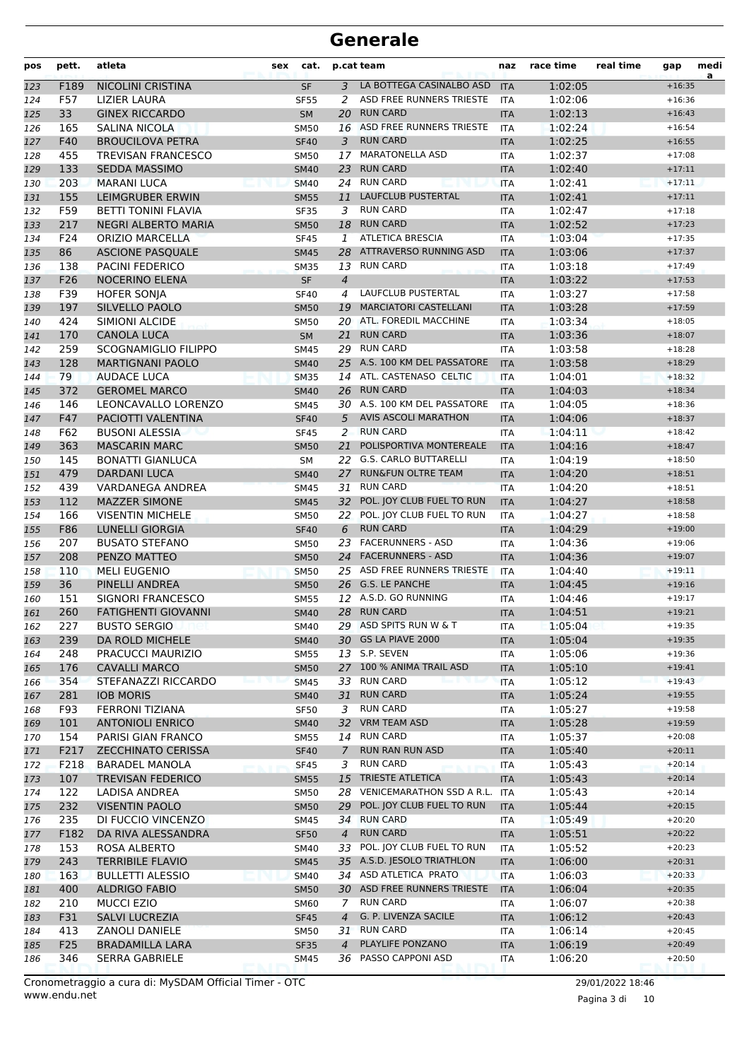| pos | pett.      | atleta                                          | sex | cat.        |                 | p.cat team                                          | naz        | race time          | real time | gap                  | medi<br>a |
|-----|------------|-------------------------------------------------|-----|-------------|-----------------|-----------------------------------------------------|------------|--------------------|-----------|----------------------|-----------|
| 123 | F189       | <b>NICOLINI CRISTINA</b>                        |     | <b>SF</b>   | $\overline{3}$  | LA BOTTEGA CASINALBO ASD                            | <b>ITA</b> | 1:02:05            |           | $+16:35$             |           |
| 124 | F57        | <b>LIZIER LAURA</b>                             |     | <b>SF55</b> | 2               | ASD FREE RUNNERS TRIESTE                            | <b>ITA</b> | 1:02:06            |           | $+16:36$             |           |
| 125 | 33         | <b>GINEX RICCARDO</b>                           |     | <b>SM</b>   | 20              | <b>RUN CARD</b>                                     | <b>ITA</b> | 1:02:13            |           | $+16:43$             |           |
| 126 | 165        | SALINA NICOLA                                   |     | <b>SM50</b> |                 | 16 ASD FREE RUNNERS TRIESTE                         | <b>ITA</b> | 1:02:24            |           | $+16:54$             |           |
| 127 | F40        | <b>BROUCILOVA PETRA</b>                         |     | <b>SF40</b> | 3               | <b>RUN CARD</b>                                     | <b>ITA</b> | 1:02:25            |           | $+16:55$             |           |
| 128 | 455        | TREVISAN FRANCESCO                              |     | <b>SM50</b> | 17              | <b>MARATONELLA ASD</b>                              | <b>ITA</b> | 1:02:37            |           | $+17:08$             |           |
| 129 | 133        | <b>SEDDA MASSIMO</b>                            |     | <b>SM40</b> | 23              | <b>RUN CARD</b>                                     | <b>ITA</b> | 1:02:40            |           | $+17:11$             |           |
| 130 | 203        | <b>MARANI LUCA</b>                              |     | <b>SM40</b> |                 | 24 RUN CARD                                         | <b>ITA</b> | 1:02:41            |           | $+17:11$             |           |
| 131 | 155        | <b>LEIMGRUBER ERWIN</b>                         |     | <b>SM55</b> | 11              | <b>LAUFCLUB PUSTERTAL</b>                           | <b>ITA</b> | 1:02:41            |           | $+17:11$             |           |
| 132 | F59        | <b>BETTI TONINI FLAVIA</b>                      |     | <b>SF35</b> | 3               | <b>RUN CARD</b>                                     | <b>ITA</b> | 1:02:47            |           | $+17:18$             |           |
| 133 | 217        | NEGRI ALBERTO MARIA                             |     | <b>SM50</b> | 18              | <b>RUN CARD</b>                                     | <b>ITA</b> | 1:02:52            |           | $+17:23$             |           |
| 134 | F24        | <b>ORIZIO MARCELLA</b>                          |     | <b>SF45</b> | 1               | <b>ATLETICA BRESCIA</b>                             | <b>ITA</b> | 1:03:04            |           | $+17:35$             |           |
| 135 | 86         | <b>ASCIONE PASQUALE</b>                         |     | <b>SM45</b> |                 | 28 ATTRAVERSO RUNNING ASD                           | <b>ITA</b> | 1:03:06            |           | $+17:37$             |           |
| 136 | 138        | <b>PACINI FEDERICO</b>                          |     | <b>SM35</b> |                 | 13 RUN CARD                                         | <b>ITA</b> | 1:03:18            |           | $+17:49$             |           |
| 137 | F26        | <b>NOCERINO ELENA</b>                           |     | <b>SF</b>   | $\overline{4}$  |                                                     | <b>ITA</b> | 1:03:22            |           | $+17:53$             |           |
| 138 | F39        | <b>HOFER SONJA</b>                              |     | <b>SF40</b> | 4               | LAUFCLUB PUSTERTAL                                  | <b>ITA</b> | 1:03:27            |           | $+17:58$             |           |
| 139 | 197        | SILVELLO PAOLO                                  |     | <b>SM50</b> | 19              | <b>MARCIATORI CASTELLANI</b>                        | <b>ITA</b> | 1:03:28            |           | $+17:59$             |           |
| 140 | 424        | SIMIONI ALCIDE                                  |     | <b>SM50</b> |                 | 20 ATL. FOREDIL MACCHINE                            | <b>ITA</b> | 1:03:34            |           | $+18:05$             |           |
| 141 | 170        | <b>CANOLA LUCA</b>                              |     | <b>SM</b>   | 21              | <b>RUN CARD</b>                                     | <b>ITA</b> | 1:03:36            |           | $+18:07$             |           |
| 142 | 259        | <b>SCOGNAMIGLIO FILIPPO</b>                     |     | <b>SM45</b> |                 | 29 RUN CARD                                         | <b>ITA</b> | 1:03:58            |           | $+18:28$             |           |
| 143 | 128        | <b>MARTIGNANI PAOLO</b>                         |     | <b>SM40</b> |                 | 25 A.S. 100 KM DEL PASSATORE                        | <b>ITA</b> | 1:03:58            |           | $+18:29$             |           |
| 144 | 79         | <b>AUDACE LUCA</b>                              |     | <b>SM35</b> | 14              | ATL. CASTENASO CELTIC                               | <b>ITA</b> | 1:04:01            |           | $+18:32$             |           |
| 145 | 372        | <b>GEROMEL MARCO</b>                            |     | <b>SM40</b> | 26              | <b>RUN CARD</b>                                     | <b>ITA</b> | 1:04:03            |           | $+18:34$             |           |
| 146 | 146        | LEONCAVALLO LORENZO                             |     | <b>SM45</b> |                 | 30 A.S. 100 KM DEL PASSATORE                        | <b>ITA</b> | 1:04:05            |           | $+18:36$             |           |
| 147 | F47        | PACIOTTI VALENTINA                              |     | <b>SF40</b> | 5               | <b>AVIS ASCOLI MARATHON</b>                         | <b>ITA</b> | 1:04:06            |           | $+18:37$             |           |
| 148 | F62        | <b>BUSONI ALESSIA</b>                           |     | <b>SF45</b> | 2               | <b>RUN CARD</b>                                     | <b>ITA</b> | 1:04:11            |           | $+18:42$             |           |
| 149 | 363        | <b>MASCARIN MARC</b>                            |     | <b>SM50</b> | 21              | POLISPORTIVA MONTEREALE                             | <b>ITA</b> | 1:04:16            |           | $+18:47$             |           |
| 150 | 145        | <b>BONATTI GIANLUCA</b>                         |     | <b>SM</b>   | 22              | <b>G.S. CARLO BUTTARELLI</b>                        | <b>ITA</b> | 1:04:19            |           | $+18:50$             |           |
| 151 | 479        | <b>DARDANI LUCA</b>                             |     | <b>SM40</b> | 27              | <b>RUN&amp;FUN OLTRE TEAM</b>                       | <b>ITA</b> | 1:04:20            |           | $+18:51$             |           |
| 152 | 439        | VARDANEGA ANDREA                                |     | <b>SM45</b> | 31              | <b>RUN CARD</b>                                     | <b>ITA</b> | 1:04:20            |           | $+18:51$             |           |
| 153 | 112        | <b>MAZZER SIMONE</b>                            |     | <b>SM45</b> | 32 <sup>2</sup> | POL. JOY CLUB FUEL TO RUN                           | <b>ITA</b> | 1:04:27            |           | $+18:58$             |           |
| 154 | 166        | <b>VISENTIN MICHELE</b>                         |     | <b>SM50</b> |                 | 22 POL. JOY CLUB FUEL TO RUN                        | <b>ITA</b> | 1:04:27            |           | $+18:58$             |           |
| 155 | F86        | <b>LUNELLI GIORGIA</b>                          |     | <b>SF40</b> | 6               | <b>RUN CARD</b>                                     | <b>ITA</b> | 1:04:29            |           | $+19:00$             |           |
| 156 | 207        | <b>BUSATO STEFANO</b>                           |     | <b>SM50</b> | 23              | <b>FACERUNNERS - ASD</b>                            | <b>ITA</b> | 1:04:36            |           | $+19:06$             |           |
| 157 | 208        | PENZO MATTEO                                    |     | <b>SM50</b> | 24              | <b>FACERUNNERS - ASD</b>                            | <b>ITA</b> | 1:04:36            |           | $+19:07$             |           |
| 158 | 110        | <b>MELI EUGENIO</b>                             |     | <b>SM50</b> |                 | 25 ASD FREE RUNNERS TRIESTE                         | <b>ITA</b> | 1:04:40            |           | $+19:11$             |           |
| 159 | 36         | PINELLI ANDREA                                  |     | <b>SM50</b> |                 | 26 G.S. LE PANCHE                                   | <b>ITA</b> | 1:04:45            |           | $+19:16$             |           |
| 160 | 151        | SIGNORI FRANCESCO                               |     | <b>SM55</b> |                 | 12 A.S.D. GO RUNNING                                | <b>ITA</b> | 1:04:46            |           | $+19:17$             |           |
| 161 | 260        | <b>FATIGHENTI GIOVANNI</b>                      |     | <b>SM40</b> |                 | 28 RUN CARD                                         | <b>ITA</b> | 1:04:51            |           | $+19:21$             |           |
| 162 | 227        | <b>BUSTO SERGIO</b>                             |     | <b>SM40</b> |                 | 29 ASD SPITS RUN W & T                              | ITA        | 1:05:04            |           | $+19:35$             |           |
| 163 | 239        | DA ROLD MICHELE                                 |     | <b>SM40</b> |                 | 30 GS LA PIAVE 2000                                 | <b>ITA</b> | 1:05:04            |           | $+19:35$             |           |
| 164 | 248        | PRACUCCI MAURIZIO                               |     | <b>SM55</b> |                 | 13 S.P. SEVEN                                       | ITA        | 1:05:06            |           | $+19:36$             |           |
| 165 | 176        | <b>CAVALLI MARCO</b>                            |     | <b>SM50</b> |                 | 27 100 % ANIMA TRAIL ASD                            | <b>ITA</b> | 1:05:10            |           | $+19:41$             |           |
| 166 | 354        | STEFANAZZI RICCARDO                             |     | <b>SM45</b> |                 | 33 RUN CARD                                         | <b>ITA</b> | 1:05:12            |           | $+19:43$             |           |
| 167 | 281        | <b>IOB MORIS</b>                                |     | <b>SM40</b> | 31              | <b>RUN CARD</b><br><b>RUN CARD</b>                  | <b>ITA</b> | 1:05:24            |           | $+19:55$             |           |
| 168 | F93        | <b>FERRONI TIZIANA</b>                          |     | SF50        | 3               | 32 VRM TEAM ASD                                     | ITA        | 1:05:27            |           | $+19:58$             |           |
| 169 | 101        | <b>ANTONIOLI ENRICO</b>                         |     | <b>SM40</b> |                 | 14 RUN CARD                                         | <b>ITA</b> | 1:05:28            |           | $+19:59$<br>$+20:08$ |           |
| 170 | 154        | PARISI GIAN FRANCO                              |     | <b>SM55</b> | $7^{\circ}$     | RUN RAN RUN ASD                                     | <b>ITA</b> | 1:05:37            |           |                      |           |
| 171 | F217       | <b>ZECCHINATO CERISSA</b>                       |     | <b>SF40</b> |                 | <b>RUN CARD</b>                                     | <b>ITA</b> | 1:05:40            |           | $+20:11$             |           |
| 172 | F218       | <b>BARADEL MANOLA</b>                           |     | <b>SF45</b> | 3               | <b>TRIESTE ATLETICA</b>                             | ITA        | 1:05:43            |           | $+20:14$<br>$+20:14$ |           |
| 173 | 107        | <b>TREVISAN FEDERICO</b>                        |     | <b>SM55</b> | 15              | VENICEMARATHON SSD A R.L.                           | <b>ITA</b> | 1:05:43            |           | $+20:14$             |           |
| 174 | 122<br>232 | LADISA ANDREA<br><b>VISENTIN PAOLO</b>          |     | <b>SM50</b> | 28              | POL. JOY CLUB FUEL TO RUN                           | <b>ITA</b> | 1:05:43<br>1:05:44 |           | $+20:15$             |           |
| 175 |            |                                                 |     | <b>SM50</b> | 29              | 34 RUN CARD                                         | <b>ITA</b> |                    |           | $+20:20$             |           |
| 176 | 235        | DI FUCCIO VINCENZO                              |     | SM45        |                 | <b>RUN CARD</b>                                     | ITA        | 1:05:49            |           |                      |           |
| 177 | F182       | DA RIVA ALESSANDRA                              |     | <b>SF50</b> | $\overline{4}$  | 33 POL. JOY CLUB FUEL TO RUN                        | <b>ITA</b> | 1:05:51            |           | $+20:22$             |           |
| 178 | 153        | ROSA ALBERTO                                    |     | SM40        |                 |                                                     | <b>ITA</b> | 1:05:52            |           | $+20:23$             |           |
| 179 | 243        | <b>TERRIBILE FLAVIO</b>                         |     | <b>SM45</b> |                 | 35 A.S.D. JESOLO TRIATHLON<br>34 ASD ATLETICA PRATO | <b>ITA</b> | 1:06:00            |           | $+20:31$             |           |
| 180 | 163        | <b>BULLETTI ALESSIO</b>                         |     | <b>SM40</b> |                 | 30 ASD FREE RUNNERS TRIESTE                         | <b>ITA</b> | 1:06:03            |           | $+20:33$             |           |
| 181 | 400        | <b>ALDRIGO FABIO</b>                            |     | <b>SM50</b> |                 | <b>RUN CARD</b>                                     | <b>ITA</b> | 1:06:04            |           | $+20:35$<br>$+20:38$ |           |
| 182 | 210        | <b>MUCCI EZIO</b>                               |     | SM60        | 7               | G. P. LIVENZA SACILE                                | ITA        | 1:06:07            |           | $+20:43$             |           |
| 183 | F31<br>413 | SALVI LUCREZIA<br>ZANOLI DANIELE                |     | <b>SF45</b> | $\overline{4}$  | 31 RUN CARD                                         | <b>ITA</b> | 1:06:12<br>1:06:14 |           | $+20:45$             |           |
| 184 |            |                                                 |     | <b>SM50</b> | $\overline{4}$  | PLAYLIFE PONZANO                                    | ITA        |                    |           | $+20:49$             |           |
| 185 | F25<br>346 | <b>BRADAMILLA LARA</b><br><b>SERRA GABRIELE</b> |     | <b>SF35</b> | 36              | PASSO CAPPONI ASD                                   | <b>ITA</b> | 1:06:19            |           | $+20:50$             |           |
| 186 |            |                                                 |     | SM45        |                 |                                                     | ITA        | 1:06:20            |           |                      |           |

www.endu.net Cronometraggio a cura di: MySDAM Official Timer - OTC 29/01/2022 18:46

Pagina 3 di 10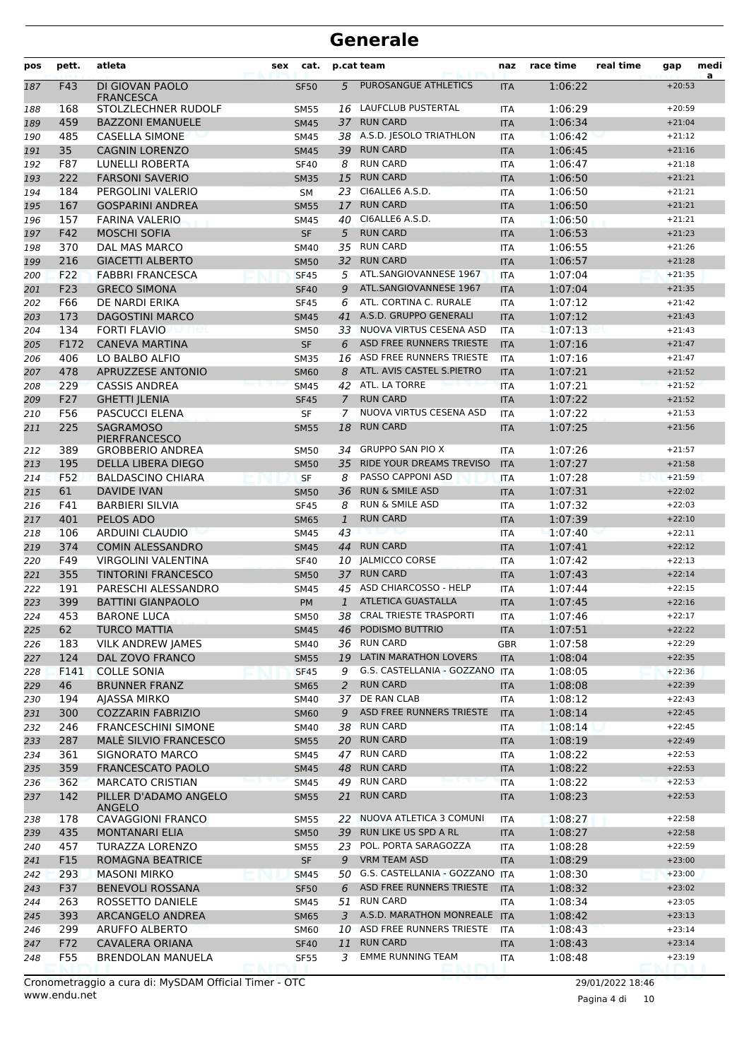| pos        | pett.       | atleta                                     | sex | cat.                       |                | p.cat team                                           | naz                      | race time          | real time | gap                  | medi<br>a |
|------------|-------------|--------------------------------------------|-----|----------------------------|----------------|------------------------------------------------------|--------------------------|--------------------|-----------|----------------------|-----------|
| 187        | F43         | DI GIOVAN PAOLO<br><b>FRANCESCA</b>        |     | <b>SF50</b>                | 5              | PUROSANGUE ATHLETICS                                 | <b>ITA</b>               | 1:06:22            |           | $+20:53$             |           |
| 188        | 168         | STOLZLECHNER RUDOLF                        |     | <b>SM55</b>                |                | 16 LAUFCLUB PUSTERTAL                                | <b>ITA</b>               | 1:06:29            |           | $+20:59$             |           |
| 189        | 459         | <b>BAZZONI EMANUELE</b>                    |     | <b>SM45</b>                | 37             | <b>RUN CARD</b>                                      | <b>ITA</b>               | 1:06:34            |           | $+21:04$             |           |
| 190        | 485         | <b>CASELLA SIMONE</b>                      |     | SM45                       |                | 38 A.S.D. IESOLO TRIATHLON                           | <b>ITA</b>               | 1:06:42            |           | $+21:12$             |           |
| 191        | 35          | <b>CAGNIN LORENZO</b>                      |     | <b>SM45</b>                | 39             | <b>RUN CARD</b>                                      | <b>ITA</b>               | 1:06:45            |           | $+21:16$             |           |
| 192        | F87         | LUNELLI ROBERTA                            |     | <b>SF40</b>                | 8              | <b>RUN CARD</b>                                      | <b>ITA</b>               | 1:06:47            |           | $+21:18$             |           |
| 193        | 222         | <b>FARSONI SAVERIO</b>                     |     | <b>SM35</b>                | 15             | <b>RUN CARD</b>                                      | <b>ITA</b>               | 1:06:50            |           | $+21:21$             |           |
| 194        | 184         | PERGOLINI VALERIO                          |     | <b>SM</b>                  | 23             | CI6ALLE6 A.S.D.                                      | <b>ITA</b>               | 1:06:50            |           | $+21:21$             |           |
| 195        | 167         | <b>GOSPARINI ANDREA</b>                    |     | <b>SM55</b>                | 17             | <b>RUN CARD</b>                                      | <b>ITA</b>               | 1:06:50            |           | $+21:21$             |           |
| 196        | 157         | <b>FARINA VALERIO</b>                      |     | SM45                       | 40             | CI6ALLE6 A.S.D.                                      | <b>ITA</b>               | 1:06:50            |           | $+21:21$             |           |
| 197        | F42         | <b>MOSCHI SOFIA</b>                        |     | <b>SF</b>                  | 5              | <b>RUN CARD</b>                                      | <b>ITA</b>               | 1:06:53            |           | $+21:23$             |           |
| 198        | 370         | DAL MAS MARCO                              |     | <b>SM40</b>                | 35             | <b>RUN CARD</b>                                      | <b>ITA</b>               | 1:06:55            |           | $+21:26$             |           |
| 199        | 216         | <b>GIACETTI ALBERTO</b>                    |     | <b>SM50</b>                | 32             | <b>RUN CARD</b>                                      | <b>ITA</b>               | 1:06:57            |           | $+21:28$             |           |
| 200        | F22         | <b>FABBRI FRANCESCA</b>                    |     | <b>SF45</b>                | 5              | ATL.SANGIOVANNESE 1967                               | <b>ITA</b>               | 1:07:04            |           | $+21:35$             |           |
| 201        | F23         | <b>GRECO SIMONA</b>                        |     | <b>SF40</b>                | 9              | ATL.SANGIOVANNESE 1967                               | <b>ITA</b>               | 1:07:04            |           | $+21:35$             |           |
| 202        | F66         | DE NARDI ERIKA                             |     | <b>SF45</b>                | 6              | ATL. CORTINA C. RURALE                               | <b>ITA</b>               | 1:07:12            |           | $+21:42$             |           |
| 203        | 173         | <b>DAGOSTINI MARCO</b>                     |     | <b>SM45</b>                | 41             | A.S.D. GRUPPO GENERALI<br>33 NUOVA VIRTUS CESENA ASD | <b>ITA</b>               | 1:07:12            |           | $+21:43$             |           |
| 204        | 134<br>F172 | <b>FORTI FLAVIO</b><br>met                 |     | <b>SM50</b>                |                | ASD FREE RUNNERS TRIESTE                             | <b>ITA</b>               | 1:07:13<br>1:07:16 |           | $+21:43$<br>$+21:47$ |           |
| 205        | 406         | <b>CANEVA MARTINA</b><br>LO BALBO ALFIO    |     | <b>SF</b>                  | 6<br>16        | ASD FREE RUNNERS TRIESTE                             | <b>ITA</b><br><b>ITA</b> | 1:07:16            |           | $+21:47$             |           |
| 206        | 478         | APRUZZESE ANTONIO                          |     | <b>SM35</b>                | 8              | ATL. AVIS CASTEL S.PIETRO                            | <b>ITA</b>               | 1:07:21            |           | $+21:52$             |           |
| 207        | 229         | <b>CASSIS ANDREA</b>                       |     | <b>SM60</b><br><b>SM45</b> |                | 42 ATL. LA TORRE                                     | <b>ITA</b>               | 1:07:21            |           | $+21:52$             |           |
| 208        | F27         | <b>GHETTI JLENIA</b>                       |     | <b>SF45</b>                | $\overline{7}$ | <b>RUN CARD</b>                                      | <b>ITA</b>               | 1:07:22            |           | $+21:52$             |           |
| 209<br>210 | F56         | <b>PASCUCCI ELENA</b>                      |     | SF                         | 7              | NUOVA VIRTUS CESENA ASD                              | <b>ITA</b>               | 1:07:22            |           | $+21:53$             |           |
| 211        | 225         | <b>SAGRAMOSO</b>                           |     | <b>SM55</b>                | 18             | <b>RUN CARD</b>                                      | <b>ITA</b>               | 1:07:25            |           | $+21:56$             |           |
|            |             | <b>PIERFRANCESCO</b>                       |     |                            |                |                                                      |                          |                    |           |                      |           |
| 212        | 389         | <b>GROBBERIO ANDREA</b>                    |     | <b>SM50</b>                | 34             | <b>GRUPPO SAN PIO X</b>                              | <b>ITA</b>               | 1:07:26            |           | $+21:57$             |           |
| 213        | 195         | DELLA LIBERA DIEGO                         |     | <b>SM50</b>                | 35             | RIDE YOUR DREAMS TREVISO                             | <b>ITA</b>               | 1:07:27            |           | $+21:58$             |           |
| 214        | F52         | <b>BALDASCINO CHIARA</b>                   |     | <b>SF</b>                  | 8              | PASSO CAPPONI ASD                                    | <b>ITA</b>               | 1:07:28            |           | $+21:59$             |           |
| 215        | 61          | <b>DAVIDE IVAN</b>                         |     | <b>SM50</b>                | 36             | <b>RUN &amp; SMILE ASD</b>                           | <b>ITA</b>               | 1:07:31            |           | $+22:02$             |           |
| 216        | F41         | <b>BARBIERI SILVIA</b>                     |     | <b>SF45</b>                | 8              | <b>RUN &amp; SMILE ASD</b>                           | <b>ITA</b>               | 1:07:32            |           | $+22:03$             |           |
| 217        | 401         | PELOS ADO                                  |     | <b>SM65</b>                | 1              | <b>RUN CARD</b>                                      | <b>ITA</b>               | 1:07:39            |           | $+22:10$             |           |
| 218        | 106         | ARDUINI CLAUDIO                            |     | <b>SM45</b>                | 43             |                                                      | <b>ITA</b>               | 1:07:40            |           | $+22:11$             |           |
| 219        | 374         | <b>COMIN ALESSANDRO</b>                    |     | <b>SM45</b>                | 44             | <b>RUN CARD</b>                                      | <b>ITA</b>               | 1:07:41            |           | $+22:12$             |           |
| 220        | F49         | <b>VIRGOLINI VALENTINA</b>                 |     | <b>SF40</b>                |                | 10 JALMICCO CORSE                                    | <b>ITA</b>               | 1:07:42            |           | $+22:13$             |           |
| 221        | 355         | <b>TINTORINI FRANCESCO</b>                 |     | <b>SM50</b>                |                | 37 RUN CARD                                          | <b>ITA</b>               | 1:07:43            |           | $+22:14$             |           |
| 222        | 191         | PARESCHI ALESSANDRO                        |     | <b>SM45</b>                |                | 45 ASD CHIARCOSSO - HELP                             | <b>ITA</b>               | 1:07:44            |           | $+22:15$             |           |
| 223        | 399         | <b>BATTINI GIANPAOLO</b>                   |     | <b>PM</b>                  | $\mathbf{1}$   | <b>ATLETICA GUASTALLA</b>                            | <b>ITA</b>               | 1:07:45            |           | $+22:16$             |           |
| 224        | 453         | <b>BARONE LUCA</b>                         |     | <b>SM50</b>                |                | 38 CRAL TRIESTE TRASPORTI                            | <b>ITA</b>               | 1:07:46            |           | $+22:17$             |           |
| 225        | 62          | <b>TURCO MATTIA</b>                        |     | <b>SM45</b>                |                | 46 PODISMO BUTTRIO                                   | <b>ITA</b>               | 1:07:51            |           | $+22:22$             |           |
| 226        | 183         | <b>VILK ANDREW JAMES</b>                   |     | SM40                       |                | 36 RUN CARD<br>19 LATIN MARATHON LOVERS              | GBR                      | 1:07:58            |           | $+22:29$             |           |
| 227        | 124         | DAL ZOVO FRANCO                            |     | <b>SM55</b>                |                | G.S. CASTELLANIA - GOZZANO ITA                       | <b>ITA</b>               | 1:08:04            |           | $+22:35$             |           |
| 228<br>229 | F141<br>46  | <b>COLLE SONIA</b><br><b>BRUNNER FRANZ</b> |     | <b>SF45</b><br><b>SM65</b> | 9<br>2         | <b>RUN CARD</b>                                      | <b>ITA</b>               | 1:08:05<br>1:08:08 |           | $+22:36$<br>$+22:39$ |           |
| 230        | 194         | AJASSA MIRKO                               |     | SM40                       | 37             | DE RAN CLAB                                          | ITA                      | 1:08:12            |           | $+22:43$             |           |
| 231        | 300         | <b>COZZARIN FABRIZIO</b>                   |     | <b>SM60</b>                | 9              | ASD FREE RUNNERS TRIESTE                             | <b>ITA</b>               | 1:08:14            |           | $+22:45$             |           |
| 232        | 246         | <b>FRANCESCHINI SIMONE</b>                 |     | SM40                       |                | 38 RUN CARD                                          | ITA                      | 1:08:14            |           | $+22:45$             |           |
| 233        | 287         | MALE SILVIO FRANCESCO                      |     | <b>SM55</b>                |                | 20 RUN CARD                                          | <b>ITA</b>               | 1:08:19            |           | $+22:49$             |           |
| 234        | 361         | <b>SIGNORATO MARCO</b>                     |     | SM45                       |                | 47 RUN CARD                                          | ITA                      | 1:08:22            |           | $+22:53$             |           |
| 235        | 359         | <b>FRANCESCATO PAOLO</b>                   |     | <b>SM45</b>                | 48             | <b>RUN CARD</b>                                      | <b>ITA</b>               | 1:08:22            |           | $+22:53$             |           |
| 236        | 362         | <b>MARCATO CRISTIAN</b>                    |     | <b>SM45</b>                |                | 49 RUN CARD                                          | <b>ITA</b>               | 1:08:22            |           | $+22:53$             |           |
| 237        | 142         | PILLER D'ADAMO ANGELO                      |     | <b>SM55</b>                | 21             | <b>RUN CARD</b>                                      | <b>ITA</b>               | 1:08:23            |           | $+22:53$             |           |
| 238        | 178         | <b>ANGELO</b><br><b>CAVAGGIONI FRANCO</b>  |     | SM55                       |                | 22 NUOVA ATLETICA 3 COMUNI                           | ITA                      | 1:08:27            |           | $+22:58$             |           |
| 239        | 435         | <b>MONTANARI ELIA</b>                      |     | <b>SM50</b>                |                | 39 RUN LIKE US SPD A RL                              | <b>ITA</b>               | 1:08:27            |           | $+22:58$             |           |
| 240        | 457         | TURAZZA LORENZO                            |     | <b>SM55</b>                |                | 23 POL. PORTA SARAGOZZA                              | ITA                      | 1:08:28            |           | $+22:59$             |           |
| 241        | F15         | ROMAGNA BEATRICE                           |     | SF                         | 9              | <b>VRM TEAM ASD</b>                                  | <b>ITA</b>               | 1:08:29            |           | $+23:00$             |           |
| 242        | 293         | <b>MASONI MIRKO</b>                        |     | <b>SM45</b>                | 50             | G.S. CASTELLANIA - GOZZANO ITA                       |                          | 1:08:30            |           | $+23:00$             |           |
| 243        | F37         | <b>BENEVOLI ROSSANA</b>                    |     | <b>SF50</b>                | 6              | ASD FREE RUNNERS TRIESTE                             | <b>ITA</b>               | 1:08:32            |           | $+23:02$             |           |
| 244        | 263         | ROSSETTO DANIELE                           |     | SM45                       | 51             | <b>RUN CARD</b>                                      | ITA                      | 1:08:34            |           | $+23:05$             |           |
| 245        | 393         | ARCANGELO ANDREA                           |     | <b>SM65</b>                | 3              | A.S.D. MARATHON MONREALE ITA                         |                          | 1:08:42            |           | $+23:13$             |           |
| 246        | 299         | ARUFFO ALBERTO                             |     | SM60                       |                | 10 ASD FREE RUNNERS TRIESTE                          | <b>ITA</b>               | 1:08:43            |           | $+23:14$             |           |
| 247        | F72         | <b>CAVALERA ORIANA</b>                     |     | <b>SF40</b>                | 11             | <b>RUN CARD</b>                                      | <b>ITA</b>               | 1:08:43            |           | $+23:14$             |           |
| 248        | F55         | BRENDOLAN MANUELA                          |     | <b>SF55</b>                | 3              | <b>EMME RUNNING TEAM</b>                             | ITA                      | 1:08:48            |           | $+23:19$             |           |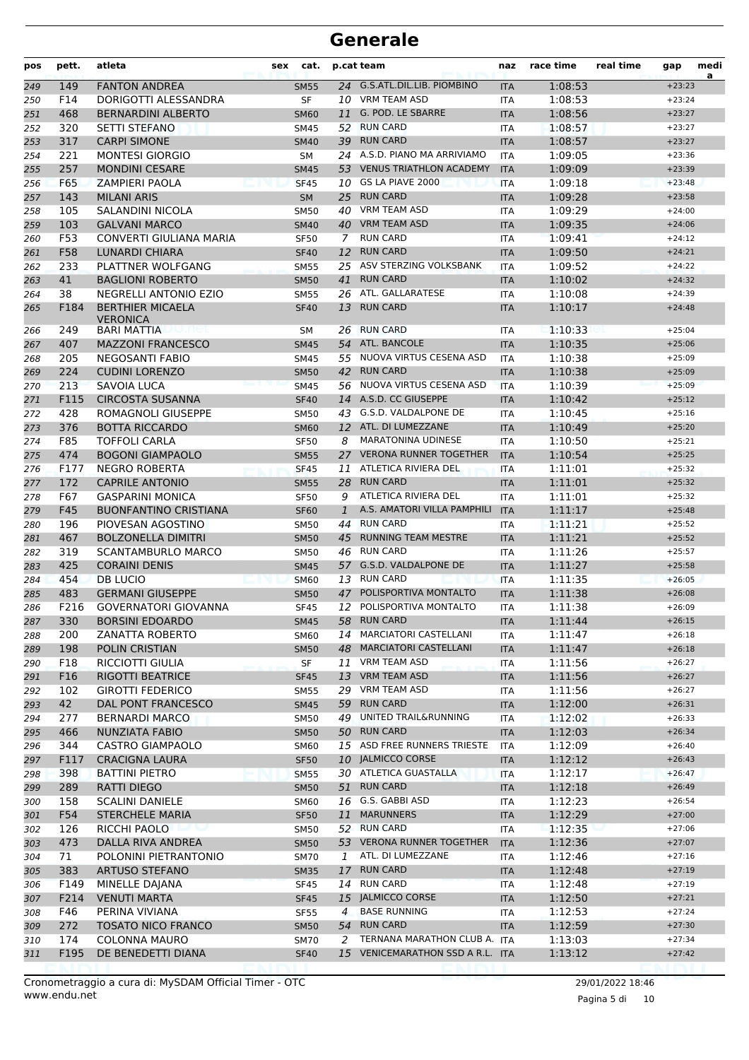| pos | pett. | atleta                                     | cat.<br>sex |    | p.cat team                       | naz        | race time | real time | gap      | medi<br>a |
|-----|-------|--------------------------------------------|-------------|----|----------------------------------|------------|-----------|-----------|----------|-----------|
| 249 | 149   | <b>FANTON ANDREA</b>                       | <b>SM55</b> |    | 24 G.S.ATL.DIL.LIB. PIOMBINO     | <b>ITA</b> | 1:08:53   |           | $+23:23$ |           |
| 250 | F14   | DORIGOTTI ALESSANDRA                       | <b>SF</b>   |    | 10 VRM TEAM ASD                  | ITA        | 1:08:53   |           | $+23:24$ |           |
| 251 | 468   | <b>BERNARDINI ALBERTO</b>                  | <b>SM60</b> | 11 | G. POD. LE SBARRE                | <b>ITA</b> | 1:08:56   |           | $+23:27$ |           |
| 252 | 320   | <b>SETTI STEFANO</b>                       | SM45        |    | 52 RUN CARD                      | <b>ITA</b> | 1:08:57   |           | $+23:27$ |           |
| 253 | 317   | <b>CARPI SIMONE</b>                        | <b>SM40</b> | 39 | <b>RUN CARD</b>                  | <b>ITA</b> | 1:08:57   |           | $+23:27$ |           |
| 254 | 221   | <b>MONTESI GIORGIO</b>                     | <b>SM</b>   |    | 24 A.S.D. PIANO MA ARRIVIAMO     | <b>ITA</b> | 1:09:05   |           | $+23:36$ |           |
| 255 | 257   | <b>MONDINI CESARE</b>                      | <b>SM45</b> | 53 | <b>VENUS TRIATHLON ACADEMY</b>   | <b>ITA</b> | 1:09:09   |           | $+23:39$ |           |
| 256 | F65   | ZAMPIERI PAOLA                             | <b>SF45</b> |    | 10 GS LA PIAVE 2000              | <b>ITA</b> | 1:09:18   |           | $+23:48$ |           |
| 257 | 143   | <b>MILANI ARIS</b>                         | <b>SM</b>   | 25 | <b>RUN CARD</b>                  | <b>ITA</b> | 1:09:28   |           | $+23:58$ |           |
| 258 | 105   | SALANDINI NICOLA                           | <b>SM50</b> | 40 | <b>VRM TEAM ASD</b>              | <b>ITA</b> | 1:09:29   |           | $+24:00$ |           |
| 259 | 103   | <b>GALVANI MARCO</b>                       | <b>SM40</b> | 40 | <b>VRM TEAM ASD</b>              | <b>ITA</b> | 1:09:35   |           | $+24:06$ |           |
| 260 | F53   | CONVERTI GIULIANA MARIA                    | <b>SF50</b> | 7  | <b>RUN CARD</b>                  | <b>ITA</b> | 1:09:41   |           | $+24:12$ |           |
| 261 | F58   | <b>LUNARDI CHIARA</b>                      | <b>SF40</b> | 12 | <b>RUN CARD</b>                  | <b>ITA</b> | 1:09:50   |           | $+24:21$ |           |
| 262 | 233   | PLATTNER WOLFGANG                          | <b>SM55</b> |    | 25 ASV STERZING VOLKSBANK        | ITA        | 1:09:52   |           | $+24:22$ |           |
| 263 | 41    | <b>BAGLIONI ROBERTO</b>                    | <b>SM50</b> | 41 | <b>RUN CARD</b>                  | <b>ITA</b> | 1:10:02   |           | $+24:32$ |           |
| 264 | 38    | NEGRELLI ANTONIO EZIO                      | <b>SM55</b> |    | 26 ATL. GALLARATESE              | <b>ITA</b> | 1:10:08   |           | $+24:39$ |           |
| 265 | F184  | <b>BERTHIER MICAELA</b><br><b>VERONICA</b> | <b>SF40</b> | 13 | <b>RUN CARD</b>                  | <b>ITA</b> | 1:10:17   |           | $+24:48$ |           |
| 266 | 249   | <b>BARI MATTIA</b><br>wiici                | <b>SM</b>   | 26 | <b>RUN CARD</b>                  | <b>ITA</b> | 1:10:33   |           | $+25:04$ |           |
| 267 | 407   | <b>MAZZONI FRANCESCO</b>                   | <b>SM45</b> | 54 | ATL. BANCOLE                     | <b>ITA</b> | 1:10:35   |           | $+25:06$ |           |
| 268 | 205   | <b>NEGOSANTI FABIO</b>                     | SM45        |    | 55 NUOVA VIRTUS CESENA ASD       | <b>ITA</b> | 1:10:38   |           | $+25:09$ |           |
| 269 | 224   | <b>CUDINI LORENZO</b>                      | <b>SM50</b> |    | 42 RUN CARD                      | <b>ITA</b> | 1:10:38   |           | $+25:09$ |           |
| 270 | 213   | SAVOIA LUCA                                | <b>SM45</b> |    | 56 NUOVA VIRTUS CESENA ASD       | <b>ITA</b> | 1:10:39   |           | $+25:09$ |           |
| 271 | F115  | <b>CIRCOSTA SUSANNA</b>                    | <b>SF40</b> |    | 14 A.S.D. CC GIUSEPPE            | <b>ITA</b> | 1:10:42   |           | $+25:12$ |           |
| 272 | 428   | ROMAGNOLI GIUSEPPE                         | <b>SM50</b> | 43 | G.S.D. VALDALPONE DE             | <b>ITA</b> | 1:10:45   |           | $+25:16$ |           |
| 273 | 376   | <b>BOTTA RICCARDO</b>                      | <b>SM60</b> |    | 12 ATL. DI LUMEZZANE             | <b>ITA</b> | 1:10:49   |           | $+25:20$ |           |
| 274 | F85   | <b>TOFFOLI CARLA</b>                       | <b>SF50</b> | 8  | <b>MARATONINA UDINESE</b>        | ITA        | 1:10:50   |           | $+25:21$ |           |
| 275 | 474   | <b>BOGONI GIAMPAOLO</b>                    | <b>SM55</b> |    | 27 VERONA RUNNER TOGETHER        | <b>ITA</b> | 1:10:54   |           | $+25:25$ |           |
| 276 | F177  | <b>NEGRO ROBERTA</b>                       | <b>SF45</b> |    | 11 ATLETICA RIVIERA DEL          | <b>ITA</b> | 1:11:01   |           | $+25:32$ |           |
| 277 | 172   | <b>CAPRILE ANTONIO</b>                     | <b>SM55</b> | 28 | <b>RUN CARD</b>                  | <b>ITA</b> | 1:11:01   |           | $+25:32$ |           |
| 278 | F67   | <b>GASPARINI MONICA</b>                    | <b>SF50</b> | 9  | ATLETICA RIVIERA DEL             | <b>ITA</b> | 1:11:01   |           | $+25:32$ |           |
| 279 | F45   | <b>BUONFANTINO CRISTIANA</b>               | <b>SF60</b> | 1  | A.S. AMATORI VILLA PAMPHILI      | <b>ITA</b> | 1:11:17   |           | $+25:48$ |           |
| 280 | 196   | PIOVESAN AGOSTINO                          | <b>SM50</b> |    | 44 RUN CARD                      | <b>ITA</b> | 1:11:21   |           | $+25:52$ |           |
| 281 | 467   | <b>BOLZONELLA DIMITRI</b>                  | <b>SM50</b> | 45 | <b>RUNNING TEAM MESTRE</b>       | <b>ITA</b> | 1:11:21   |           | $+25:52$ |           |
| 282 | 319   | <b>SCANTAMBURLO MARCO</b>                  | <b>SM50</b> | 46 | <b>RUN CARD</b>                  | <b>ITA</b> | 1:11:26   |           | $+25:57$ |           |
| 283 | 425   | <b>CORAINI DENIS</b>                       | <b>SM45</b> | 57 | G.S.D. VALDALPONE DE             | <b>ITA</b> | 1:11:27   |           | $+25:58$ |           |
| 284 | 454   | <b>DB LUCIO</b>                            | <b>SM60</b> | 13 | <b>RUN CARD</b>                  | <b>ITA</b> | 1:11:35   |           | $+26:05$ |           |
| 285 | 483   | <b>GERMANI GIUSEPPE</b>                    | <b>SM50</b> | 47 | POLISPORTIVA MONTALTO            | <b>ITA</b> | 1:11:38   |           | $+26:08$ |           |
| 286 | F216  | <b>GOVERNATORI GIOVANNA</b>                | <b>SF45</b> |    | 12 POLISPORTIVA MONTALTO         | <b>ITA</b> | 1:11:38   |           | $+26:09$ |           |
| 287 | 330   | <b>BORSINI EDOARDO</b>                     | <b>SM45</b> |    | 58 RUN CARD                      | <b>ITA</b> | 1:11:44   |           | $+26:15$ |           |
| 288 | 200   | ZANATTA ROBERTO                            | <b>SM60</b> |    | 14 MARCIATORI CASTELLANI         | ITA        | 1:11:47   |           | $+26:18$ |           |
| 289 | 198   | POLIN CRISTIAN                             | <b>SM50</b> | 48 | <b>MARCIATORI CASTELLANI</b>     | <b>ITA</b> | 1:11:47   |           | $+26:18$ |           |
| 290 | F18   | RICCIOTTI GIULIA                           | SF          |    | 11 VRM TEAM ASD                  | ITA        | 1:11:56   |           | $+26:27$ |           |
| 291 | F16   | <b>RIGOTTI BEATRICE</b>                    | <b>SF45</b> | 13 | <b>VRM TEAM ASD</b>              | <b>ITA</b> | 1:11:56   |           | $+26:27$ |           |
| 292 | 102   | <b>GIROTTI FEDERICO</b>                    | <b>SM55</b> |    | 29 VRM TEAM ASD                  | ITA        | 1:11:56   |           | $+26:27$ |           |
| 293 | 42    | DAL PONT FRANCESCO                         | <b>SM45</b> |    | 59 RUN CARD                      | <b>ITA</b> | 1:12:00   |           | $+26:31$ |           |
| 294 | 277   | <b>BERNARDI MARCO</b>                      | <b>SM50</b> | 49 | UNITED TRAIL&RUNNING             | ITA        | 1:12:02   |           | $+26:33$ |           |
| 295 | 466   | <b>NUNZIATA FABIO</b>                      | <b>SM50</b> |    | 50 RUN CARD                      | <b>ITA</b> | 1:12:03   |           | $+26:34$ |           |
| 296 | 344   | <b>CASTRO GIAMPAOLO</b>                    | SM60        |    | 15 ASD FREE RUNNERS TRIESTE      | ITA        | 1:12:09   |           | $+26:40$ |           |
| 297 | F117  | <b>CRACIGNA LAURA</b>                      | <b>SF50</b> |    | 10 JALMICCO CORSE                | <b>ITA</b> | 1:12:12   |           | $+26:43$ |           |
| 298 | 398   | <b>BATTINI PIETRO</b>                      | <b>SM55</b> |    | 30 ATLETICA GUASTALLA            | <b>ITA</b> | 1:12:17   |           | $+26:47$ |           |
| 299 | 289   | RATTI DIEGO                                | <b>SM50</b> |    | 51 RUN CARD                      | <b>ITA</b> | 1:12:18   |           | $+26:49$ |           |
| 300 | 158   | <b>SCALINI DANIELE</b>                     | SM60        |    | 16 G.S. GABBI ASD                | ITA        | 1:12:23   |           | $+26:54$ |           |
| 301 | F54   | <b>STERCHELE MARIA</b>                     | <b>SF50</b> | 11 | <b>MARUNNERS</b>                 | <b>ITA</b> | 1:12:29   |           | $+27:00$ |           |
| 302 | 126   | RICCHI PAOLO                               | <b>SM50</b> |    | 52 RUN CARD                      | ITA        | 1:12:35   |           | $+27:06$ |           |
| 303 | 473   | DALLA RIVA ANDREA                          | <b>SM50</b> |    | 53 VERONA RUNNER TOGETHER        | <b>ITA</b> | 1:12:36   |           | $+27:07$ |           |
| 304 | 71    | POLONINI PIETRANTONIO                      | <b>SM70</b> | 1  | ATL. DI LUMEZZANE                | ITA        | 1:12:46   |           | $+27:16$ |           |
| 305 | 383   | <b>ARTUSO STEFANO</b>                      | <b>SM35</b> | 17 | <b>RUN CARD</b>                  | <b>ITA</b> | 1:12:48   |           | $+27:19$ |           |
| 306 | F149  | MINELLE DAJANA                             | <b>SF45</b> |    | 14 RUN CARD                      | ITA        | 1:12:48   |           | $+27:19$ |           |
| 307 | F214  | <b>VENUTI MARTA</b>                        | <b>SF45</b> |    | 15 JALMICCO CORSE                | <b>ITA</b> | 1:12:50   |           | $+27:21$ |           |
| 308 | F46   | PERINA VIVIANA                             | <b>SF55</b> | 4  | <b>BASE RUNNING</b>              | <b>ITA</b> | 1:12:53   |           | $+27:24$ |           |
| 309 | 272   | <b>TOSATO NICO FRANCO</b>                  | <b>SM50</b> |    | 54 RUN CARD                      | <b>ITA</b> | 1:12:59   |           | $+27:30$ |           |
|     | 174   | <b>COLONNA MAURO</b>                       | <b>SM70</b> | 2  | TERNANA MARATHON CLUB A. ITA     |            | 1:13:03   |           | $+27:34$ |           |
| 310 | F195  | DE BENEDETTI DIANA                         | <b>SF40</b> |    | 15 VENICEMARATHON SSD A R.L. ITA |            | 1:13:12   |           | $+27:42$ |           |
| 311 |       |                                            |             |    |                                  |            |           |           |          |           |

Pagina 5 di 10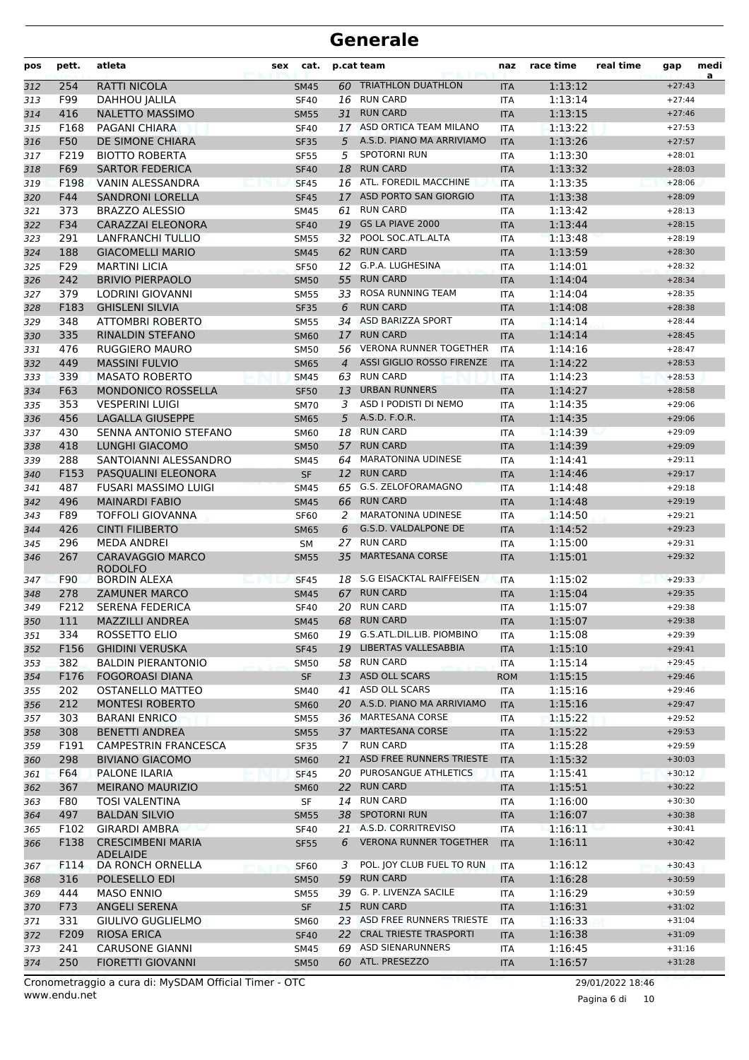| 60 TRIATHLON DUATHLON<br><b>RATTI NICOLA</b><br>$+27:43$<br>254<br>1:13:12<br><b>SM45</b><br><b>ITA</b><br>312<br>F99<br>16 RUN CARD<br>1:13:14<br>DAHHOU JALILA<br><b>SF40</b><br><b>ITA</b><br>$+27:44$<br>313<br><b>RUN CARD</b><br>1:13:15<br>416<br><b>NALETTO MASSIMO</b><br>31<br><b>ITA</b><br>314<br><b>SM55</b><br>$+27:46$<br>17 ASD ORTICA TEAM MILANO<br>F168<br>PAGANI CHIARA<br><b>SF40</b><br><b>ITA</b><br>1:13:22<br>$+27:53$<br>315<br>F50<br>A.S.D. PIANO MA ARRIVIAMO<br>1:13:26<br>316<br>DE SIMONE CHIARA<br><b>SF35</b><br>5<br><b>ITA</b><br>$+27:57$<br>F219<br><b>SPOTORNI RUN</b><br><b>BIOTTO ROBERTA</b><br>5<br>1:13:30<br><b>SF55</b><br><b>ITA</b><br>$+28:01$<br>317<br><b>RUN CARD</b><br>F69<br><b>SARTOR FEDERICA</b><br>18<br>1:13:32<br><b>SF40</b><br><b>ITA</b><br>$+28:03$<br>318<br>16 ATL. FOREDIL MACCHINE<br>F198<br><b>VANIN ALESSANDRA</b><br>1:13:35<br>319<br><b>SF45</b><br><b>ITA</b><br>$+28:06$<br>F44<br>ASD PORTO SAN GIORGIO<br>1:13:38<br><b>SANDRONI LORELLA</b><br><b>SF45</b><br><b>ITA</b><br>$+28:09$<br>320<br>17<br><b>RUN CARD</b><br>1:13:42<br>$+28:13$<br>373<br><b>BRAZZO ALESSIO</b><br><b>SM45</b><br>61<br>321<br><b>ITA</b><br>GS LA PIAVE 2000<br>F34<br>1:13:44<br>322<br>CARAZZAI ELEONORA<br><b>SF40</b><br>19<br><b>ITA</b><br>$+28:15$<br>POOL SOC.ATL.ALTA<br>291<br>LANFRANCHI TULLIO<br><b>ITA</b><br>1:13:48<br>$+28:19$<br>323<br><b>SM55</b><br>32<br>62 RUN CARD<br><b>GIACOMELLI MARIO</b><br>188<br><b>SM45</b><br><b>ITA</b><br>1:13:59<br>$+28:30$<br>324<br>F29<br>12 G.P.A. LUGHESINA<br>325<br><b>MARTINI LICIA</b><br><b>SF50</b><br><b>ITA</b><br>1:14:01<br>$+28:32$<br>242<br><b>RUN CARD</b><br>1:14:04<br><b>BRIVIO PIERPAOLO</b><br>55<br>$+28:34$<br>326<br><b>SM50</b><br><b>ITA</b><br>ROSA RUNNING TEAM<br>379<br>LODRINI GIOVANNI<br><b>SM55</b><br>33<br>1:14:04<br>$+28:35$<br>327<br><b>ITA</b><br><b>RUN CARD</b><br>328<br>F183<br><b>GHISLENI SILVIA</b><br><b>SF35</b><br><b>ITA</b><br>1:14:08<br>6<br>$+28:38$<br>348<br>34 ASD BARIZZA SPORT<br><b>ATTOMBRI ROBERTO</b><br>1:14:14<br><b>SM55</b><br><b>ITA</b><br>$+28:44$<br>329<br><b>RUN CARD</b><br>335<br>1:14:14<br>RINALDIN STEFANO<br><b>SM60</b><br>17<br><b>ITA</b><br>$+28:45$<br>330<br>476<br><b>RUGGIERO MAURO</b><br>56 VERONA RUNNER TOGETHER<br>1:14:16<br><b>SM50</b><br><b>ITA</b><br>$+28:47$<br>331<br><b>ASSI GIGLIO ROSSO FIRENZE</b><br>1:14:22<br>449<br><b>MASSINI FULVIO</b><br>$+28:53$<br>4<br><b>ITA</b><br>332<br><b>SM65</b><br><b>RUN CARD</b><br>1:14:23<br>339<br><b>MASATO ROBERTO</b><br>63<br>$+28:53$<br>333<br><b>SM45</b><br><b>ITA</b><br>F63<br><b>URBAN RUNNERS</b><br>1:14:27<br>334<br><b>MONDONICO ROSSELLA</b><br><b>SF50</b><br>13<br><b>ITA</b><br>$+28:58$<br>353<br>ASD I PODISTI DI NEMO<br><b>VESPERINI LUIGI</b><br>1:14:35<br><b>SM70</b><br>3<br><b>ITA</b><br>$+29:06$<br>335<br>A.S.D. F.O.R.<br>456<br><b>LAGALLA GIUSEPPE</b><br>5<br>1:14:35<br><b>SM65</b><br><b>ITA</b><br>$+29:06$<br>336<br>430<br>SENNA ANTONIO STEFANO<br>18 RUN CARD<br>1:14:39<br>SM60<br><b>ITA</b><br>$+29:09$<br>337<br>418<br><b>RUN CARD</b><br><b>LUNGHI GIACOMO</b><br>1:14:39<br>57<br>$+29:09$<br>338<br><b>SM50</b><br><b>ITA</b><br><b>MARATONINA UDINESE</b><br>288<br>SANTOIANNI ALESSANDRO<br>64<br>1:14:41<br>$+29:11$<br>339<br><b>SM45</b><br><b>ITA</b><br>F153<br><b>RUN CARD</b><br>340<br>PASQUALINI ELEONORA<br><b>SF</b><br>12<br><b>ITA</b><br>1:14:46<br>$+29:17$<br>65 G.S. ZELOFORAMAGNO<br>487<br>FUSARI MASSIMO LUIGI<br>1:14:48<br><b>ITA</b><br>$+29:18$<br>341<br><b>SM45</b><br><b>RUN CARD</b><br><b>MAINARDI FABIO</b><br>496<br><b>SM45</b><br>66<br><b>ITA</b><br>1:14:48<br>$+29:19$<br>342<br>F89<br><b>MARATONINA UDINESE</b><br>1:14:50<br>TOFFOLI GIOVANNA<br><b>SF60</b><br>2<br><b>ITA</b><br>$+29:21$<br>343<br>426<br><b>CINTI FILIBERTO</b><br>G.S.D. VALDALPONE DE<br>1:14:52<br>6<br>$+29:23$<br><b>ITA</b><br>344<br><b>SM65</b><br><b>RUN CARD</b><br>1:15:00<br>296<br><b>MEDA ANDREI</b><br>27<br><b>ITA</b><br>$+29:31$<br>345<br><b>SM</b><br>267<br><b>MARTESANA CORSE</b><br>346<br><b>CARAVAGGIO MARCO</b><br><b>SM55</b><br>35<br><b>ITA</b><br>1:15:01<br>$+29:32$<br><b>RODOLFO</b><br>F90<br>S.G EISACKTAL RAIFFEISEN<br>1:15:02<br><b>BORDIN ALEXA</b><br><b>SF45</b><br>18<br><b>ITA</b><br>$+29:33$<br>347<br><b>RUN CARD</b><br>1:15:04<br>278<br><b>ZAMUNER MARCO</b><br>67<br>$+29:35$<br>348<br><b>SM45</b><br><b>ITA</b><br>20 RUN CARD<br>F212<br><b>SERENA FEDERICA</b><br><b>SF40</b><br><b>ITA</b><br>1:15:07<br>$+29:38$<br>349<br>MAZZILLI ANDREA<br>68 RUN CARD<br>1:15:07<br>350<br>111<br>SM45<br><b>ITA</b><br>$+29:38$<br>19 G.S.ATL.DIL.LIB. PIOMBINO<br>ROSSETTO ELIO<br>1:15:08<br>$+29:39$<br>334<br><b>SM60</b><br>351<br>ITA<br>19 LIBERTAS VALLESABBIA<br>F156<br><b>GHIDINI VERUSKA</b><br>1:15:10<br>$+29:41$<br>352<br><b>SF45</b><br><b>ITA</b><br>58 RUN CARD<br>382<br><b>BALDIN PIERANTONIO</b><br>1:15:14<br>$+29:45$<br><b>SM50</b><br>ITA<br>353<br>13 ASD OLL SCARS<br>F176<br><b>FOGOROASI DIANA</b><br><b>SF</b><br>1:15:15<br>$+29:46$<br>354<br><b>ROM</b><br>41 ASD OLL SCARS<br>202<br>OSTANELLO MATTEO<br>1:15:16<br>$+29:46$<br>355<br>SM40<br>ITA<br>20 A.S.D. PIANO MA ARRIVIAMO<br>212<br><b>MONTESI ROBERTO</b><br>1:15:16<br>356<br><b>SM60</b><br>$+29:47$<br><b>ITA</b><br>36 MARTESANA CORSE<br>$+29:52$<br>303<br><b>BARANI ENRICO</b><br>1:15:22<br>357<br>SM55<br>ITA<br>37 MARTESANA CORSE<br>308<br><b>BENETTI ANDREA</b><br><b>SM55</b><br>1:15:22<br>$+29:53$<br>358<br><b>ITA</b><br><b>RUN CARD</b><br>F191<br><b>CAMPESTRIN FRANCESCA</b><br>1:15:28<br>$+29:59$<br>359<br>SF35<br>ITA<br>7<br>ASD FREE RUNNERS TRIESTE<br>298<br><b>BIVIANO GIACOMO</b><br>21<br>1:15:32<br>$+30:03$<br>360<br><b>SM60</b><br><b>ITA</b><br>20 PUROSANGUE ATHLETICS<br>F64<br>PALONE ILARIA<br>1:15:41<br>$+30:12$<br>SF45<br><b>ITA</b><br>361<br>367<br><b>MEIRANO MAURIZIO</b><br>22 RUN CARD<br>1:15:51<br>362<br><b>SM60</b><br><b>ITA</b><br>$+30:22$<br>14 RUN CARD<br>$+30:30$<br>F80<br>TOSI VALENTINA<br>SF<br>ITA<br>1:16:00<br>363<br>38 SPOTORNI RUN<br>497<br><b>BALDAN SILVIO</b><br>1:16:07<br>$+30:38$<br>364<br><b>SM55</b><br><b>ITA</b><br>21 A.S.D. CORRITREVISO<br>F102<br><b>GIRARDI AMBRA</b><br>1:16:11<br>$+30:41$<br><b>SF40</b><br>ITA<br>365<br><b>VERONA RUNNER TOGETHER</b><br>F138<br><b>CRESCIMBENI MARIA</b><br>6<br>1:16:11<br>$+30:42$<br><b>SF55</b><br><b>ITA</b><br>366<br><b>ADELAIDE</b><br>POL. JOY CLUB FUEL TO RUN<br>DA RONCH ORNELLA<br>1:16:12<br>$+30:43$<br>F114<br>3<br><b>ITA</b><br>367<br>SF <sub>60</sub><br>316<br>POLESELLO EDI<br>59 RUN CARD<br>1:16:28<br><b>SM50</b><br><b>ITA</b><br>$+30:59$<br>368<br>39 G. P. LIVENZA SACILE<br>444<br>1:16:29<br>$+30:59$<br>MASO ENNIO<br><b>SM55</b><br>ITA<br>369<br>15 RUN CARD<br>F73<br>ANGELI SERENA<br><b>SF</b><br>1:16:31<br>$+31:02$<br><b>ITA</b><br>370<br>331<br>GIULIVO GUGLIELMO<br>23 ASD FREE RUNNERS TRIESTE<br>1:16:33<br>$+31:04$<br>371<br><b>SM60</b><br>ITA<br>RIOSA ERICA<br>22 CRAL TRIESTE TRASPORTI<br>1:16:38<br>F209<br><b>SF40</b><br>$+31:09$<br><b>ITA</b><br>69 ASD SIENARUNNERS<br><b>CARUSONE GIANNI</b><br>$+31:16$<br>241<br>SM45<br>ITA<br>1:16:45<br>373<br>250<br><b>FIORETTI GIOVANNI</b><br>60 ATL. PRESEZZO<br>1:16:57<br><b>SM50</b><br><b>ITA</b><br>$+31:28$ | pos | pett. | atleta | sex | cat. | p.cat team | naz | race time | real time | gap | medi<br>a |
|---------------------------------------------------------------------------------------------------------------------------------------------------------------------------------------------------------------------------------------------------------------------------------------------------------------------------------------------------------------------------------------------------------------------------------------------------------------------------------------------------------------------------------------------------------------------------------------------------------------------------------------------------------------------------------------------------------------------------------------------------------------------------------------------------------------------------------------------------------------------------------------------------------------------------------------------------------------------------------------------------------------------------------------------------------------------------------------------------------------------------------------------------------------------------------------------------------------------------------------------------------------------------------------------------------------------------------------------------------------------------------------------------------------------------------------------------------------------------------------------------------------------------------------------------------------------------------------------------------------------------------------------------------------------------------------------------------------------------------------------------------------------------------------------------------------------------------------------------------------------------------------------------------------------------------------------------------------------------------------------------------------------------------------------------------------------------------------------------------------------------------------------------------------------------------------------------------------------------------------------------------------------------------------------------------------------------------------------------------------------------------------------------------------------------------------------------------------------------------------------------------------------------------------------------------------------------------------------------------------------------------------------------------------------------------------------------------------------------------------------------------------------------------------------------------------------------------------------------------------------------------------------------------------------------------------------------------------------------------------------------------------------------------------------------------------------------------------------------------------------------------------------------------------------------------------------------------------------------------------------------------------------------------------------------------------------------------------------------------------------------------------------------------------------------------------------------------------------------------------------------------------------------------------------------------------------------------------------------------------------------------------------------------------------------------------------------------------------------------------------------------------------------------------------------------------------------------------------------------------------------------------------------------------------------------------------------------------------------------------------------------------------------------------------------------------------------------------------------------------------------------------------------------------------------------------------------------------------------------------------------------------------------------------------------------------------------------------------------------------------------------------------------------------------------------------------------------------------------------------------------------------------------------------------------------------------------------------------------------------------------------------------------------------------------------------------------------------------------------------------------------------------------------------------------------------------------------------------------------------------------------------------------------------------------------------------------------------------------------------------------------------------------------------------------------------------------------------------------------------------------------------------------------------------------------------------------------------------------------------------------------------------------------------------------------------------------------------------------------------------------------------------------------------------------------------------------------------------------------------------------------------------------------------------------------------------------------------------------------------------------------------------------------------------------------------------------------------------------------------------------------------------------------------------------------------------------------------------------------------------------------------------------------------------------------------------------------------------------------------------------------------------------------------------------------------------------------------------------------------------------------------------------------------------------------------------------------------------------------------------------------------------------------------------------------------------------------------------------------------------------------------------------------------------------------------------------------------------------------------------------------------------------------------------------------------------------------------------------------------------------------------------------------------------------------------------------------------------------------------------------------------------------------------------------------------------------------------------------------------------------------------------------------------------------------------------------------------------------------------------------------------------------------------------------------------------------------------------------------------------------------------------------------------------------------------------------------------------------------------------------------------------------------------------------------------------------------------------------------------------------------------------------------------------------------------|-----|-------|--------|-----|------|------------|-----|-----------|-----------|-----|-----------|
|                                                                                                                                                                                                                                                                                                                                                                                                                                                                                                                                                                                                                                                                                                                                                                                                                                                                                                                                                                                                                                                                                                                                                                                                                                                                                                                                                                                                                                                                                                                                                                                                                                                                                                                                                                                                                                                                                                                                                                                                                                                                                                                                                                                                                                                                                                                                                                                                                                                                                                                                                                                                                                                                                                                                                                                                                                                                                                                                                                                                                                                                                                                                                                                                                                                                                                                                                                                                                                                                                                                                                                                                                                                                                                                                                                                                                                                                                                                                                                                                                                                                                                                                                                                                                                                                                                                                                                                                                                                                                                                                                                                                                                                                                                                                                                                                                                                                                                                                                                                                                                                                                                                                                                                                                                                                                                                                                                                                                                                                                                                                                                                                                                                                                                                                                                                                                                                                                                                                                                                                                                                                                                                                                                                                                                                                                                                                                                                                                                                                                                                                                                                                                                                                                                                                                                                                                                                                                                                                                                                                                                                                                                                                                                                                                                                                                                                                                                                                                                       |     |       |        |     |      |            |     |           |           |     |           |
|                                                                                                                                                                                                                                                                                                                                                                                                                                                                                                                                                                                                                                                                                                                                                                                                                                                                                                                                                                                                                                                                                                                                                                                                                                                                                                                                                                                                                                                                                                                                                                                                                                                                                                                                                                                                                                                                                                                                                                                                                                                                                                                                                                                                                                                                                                                                                                                                                                                                                                                                                                                                                                                                                                                                                                                                                                                                                                                                                                                                                                                                                                                                                                                                                                                                                                                                                                                                                                                                                                                                                                                                                                                                                                                                                                                                                                                                                                                                                                                                                                                                                                                                                                                                                                                                                                                                                                                                                                                                                                                                                                                                                                                                                                                                                                                                                                                                                                                                                                                                                                                                                                                                                                                                                                                                                                                                                                                                                                                                                                                                                                                                                                                                                                                                                                                                                                                                                                                                                                                                                                                                                                                                                                                                                                                                                                                                                                                                                                                                                                                                                                                                                                                                                                                                                                                                                                                                                                                                                                                                                                                                                                                                                                                                                                                                                                                                                                                                                                       |     |       |        |     |      |            |     |           |           |     |           |
|                                                                                                                                                                                                                                                                                                                                                                                                                                                                                                                                                                                                                                                                                                                                                                                                                                                                                                                                                                                                                                                                                                                                                                                                                                                                                                                                                                                                                                                                                                                                                                                                                                                                                                                                                                                                                                                                                                                                                                                                                                                                                                                                                                                                                                                                                                                                                                                                                                                                                                                                                                                                                                                                                                                                                                                                                                                                                                                                                                                                                                                                                                                                                                                                                                                                                                                                                                                                                                                                                                                                                                                                                                                                                                                                                                                                                                                                                                                                                                                                                                                                                                                                                                                                                                                                                                                                                                                                                                                                                                                                                                                                                                                                                                                                                                                                                                                                                                                                                                                                                                                                                                                                                                                                                                                                                                                                                                                                                                                                                                                                                                                                                                                                                                                                                                                                                                                                                                                                                                                                                                                                                                                                                                                                                                                                                                                                                                                                                                                                                                                                                                                                                                                                                                                                                                                                                                                                                                                                                                                                                                                                                                                                                                                                                                                                                                                                                                                                                                       |     |       |        |     |      |            |     |           |           |     |           |
|                                                                                                                                                                                                                                                                                                                                                                                                                                                                                                                                                                                                                                                                                                                                                                                                                                                                                                                                                                                                                                                                                                                                                                                                                                                                                                                                                                                                                                                                                                                                                                                                                                                                                                                                                                                                                                                                                                                                                                                                                                                                                                                                                                                                                                                                                                                                                                                                                                                                                                                                                                                                                                                                                                                                                                                                                                                                                                                                                                                                                                                                                                                                                                                                                                                                                                                                                                                                                                                                                                                                                                                                                                                                                                                                                                                                                                                                                                                                                                                                                                                                                                                                                                                                                                                                                                                                                                                                                                                                                                                                                                                                                                                                                                                                                                                                                                                                                                                                                                                                                                                                                                                                                                                                                                                                                                                                                                                                                                                                                                                                                                                                                                                                                                                                                                                                                                                                                                                                                                                                                                                                                                                                                                                                                                                                                                                                                                                                                                                                                                                                                                                                                                                                                                                                                                                                                                                                                                                                                                                                                                                                                                                                                                                                                                                                                                                                                                                                                                       |     |       |        |     |      |            |     |           |           |     |           |
|                                                                                                                                                                                                                                                                                                                                                                                                                                                                                                                                                                                                                                                                                                                                                                                                                                                                                                                                                                                                                                                                                                                                                                                                                                                                                                                                                                                                                                                                                                                                                                                                                                                                                                                                                                                                                                                                                                                                                                                                                                                                                                                                                                                                                                                                                                                                                                                                                                                                                                                                                                                                                                                                                                                                                                                                                                                                                                                                                                                                                                                                                                                                                                                                                                                                                                                                                                                                                                                                                                                                                                                                                                                                                                                                                                                                                                                                                                                                                                                                                                                                                                                                                                                                                                                                                                                                                                                                                                                                                                                                                                                                                                                                                                                                                                                                                                                                                                                                                                                                                                                                                                                                                                                                                                                                                                                                                                                                                                                                                                                                                                                                                                                                                                                                                                                                                                                                                                                                                                                                                                                                                                                                                                                                                                                                                                                                                                                                                                                                                                                                                                                                                                                                                                                                                                                                                                                                                                                                                                                                                                                                                                                                                                                                                                                                                                                                                                                                                                       |     |       |        |     |      |            |     |           |           |     |           |
|                                                                                                                                                                                                                                                                                                                                                                                                                                                                                                                                                                                                                                                                                                                                                                                                                                                                                                                                                                                                                                                                                                                                                                                                                                                                                                                                                                                                                                                                                                                                                                                                                                                                                                                                                                                                                                                                                                                                                                                                                                                                                                                                                                                                                                                                                                                                                                                                                                                                                                                                                                                                                                                                                                                                                                                                                                                                                                                                                                                                                                                                                                                                                                                                                                                                                                                                                                                                                                                                                                                                                                                                                                                                                                                                                                                                                                                                                                                                                                                                                                                                                                                                                                                                                                                                                                                                                                                                                                                                                                                                                                                                                                                                                                                                                                                                                                                                                                                                                                                                                                                                                                                                                                                                                                                                                                                                                                                                                                                                                                                                                                                                                                                                                                                                                                                                                                                                                                                                                                                                                                                                                                                                                                                                                                                                                                                                                                                                                                                                                                                                                                                                                                                                                                                                                                                                                                                                                                                                                                                                                                                                                                                                                                                                                                                                                                                                                                                                                                       |     |       |        |     |      |            |     |           |           |     |           |
|                                                                                                                                                                                                                                                                                                                                                                                                                                                                                                                                                                                                                                                                                                                                                                                                                                                                                                                                                                                                                                                                                                                                                                                                                                                                                                                                                                                                                                                                                                                                                                                                                                                                                                                                                                                                                                                                                                                                                                                                                                                                                                                                                                                                                                                                                                                                                                                                                                                                                                                                                                                                                                                                                                                                                                                                                                                                                                                                                                                                                                                                                                                                                                                                                                                                                                                                                                                                                                                                                                                                                                                                                                                                                                                                                                                                                                                                                                                                                                                                                                                                                                                                                                                                                                                                                                                                                                                                                                                                                                                                                                                                                                                                                                                                                                                                                                                                                                                                                                                                                                                                                                                                                                                                                                                                                                                                                                                                                                                                                                                                                                                                                                                                                                                                                                                                                                                                                                                                                                                                                                                                                                                                                                                                                                                                                                                                                                                                                                                                                                                                                                                                                                                                                                                                                                                                                                                                                                                                                                                                                                                                                                                                                                                                                                                                                                                                                                                                                                       |     |       |        |     |      |            |     |           |           |     |           |
|                                                                                                                                                                                                                                                                                                                                                                                                                                                                                                                                                                                                                                                                                                                                                                                                                                                                                                                                                                                                                                                                                                                                                                                                                                                                                                                                                                                                                                                                                                                                                                                                                                                                                                                                                                                                                                                                                                                                                                                                                                                                                                                                                                                                                                                                                                                                                                                                                                                                                                                                                                                                                                                                                                                                                                                                                                                                                                                                                                                                                                                                                                                                                                                                                                                                                                                                                                                                                                                                                                                                                                                                                                                                                                                                                                                                                                                                                                                                                                                                                                                                                                                                                                                                                                                                                                                                                                                                                                                                                                                                                                                                                                                                                                                                                                                                                                                                                                                                                                                                                                                                                                                                                                                                                                                                                                                                                                                                                                                                                                                                                                                                                                                                                                                                                                                                                                                                                                                                                                                                                                                                                                                                                                                                                                                                                                                                                                                                                                                                                                                                                                                                                                                                                                                                                                                                                                                                                                                                                                                                                                                                                                                                                                                                                                                                                                                                                                                                                                       |     |       |        |     |      |            |     |           |           |     |           |
|                                                                                                                                                                                                                                                                                                                                                                                                                                                                                                                                                                                                                                                                                                                                                                                                                                                                                                                                                                                                                                                                                                                                                                                                                                                                                                                                                                                                                                                                                                                                                                                                                                                                                                                                                                                                                                                                                                                                                                                                                                                                                                                                                                                                                                                                                                                                                                                                                                                                                                                                                                                                                                                                                                                                                                                                                                                                                                                                                                                                                                                                                                                                                                                                                                                                                                                                                                                                                                                                                                                                                                                                                                                                                                                                                                                                                                                                                                                                                                                                                                                                                                                                                                                                                                                                                                                                                                                                                                                                                                                                                                                                                                                                                                                                                                                                                                                                                                                                                                                                                                                                                                                                                                                                                                                                                                                                                                                                                                                                                                                                                                                                                                                                                                                                                                                                                                                                                                                                                                                                                                                                                                                                                                                                                                                                                                                                                                                                                                                                                                                                                                                                                                                                                                                                                                                                                                                                                                                                                                                                                                                                                                                                                                                                                                                                                                                                                                                                                                       |     |       |        |     |      |            |     |           |           |     |           |
|                                                                                                                                                                                                                                                                                                                                                                                                                                                                                                                                                                                                                                                                                                                                                                                                                                                                                                                                                                                                                                                                                                                                                                                                                                                                                                                                                                                                                                                                                                                                                                                                                                                                                                                                                                                                                                                                                                                                                                                                                                                                                                                                                                                                                                                                                                                                                                                                                                                                                                                                                                                                                                                                                                                                                                                                                                                                                                                                                                                                                                                                                                                                                                                                                                                                                                                                                                                                                                                                                                                                                                                                                                                                                                                                                                                                                                                                                                                                                                                                                                                                                                                                                                                                                                                                                                                                                                                                                                                                                                                                                                                                                                                                                                                                                                                                                                                                                                                                                                                                                                                                                                                                                                                                                                                                                                                                                                                                                                                                                                                                                                                                                                                                                                                                                                                                                                                                                                                                                                                                                                                                                                                                                                                                                                                                                                                                                                                                                                                                                                                                                                                                                                                                                                                                                                                                                                                                                                                                                                                                                                                                                                                                                                                                                                                                                                                                                                                                                                       |     |       |        |     |      |            |     |           |           |     |           |
|                                                                                                                                                                                                                                                                                                                                                                                                                                                                                                                                                                                                                                                                                                                                                                                                                                                                                                                                                                                                                                                                                                                                                                                                                                                                                                                                                                                                                                                                                                                                                                                                                                                                                                                                                                                                                                                                                                                                                                                                                                                                                                                                                                                                                                                                                                                                                                                                                                                                                                                                                                                                                                                                                                                                                                                                                                                                                                                                                                                                                                                                                                                                                                                                                                                                                                                                                                                                                                                                                                                                                                                                                                                                                                                                                                                                                                                                                                                                                                                                                                                                                                                                                                                                                                                                                                                                                                                                                                                                                                                                                                                                                                                                                                                                                                                                                                                                                                                                                                                                                                                                                                                                                                                                                                                                                                                                                                                                                                                                                                                                                                                                                                                                                                                                                                                                                                                                                                                                                                                                                                                                                                                                                                                                                                                                                                                                                                                                                                                                                                                                                                                                                                                                                                                                                                                                                                                                                                                                                                                                                                                                                                                                                                                                                                                                                                                                                                                                                                       |     |       |        |     |      |            |     |           |           |     |           |
|                                                                                                                                                                                                                                                                                                                                                                                                                                                                                                                                                                                                                                                                                                                                                                                                                                                                                                                                                                                                                                                                                                                                                                                                                                                                                                                                                                                                                                                                                                                                                                                                                                                                                                                                                                                                                                                                                                                                                                                                                                                                                                                                                                                                                                                                                                                                                                                                                                                                                                                                                                                                                                                                                                                                                                                                                                                                                                                                                                                                                                                                                                                                                                                                                                                                                                                                                                                                                                                                                                                                                                                                                                                                                                                                                                                                                                                                                                                                                                                                                                                                                                                                                                                                                                                                                                                                                                                                                                                                                                                                                                                                                                                                                                                                                                                                                                                                                                                                                                                                                                                                                                                                                                                                                                                                                                                                                                                                                                                                                                                                                                                                                                                                                                                                                                                                                                                                                                                                                                                                                                                                                                                                                                                                                                                                                                                                                                                                                                                                                                                                                                                                                                                                                                                                                                                                                                                                                                                                                                                                                                                                                                                                                                                                                                                                                                                                                                                                                                       |     |       |        |     |      |            |     |           |           |     |           |
|                                                                                                                                                                                                                                                                                                                                                                                                                                                                                                                                                                                                                                                                                                                                                                                                                                                                                                                                                                                                                                                                                                                                                                                                                                                                                                                                                                                                                                                                                                                                                                                                                                                                                                                                                                                                                                                                                                                                                                                                                                                                                                                                                                                                                                                                                                                                                                                                                                                                                                                                                                                                                                                                                                                                                                                                                                                                                                                                                                                                                                                                                                                                                                                                                                                                                                                                                                                                                                                                                                                                                                                                                                                                                                                                                                                                                                                                                                                                                                                                                                                                                                                                                                                                                                                                                                                                                                                                                                                                                                                                                                                                                                                                                                                                                                                                                                                                                                                                                                                                                                                                                                                                                                                                                                                                                                                                                                                                                                                                                                                                                                                                                                                                                                                                                                                                                                                                                                                                                                                                                                                                                                                                                                                                                                                                                                                                                                                                                                                                                                                                                                                                                                                                                                                                                                                                                                                                                                                                                                                                                                                                                                                                                                                                                                                                                                                                                                                                                                       |     |       |        |     |      |            |     |           |           |     |           |
|                                                                                                                                                                                                                                                                                                                                                                                                                                                                                                                                                                                                                                                                                                                                                                                                                                                                                                                                                                                                                                                                                                                                                                                                                                                                                                                                                                                                                                                                                                                                                                                                                                                                                                                                                                                                                                                                                                                                                                                                                                                                                                                                                                                                                                                                                                                                                                                                                                                                                                                                                                                                                                                                                                                                                                                                                                                                                                                                                                                                                                                                                                                                                                                                                                                                                                                                                                                                                                                                                                                                                                                                                                                                                                                                                                                                                                                                                                                                                                                                                                                                                                                                                                                                                                                                                                                                                                                                                                                                                                                                                                                                                                                                                                                                                                                                                                                                                                                                                                                                                                                                                                                                                                                                                                                                                                                                                                                                                                                                                                                                                                                                                                                                                                                                                                                                                                                                                                                                                                                                                                                                                                                                                                                                                                                                                                                                                                                                                                                                                                                                                                                                                                                                                                                                                                                                                                                                                                                                                                                                                                                                                                                                                                                                                                                                                                                                                                                                                                       |     |       |        |     |      |            |     |           |           |     |           |
|                                                                                                                                                                                                                                                                                                                                                                                                                                                                                                                                                                                                                                                                                                                                                                                                                                                                                                                                                                                                                                                                                                                                                                                                                                                                                                                                                                                                                                                                                                                                                                                                                                                                                                                                                                                                                                                                                                                                                                                                                                                                                                                                                                                                                                                                                                                                                                                                                                                                                                                                                                                                                                                                                                                                                                                                                                                                                                                                                                                                                                                                                                                                                                                                                                                                                                                                                                                                                                                                                                                                                                                                                                                                                                                                                                                                                                                                                                                                                                                                                                                                                                                                                                                                                                                                                                                                                                                                                                                                                                                                                                                                                                                                                                                                                                                                                                                                                                                                                                                                                                                                                                                                                                                                                                                                                                                                                                                                                                                                                                                                                                                                                                                                                                                                                                                                                                                                                                                                                                                                                                                                                                                                                                                                                                                                                                                                                                                                                                                                                                                                                                                                                                                                                                                                                                                                                                                                                                                                                                                                                                                                                                                                                                                                                                                                                                                                                                                                                                       |     |       |        |     |      |            |     |           |           |     |           |
|                                                                                                                                                                                                                                                                                                                                                                                                                                                                                                                                                                                                                                                                                                                                                                                                                                                                                                                                                                                                                                                                                                                                                                                                                                                                                                                                                                                                                                                                                                                                                                                                                                                                                                                                                                                                                                                                                                                                                                                                                                                                                                                                                                                                                                                                                                                                                                                                                                                                                                                                                                                                                                                                                                                                                                                                                                                                                                                                                                                                                                                                                                                                                                                                                                                                                                                                                                                                                                                                                                                                                                                                                                                                                                                                                                                                                                                                                                                                                                                                                                                                                                                                                                                                                                                                                                                                                                                                                                                                                                                                                                                                                                                                                                                                                                                                                                                                                                                                                                                                                                                                                                                                                                                                                                                                                                                                                                                                                                                                                                                                                                                                                                                                                                                                                                                                                                                                                                                                                                                                                                                                                                                                                                                                                                                                                                                                                                                                                                                                                                                                                                                                                                                                                                                                                                                                                                                                                                                                                                                                                                                                                                                                                                                                                                                                                                                                                                                                                                       |     |       |        |     |      |            |     |           |           |     |           |
|                                                                                                                                                                                                                                                                                                                                                                                                                                                                                                                                                                                                                                                                                                                                                                                                                                                                                                                                                                                                                                                                                                                                                                                                                                                                                                                                                                                                                                                                                                                                                                                                                                                                                                                                                                                                                                                                                                                                                                                                                                                                                                                                                                                                                                                                                                                                                                                                                                                                                                                                                                                                                                                                                                                                                                                                                                                                                                                                                                                                                                                                                                                                                                                                                                                                                                                                                                                                                                                                                                                                                                                                                                                                                                                                                                                                                                                                                                                                                                                                                                                                                                                                                                                                                                                                                                                                                                                                                                                                                                                                                                                                                                                                                                                                                                                                                                                                                                                                                                                                                                                                                                                                                                                                                                                                                                                                                                                                                                                                                                                                                                                                                                                                                                                                                                                                                                                                                                                                                                                                                                                                                                                                                                                                                                                                                                                                                                                                                                                                                                                                                                                                                                                                                                                                                                                                                                                                                                                                                                                                                                                                                                                                                                                                                                                                                                                                                                                                                                       |     |       |        |     |      |            |     |           |           |     |           |
|                                                                                                                                                                                                                                                                                                                                                                                                                                                                                                                                                                                                                                                                                                                                                                                                                                                                                                                                                                                                                                                                                                                                                                                                                                                                                                                                                                                                                                                                                                                                                                                                                                                                                                                                                                                                                                                                                                                                                                                                                                                                                                                                                                                                                                                                                                                                                                                                                                                                                                                                                                                                                                                                                                                                                                                                                                                                                                                                                                                                                                                                                                                                                                                                                                                                                                                                                                                                                                                                                                                                                                                                                                                                                                                                                                                                                                                                                                                                                                                                                                                                                                                                                                                                                                                                                                                                                                                                                                                                                                                                                                                                                                                                                                                                                                                                                                                                                                                                                                                                                                                                                                                                                                                                                                                                                                                                                                                                                                                                                                                                                                                                                                                                                                                                                                                                                                                                                                                                                                                                                                                                                                                                                                                                                                                                                                                                                                                                                                                                                                                                                                                                                                                                                                                                                                                                                                                                                                                                                                                                                                                                                                                                                                                                                                                                                                                                                                                                                                       |     |       |        |     |      |            |     |           |           |     |           |
|                                                                                                                                                                                                                                                                                                                                                                                                                                                                                                                                                                                                                                                                                                                                                                                                                                                                                                                                                                                                                                                                                                                                                                                                                                                                                                                                                                                                                                                                                                                                                                                                                                                                                                                                                                                                                                                                                                                                                                                                                                                                                                                                                                                                                                                                                                                                                                                                                                                                                                                                                                                                                                                                                                                                                                                                                                                                                                                                                                                                                                                                                                                                                                                                                                                                                                                                                                                                                                                                                                                                                                                                                                                                                                                                                                                                                                                                                                                                                                                                                                                                                                                                                                                                                                                                                                                                                                                                                                                                                                                                                                                                                                                                                                                                                                                                                                                                                                                                                                                                                                                                                                                                                                                                                                                                                                                                                                                                                                                                                                                                                                                                                                                                                                                                                                                                                                                                                                                                                                                                                                                                                                                                                                                                                                                                                                                                                                                                                                                                                                                                                                                                                                                                                                                                                                                                                                                                                                                                                                                                                                                                                                                                                                                                                                                                                                                                                                                                                                       |     |       |        |     |      |            |     |           |           |     |           |
|                                                                                                                                                                                                                                                                                                                                                                                                                                                                                                                                                                                                                                                                                                                                                                                                                                                                                                                                                                                                                                                                                                                                                                                                                                                                                                                                                                                                                                                                                                                                                                                                                                                                                                                                                                                                                                                                                                                                                                                                                                                                                                                                                                                                                                                                                                                                                                                                                                                                                                                                                                                                                                                                                                                                                                                                                                                                                                                                                                                                                                                                                                                                                                                                                                                                                                                                                                                                                                                                                                                                                                                                                                                                                                                                                                                                                                                                                                                                                                                                                                                                                                                                                                                                                                                                                                                                                                                                                                                                                                                                                                                                                                                                                                                                                                                                                                                                                                                                                                                                                                                                                                                                                                                                                                                                                                                                                                                                                                                                                                                                                                                                                                                                                                                                                                                                                                                                                                                                                                                                                                                                                                                                                                                                                                                                                                                                                                                                                                                                                                                                                                                                                                                                                                                                                                                                                                                                                                                                                                                                                                                                                                                                                                                                                                                                                                                                                                                                                                       |     |       |        |     |      |            |     |           |           |     |           |
|                                                                                                                                                                                                                                                                                                                                                                                                                                                                                                                                                                                                                                                                                                                                                                                                                                                                                                                                                                                                                                                                                                                                                                                                                                                                                                                                                                                                                                                                                                                                                                                                                                                                                                                                                                                                                                                                                                                                                                                                                                                                                                                                                                                                                                                                                                                                                                                                                                                                                                                                                                                                                                                                                                                                                                                                                                                                                                                                                                                                                                                                                                                                                                                                                                                                                                                                                                                                                                                                                                                                                                                                                                                                                                                                                                                                                                                                                                                                                                                                                                                                                                                                                                                                                                                                                                                                                                                                                                                                                                                                                                                                                                                                                                                                                                                                                                                                                                                                                                                                                                                                                                                                                                                                                                                                                                                                                                                                                                                                                                                                                                                                                                                                                                                                                                                                                                                                                                                                                                                                                                                                                                                                                                                                                                                                                                                                                                                                                                                                                                                                                                                                                                                                                                                                                                                                                                                                                                                                                                                                                                                                                                                                                                                                                                                                                                                                                                                                                                       |     |       |        |     |      |            |     |           |           |     |           |
|                                                                                                                                                                                                                                                                                                                                                                                                                                                                                                                                                                                                                                                                                                                                                                                                                                                                                                                                                                                                                                                                                                                                                                                                                                                                                                                                                                                                                                                                                                                                                                                                                                                                                                                                                                                                                                                                                                                                                                                                                                                                                                                                                                                                                                                                                                                                                                                                                                                                                                                                                                                                                                                                                                                                                                                                                                                                                                                                                                                                                                                                                                                                                                                                                                                                                                                                                                                                                                                                                                                                                                                                                                                                                                                                                                                                                                                                                                                                                                                                                                                                                                                                                                                                                                                                                                                                                                                                                                                                                                                                                                                                                                                                                                                                                                                                                                                                                                                                                                                                                                                                                                                                                                                                                                                                                                                                                                                                                                                                                                                                                                                                                                                                                                                                                                                                                                                                                                                                                                                                                                                                                                                                                                                                                                                                                                                                                                                                                                                                                                                                                                                                                                                                                                                                                                                                                                                                                                                                                                                                                                                                                                                                                                                                                                                                                                                                                                                                                                       |     |       |        |     |      |            |     |           |           |     |           |
|                                                                                                                                                                                                                                                                                                                                                                                                                                                                                                                                                                                                                                                                                                                                                                                                                                                                                                                                                                                                                                                                                                                                                                                                                                                                                                                                                                                                                                                                                                                                                                                                                                                                                                                                                                                                                                                                                                                                                                                                                                                                                                                                                                                                                                                                                                                                                                                                                                                                                                                                                                                                                                                                                                                                                                                                                                                                                                                                                                                                                                                                                                                                                                                                                                                                                                                                                                                                                                                                                                                                                                                                                                                                                                                                                                                                                                                                                                                                                                                                                                                                                                                                                                                                                                                                                                                                                                                                                                                                                                                                                                                                                                                                                                                                                                                                                                                                                                                                                                                                                                                                                                                                                                                                                                                                                                                                                                                                                                                                                                                                                                                                                                                                                                                                                                                                                                                                                                                                                                                                                                                                                                                                                                                                                                                                                                                                                                                                                                                                                                                                                                                                                                                                                                                                                                                                                                                                                                                                                                                                                                                                                                                                                                                                                                                                                                                                                                                                                                       |     |       |        |     |      |            |     |           |           |     |           |
|                                                                                                                                                                                                                                                                                                                                                                                                                                                                                                                                                                                                                                                                                                                                                                                                                                                                                                                                                                                                                                                                                                                                                                                                                                                                                                                                                                                                                                                                                                                                                                                                                                                                                                                                                                                                                                                                                                                                                                                                                                                                                                                                                                                                                                                                                                                                                                                                                                                                                                                                                                                                                                                                                                                                                                                                                                                                                                                                                                                                                                                                                                                                                                                                                                                                                                                                                                                                                                                                                                                                                                                                                                                                                                                                                                                                                                                                                                                                                                                                                                                                                                                                                                                                                                                                                                                                                                                                                                                                                                                                                                                                                                                                                                                                                                                                                                                                                                                                                                                                                                                                                                                                                                                                                                                                                                                                                                                                                                                                                                                                                                                                                                                                                                                                                                                                                                                                                                                                                                                                                                                                                                                                                                                                                                                                                                                                                                                                                                                                                                                                                                                                                                                                                                                                                                                                                                                                                                                                                                                                                                                                                                                                                                                                                                                                                                                                                                                                                                       |     |       |        |     |      |            |     |           |           |     |           |
|                                                                                                                                                                                                                                                                                                                                                                                                                                                                                                                                                                                                                                                                                                                                                                                                                                                                                                                                                                                                                                                                                                                                                                                                                                                                                                                                                                                                                                                                                                                                                                                                                                                                                                                                                                                                                                                                                                                                                                                                                                                                                                                                                                                                                                                                                                                                                                                                                                                                                                                                                                                                                                                                                                                                                                                                                                                                                                                                                                                                                                                                                                                                                                                                                                                                                                                                                                                                                                                                                                                                                                                                                                                                                                                                                                                                                                                                                                                                                                                                                                                                                                                                                                                                                                                                                                                                                                                                                                                                                                                                                                                                                                                                                                                                                                                                                                                                                                                                                                                                                                                                                                                                                                                                                                                                                                                                                                                                                                                                                                                                                                                                                                                                                                                                                                                                                                                                                                                                                                                                                                                                                                                                                                                                                                                                                                                                                                                                                                                                                                                                                                                                                                                                                                                                                                                                                                                                                                                                                                                                                                                                                                                                                                                                                                                                                                                                                                                                                                       |     |       |        |     |      |            |     |           |           |     |           |
|                                                                                                                                                                                                                                                                                                                                                                                                                                                                                                                                                                                                                                                                                                                                                                                                                                                                                                                                                                                                                                                                                                                                                                                                                                                                                                                                                                                                                                                                                                                                                                                                                                                                                                                                                                                                                                                                                                                                                                                                                                                                                                                                                                                                                                                                                                                                                                                                                                                                                                                                                                                                                                                                                                                                                                                                                                                                                                                                                                                                                                                                                                                                                                                                                                                                                                                                                                                                                                                                                                                                                                                                                                                                                                                                                                                                                                                                                                                                                                                                                                                                                                                                                                                                                                                                                                                                                                                                                                                                                                                                                                                                                                                                                                                                                                                                                                                                                                                                                                                                                                                                                                                                                                                                                                                                                                                                                                                                                                                                                                                                                                                                                                                                                                                                                                                                                                                                                                                                                                                                                                                                                                                                                                                                                                                                                                                                                                                                                                                                                                                                                                                                                                                                                                                                                                                                                                                                                                                                                                                                                                                                                                                                                                                                                                                                                                                                                                                                                                       |     |       |        |     |      |            |     |           |           |     |           |
|                                                                                                                                                                                                                                                                                                                                                                                                                                                                                                                                                                                                                                                                                                                                                                                                                                                                                                                                                                                                                                                                                                                                                                                                                                                                                                                                                                                                                                                                                                                                                                                                                                                                                                                                                                                                                                                                                                                                                                                                                                                                                                                                                                                                                                                                                                                                                                                                                                                                                                                                                                                                                                                                                                                                                                                                                                                                                                                                                                                                                                                                                                                                                                                                                                                                                                                                                                                                                                                                                                                                                                                                                                                                                                                                                                                                                                                                                                                                                                                                                                                                                                                                                                                                                                                                                                                                                                                                                                                                                                                                                                                                                                                                                                                                                                                                                                                                                                                                                                                                                                                                                                                                                                                                                                                                                                                                                                                                                                                                                                                                                                                                                                                                                                                                                                                                                                                                                                                                                                                                                                                                                                                                                                                                                                                                                                                                                                                                                                                                                                                                                                                                                                                                                                                                                                                                                                                                                                                                                                                                                                                                                                                                                                                                                                                                                                                                                                                                                                       |     |       |        |     |      |            |     |           |           |     |           |
|                                                                                                                                                                                                                                                                                                                                                                                                                                                                                                                                                                                                                                                                                                                                                                                                                                                                                                                                                                                                                                                                                                                                                                                                                                                                                                                                                                                                                                                                                                                                                                                                                                                                                                                                                                                                                                                                                                                                                                                                                                                                                                                                                                                                                                                                                                                                                                                                                                                                                                                                                                                                                                                                                                                                                                                                                                                                                                                                                                                                                                                                                                                                                                                                                                                                                                                                                                                                                                                                                                                                                                                                                                                                                                                                                                                                                                                                                                                                                                                                                                                                                                                                                                                                                                                                                                                                                                                                                                                                                                                                                                                                                                                                                                                                                                                                                                                                                                                                                                                                                                                                                                                                                                                                                                                                                                                                                                                                                                                                                                                                                                                                                                                                                                                                                                                                                                                                                                                                                                                                                                                                                                                                                                                                                                                                                                                                                                                                                                                                                                                                                                                                                                                                                                                                                                                                                                                                                                                                                                                                                                                                                                                                                                                                                                                                                                                                                                                                                                       |     |       |        |     |      |            |     |           |           |     |           |
|                                                                                                                                                                                                                                                                                                                                                                                                                                                                                                                                                                                                                                                                                                                                                                                                                                                                                                                                                                                                                                                                                                                                                                                                                                                                                                                                                                                                                                                                                                                                                                                                                                                                                                                                                                                                                                                                                                                                                                                                                                                                                                                                                                                                                                                                                                                                                                                                                                                                                                                                                                                                                                                                                                                                                                                                                                                                                                                                                                                                                                                                                                                                                                                                                                                                                                                                                                                                                                                                                                                                                                                                                                                                                                                                                                                                                                                                                                                                                                                                                                                                                                                                                                                                                                                                                                                                                                                                                                                                                                                                                                                                                                                                                                                                                                                                                                                                                                                                                                                                                                                                                                                                                                                                                                                                                                                                                                                                                                                                                                                                                                                                                                                                                                                                                                                                                                                                                                                                                                                                                                                                                                                                                                                                                                                                                                                                                                                                                                                                                                                                                                                                                                                                                                                                                                                                                                                                                                                                                                                                                                                                                                                                                                                                                                                                                                                                                                                                                                       |     |       |        |     |      |            |     |           |           |     |           |
|                                                                                                                                                                                                                                                                                                                                                                                                                                                                                                                                                                                                                                                                                                                                                                                                                                                                                                                                                                                                                                                                                                                                                                                                                                                                                                                                                                                                                                                                                                                                                                                                                                                                                                                                                                                                                                                                                                                                                                                                                                                                                                                                                                                                                                                                                                                                                                                                                                                                                                                                                                                                                                                                                                                                                                                                                                                                                                                                                                                                                                                                                                                                                                                                                                                                                                                                                                                                                                                                                                                                                                                                                                                                                                                                                                                                                                                                                                                                                                                                                                                                                                                                                                                                                                                                                                                                                                                                                                                                                                                                                                                                                                                                                                                                                                                                                                                                                                                                                                                                                                                                                                                                                                                                                                                                                                                                                                                                                                                                                                                                                                                                                                                                                                                                                                                                                                                                                                                                                                                                                                                                                                                                                                                                                                                                                                                                                                                                                                                                                                                                                                                                                                                                                                                                                                                                                                                                                                                                                                                                                                                                                                                                                                                                                                                                                                                                                                                                                                       |     |       |        |     |      |            |     |           |           |     |           |
|                                                                                                                                                                                                                                                                                                                                                                                                                                                                                                                                                                                                                                                                                                                                                                                                                                                                                                                                                                                                                                                                                                                                                                                                                                                                                                                                                                                                                                                                                                                                                                                                                                                                                                                                                                                                                                                                                                                                                                                                                                                                                                                                                                                                                                                                                                                                                                                                                                                                                                                                                                                                                                                                                                                                                                                                                                                                                                                                                                                                                                                                                                                                                                                                                                                                                                                                                                                                                                                                                                                                                                                                                                                                                                                                                                                                                                                                                                                                                                                                                                                                                                                                                                                                                                                                                                                                                                                                                                                                                                                                                                                                                                                                                                                                                                                                                                                                                                                                                                                                                                                                                                                                                                                                                                                                                                                                                                                                                                                                                                                                                                                                                                                                                                                                                                                                                                                                                                                                                                                                                                                                                                                                                                                                                                                                                                                                                                                                                                                                                                                                                                                                                                                                                                                                                                                                                                                                                                                                                                                                                                                                                                                                                                                                                                                                                                                                                                                                                                       |     |       |        |     |      |            |     |           |           |     |           |
|                                                                                                                                                                                                                                                                                                                                                                                                                                                                                                                                                                                                                                                                                                                                                                                                                                                                                                                                                                                                                                                                                                                                                                                                                                                                                                                                                                                                                                                                                                                                                                                                                                                                                                                                                                                                                                                                                                                                                                                                                                                                                                                                                                                                                                                                                                                                                                                                                                                                                                                                                                                                                                                                                                                                                                                                                                                                                                                                                                                                                                                                                                                                                                                                                                                                                                                                                                                                                                                                                                                                                                                                                                                                                                                                                                                                                                                                                                                                                                                                                                                                                                                                                                                                                                                                                                                                                                                                                                                                                                                                                                                                                                                                                                                                                                                                                                                                                                                                                                                                                                                                                                                                                                                                                                                                                                                                                                                                                                                                                                                                                                                                                                                                                                                                                                                                                                                                                                                                                                                                                                                                                                                                                                                                                                                                                                                                                                                                                                                                                                                                                                                                                                                                                                                                                                                                                                                                                                                                                                                                                                                                                                                                                                                                                                                                                                                                                                                                                                       |     |       |        |     |      |            |     |           |           |     |           |
|                                                                                                                                                                                                                                                                                                                                                                                                                                                                                                                                                                                                                                                                                                                                                                                                                                                                                                                                                                                                                                                                                                                                                                                                                                                                                                                                                                                                                                                                                                                                                                                                                                                                                                                                                                                                                                                                                                                                                                                                                                                                                                                                                                                                                                                                                                                                                                                                                                                                                                                                                                                                                                                                                                                                                                                                                                                                                                                                                                                                                                                                                                                                                                                                                                                                                                                                                                                                                                                                                                                                                                                                                                                                                                                                                                                                                                                                                                                                                                                                                                                                                                                                                                                                                                                                                                                                                                                                                                                                                                                                                                                                                                                                                                                                                                                                                                                                                                                                                                                                                                                                                                                                                                                                                                                                                                                                                                                                                                                                                                                                                                                                                                                                                                                                                                                                                                                                                                                                                                                                                                                                                                                                                                                                                                                                                                                                                                                                                                                                                                                                                                                                                                                                                                                                                                                                                                                                                                                                                                                                                                                                                                                                                                                                                                                                                                                                                                                                                                       |     |       |        |     |      |            |     |           |           |     |           |
|                                                                                                                                                                                                                                                                                                                                                                                                                                                                                                                                                                                                                                                                                                                                                                                                                                                                                                                                                                                                                                                                                                                                                                                                                                                                                                                                                                                                                                                                                                                                                                                                                                                                                                                                                                                                                                                                                                                                                                                                                                                                                                                                                                                                                                                                                                                                                                                                                                                                                                                                                                                                                                                                                                                                                                                                                                                                                                                                                                                                                                                                                                                                                                                                                                                                                                                                                                                                                                                                                                                                                                                                                                                                                                                                                                                                                                                                                                                                                                                                                                                                                                                                                                                                                                                                                                                                                                                                                                                                                                                                                                                                                                                                                                                                                                                                                                                                                                                                                                                                                                                                                                                                                                                                                                                                                                                                                                                                                                                                                                                                                                                                                                                                                                                                                                                                                                                                                                                                                                                                                                                                                                                                                                                                                                                                                                                                                                                                                                                                                                                                                                                                                                                                                                                                                                                                                                                                                                                                                                                                                                                                                                                                                                                                                                                                                                                                                                                                                                       |     |       |        |     |      |            |     |           |           |     |           |
|                                                                                                                                                                                                                                                                                                                                                                                                                                                                                                                                                                                                                                                                                                                                                                                                                                                                                                                                                                                                                                                                                                                                                                                                                                                                                                                                                                                                                                                                                                                                                                                                                                                                                                                                                                                                                                                                                                                                                                                                                                                                                                                                                                                                                                                                                                                                                                                                                                                                                                                                                                                                                                                                                                                                                                                                                                                                                                                                                                                                                                                                                                                                                                                                                                                                                                                                                                                                                                                                                                                                                                                                                                                                                                                                                                                                                                                                                                                                                                                                                                                                                                                                                                                                                                                                                                                                                                                                                                                                                                                                                                                                                                                                                                                                                                                                                                                                                                                                                                                                                                                                                                                                                                                                                                                                                                                                                                                                                                                                                                                                                                                                                                                                                                                                                                                                                                                                                                                                                                                                                                                                                                                                                                                                                                                                                                                                                                                                                                                                                                                                                                                                                                                                                                                                                                                                                                                                                                                                                                                                                                                                                                                                                                                                                                                                                                                                                                                                                                       |     |       |        |     |      |            |     |           |           |     |           |
|                                                                                                                                                                                                                                                                                                                                                                                                                                                                                                                                                                                                                                                                                                                                                                                                                                                                                                                                                                                                                                                                                                                                                                                                                                                                                                                                                                                                                                                                                                                                                                                                                                                                                                                                                                                                                                                                                                                                                                                                                                                                                                                                                                                                                                                                                                                                                                                                                                                                                                                                                                                                                                                                                                                                                                                                                                                                                                                                                                                                                                                                                                                                                                                                                                                                                                                                                                                                                                                                                                                                                                                                                                                                                                                                                                                                                                                                                                                                                                                                                                                                                                                                                                                                                                                                                                                                                                                                                                                                                                                                                                                                                                                                                                                                                                                                                                                                                                                                                                                                                                                                                                                                                                                                                                                                                                                                                                                                                                                                                                                                                                                                                                                                                                                                                                                                                                                                                                                                                                                                                                                                                                                                                                                                                                                                                                                                                                                                                                                                                                                                                                                                                                                                                                                                                                                                                                                                                                                                                                                                                                                                                                                                                                                                                                                                                                                                                                                                                                       |     |       |        |     |      |            |     |           |           |     |           |
|                                                                                                                                                                                                                                                                                                                                                                                                                                                                                                                                                                                                                                                                                                                                                                                                                                                                                                                                                                                                                                                                                                                                                                                                                                                                                                                                                                                                                                                                                                                                                                                                                                                                                                                                                                                                                                                                                                                                                                                                                                                                                                                                                                                                                                                                                                                                                                                                                                                                                                                                                                                                                                                                                                                                                                                                                                                                                                                                                                                                                                                                                                                                                                                                                                                                                                                                                                                                                                                                                                                                                                                                                                                                                                                                                                                                                                                                                                                                                                                                                                                                                                                                                                                                                                                                                                                                                                                                                                                                                                                                                                                                                                                                                                                                                                                                                                                                                                                                                                                                                                                                                                                                                                                                                                                                                                                                                                                                                                                                                                                                                                                                                                                                                                                                                                                                                                                                                                                                                                                                                                                                                                                                                                                                                                                                                                                                                                                                                                                                                                                                                                                                                                                                                                                                                                                                                                                                                                                                                                                                                                                                                                                                                                                                                                                                                                                                                                                                                                       |     |       |        |     |      |            |     |           |           |     |           |
|                                                                                                                                                                                                                                                                                                                                                                                                                                                                                                                                                                                                                                                                                                                                                                                                                                                                                                                                                                                                                                                                                                                                                                                                                                                                                                                                                                                                                                                                                                                                                                                                                                                                                                                                                                                                                                                                                                                                                                                                                                                                                                                                                                                                                                                                                                                                                                                                                                                                                                                                                                                                                                                                                                                                                                                                                                                                                                                                                                                                                                                                                                                                                                                                                                                                                                                                                                                                                                                                                                                                                                                                                                                                                                                                                                                                                                                                                                                                                                                                                                                                                                                                                                                                                                                                                                                                                                                                                                                                                                                                                                                                                                                                                                                                                                                                                                                                                                                                                                                                                                                                                                                                                                                                                                                                                                                                                                                                                                                                                                                                                                                                                                                                                                                                                                                                                                                                                                                                                                                                                                                                                                                                                                                                                                                                                                                                                                                                                                                                                                                                                                                                                                                                                                                                                                                                                                                                                                                                                                                                                                                                                                                                                                                                                                                                                                                                                                                                                                       |     |       |        |     |      |            |     |           |           |     |           |
|                                                                                                                                                                                                                                                                                                                                                                                                                                                                                                                                                                                                                                                                                                                                                                                                                                                                                                                                                                                                                                                                                                                                                                                                                                                                                                                                                                                                                                                                                                                                                                                                                                                                                                                                                                                                                                                                                                                                                                                                                                                                                                                                                                                                                                                                                                                                                                                                                                                                                                                                                                                                                                                                                                                                                                                                                                                                                                                                                                                                                                                                                                                                                                                                                                                                                                                                                                                                                                                                                                                                                                                                                                                                                                                                                                                                                                                                                                                                                                                                                                                                                                                                                                                                                                                                                                                                                                                                                                                                                                                                                                                                                                                                                                                                                                                                                                                                                                                                                                                                                                                                                                                                                                                                                                                                                                                                                                                                                                                                                                                                                                                                                                                                                                                                                                                                                                                                                                                                                                                                                                                                                                                                                                                                                                                                                                                                                                                                                                                                                                                                                                                                                                                                                                                                                                                                                                                                                                                                                                                                                                                                                                                                                                                                                                                                                                                                                                                                                                       |     |       |        |     |      |            |     |           |           |     |           |
|                                                                                                                                                                                                                                                                                                                                                                                                                                                                                                                                                                                                                                                                                                                                                                                                                                                                                                                                                                                                                                                                                                                                                                                                                                                                                                                                                                                                                                                                                                                                                                                                                                                                                                                                                                                                                                                                                                                                                                                                                                                                                                                                                                                                                                                                                                                                                                                                                                                                                                                                                                                                                                                                                                                                                                                                                                                                                                                                                                                                                                                                                                                                                                                                                                                                                                                                                                                                                                                                                                                                                                                                                                                                                                                                                                                                                                                                                                                                                                                                                                                                                                                                                                                                                                                                                                                                                                                                                                                                                                                                                                                                                                                                                                                                                                                                                                                                                                                                                                                                                                                                                                                                                                                                                                                                                                                                                                                                                                                                                                                                                                                                                                                                                                                                                                                                                                                                                                                                                                                                                                                                                                                                                                                                                                                                                                                                                                                                                                                                                                                                                                                                                                                                                                                                                                                                                                                                                                                                                                                                                                                                                                                                                                                                                                                                                                                                                                                                                                       |     |       |        |     |      |            |     |           |           |     |           |
|                                                                                                                                                                                                                                                                                                                                                                                                                                                                                                                                                                                                                                                                                                                                                                                                                                                                                                                                                                                                                                                                                                                                                                                                                                                                                                                                                                                                                                                                                                                                                                                                                                                                                                                                                                                                                                                                                                                                                                                                                                                                                                                                                                                                                                                                                                                                                                                                                                                                                                                                                                                                                                                                                                                                                                                                                                                                                                                                                                                                                                                                                                                                                                                                                                                                                                                                                                                                                                                                                                                                                                                                                                                                                                                                                                                                                                                                                                                                                                                                                                                                                                                                                                                                                                                                                                                                                                                                                                                                                                                                                                                                                                                                                                                                                                                                                                                                                                                                                                                                                                                                                                                                                                                                                                                                                                                                                                                                                                                                                                                                                                                                                                                                                                                                                                                                                                                                                                                                                                                                                                                                                                                                                                                                                                                                                                                                                                                                                                                                                                                                                                                                                                                                                                                                                                                                                                                                                                                                                                                                                                                                                                                                                                                                                                                                                                                                                                                                                                       |     |       |        |     |      |            |     |           |           |     |           |
|                                                                                                                                                                                                                                                                                                                                                                                                                                                                                                                                                                                                                                                                                                                                                                                                                                                                                                                                                                                                                                                                                                                                                                                                                                                                                                                                                                                                                                                                                                                                                                                                                                                                                                                                                                                                                                                                                                                                                                                                                                                                                                                                                                                                                                                                                                                                                                                                                                                                                                                                                                                                                                                                                                                                                                                                                                                                                                                                                                                                                                                                                                                                                                                                                                                                                                                                                                                                                                                                                                                                                                                                                                                                                                                                                                                                                                                                                                                                                                                                                                                                                                                                                                                                                                                                                                                                                                                                                                                                                                                                                                                                                                                                                                                                                                                                                                                                                                                                                                                                                                                                                                                                                                                                                                                                                                                                                                                                                                                                                                                                                                                                                                                                                                                                                                                                                                                                                                                                                                                                                                                                                                                                                                                                                                                                                                                                                                                                                                                                                                                                                                                                                                                                                                                                                                                                                                                                                                                                                                                                                                                                                                                                                                                                                                                                                                                                                                                                                                       |     |       |        |     |      |            |     |           |           |     |           |
|                                                                                                                                                                                                                                                                                                                                                                                                                                                                                                                                                                                                                                                                                                                                                                                                                                                                                                                                                                                                                                                                                                                                                                                                                                                                                                                                                                                                                                                                                                                                                                                                                                                                                                                                                                                                                                                                                                                                                                                                                                                                                                                                                                                                                                                                                                                                                                                                                                                                                                                                                                                                                                                                                                                                                                                                                                                                                                                                                                                                                                                                                                                                                                                                                                                                                                                                                                                                                                                                                                                                                                                                                                                                                                                                                                                                                                                                                                                                                                                                                                                                                                                                                                                                                                                                                                                                                                                                                                                                                                                                                                                                                                                                                                                                                                                                                                                                                                                                                                                                                                                                                                                                                                                                                                                                                                                                                                                                                                                                                                                                                                                                                                                                                                                                                                                                                                                                                                                                                                                                                                                                                                                                                                                                                                                                                                                                                                                                                                                                                                                                                                                                                                                                                                                                                                                                                                                                                                                                                                                                                                                                                                                                                                                                                                                                                                                                                                                                                                       |     |       |        |     |      |            |     |           |           |     |           |
|                                                                                                                                                                                                                                                                                                                                                                                                                                                                                                                                                                                                                                                                                                                                                                                                                                                                                                                                                                                                                                                                                                                                                                                                                                                                                                                                                                                                                                                                                                                                                                                                                                                                                                                                                                                                                                                                                                                                                                                                                                                                                                                                                                                                                                                                                                                                                                                                                                                                                                                                                                                                                                                                                                                                                                                                                                                                                                                                                                                                                                                                                                                                                                                                                                                                                                                                                                                                                                                                                                                                                                                                                                                                                                                                                                                                                                                                                                                                                                                                                                                                                                                                                                                                                                                                                                                                                                                                                                                                                                                                                                                                                                                                                                                                                                                                                                                                                                                                                                                                                                                                                                                                                                                                                                                                                                                                                                                                                                                                                                                                                                                                                                                                                                                                                                                                                                                                                                                                                                                                                                                                                                                                                                                                                                                                                                                                                                                                                                                                                                                                                                                                                                                                                                                                                                                                                                                                                                                                                                                                                                                                                                                                                                                                                                                                                                                                                                                                                                       |     |       |        |     |      |            |     |           |           |     |           |
|                                                                                                                                                                                                                                                                                                                                                                                                                                                                                                                                                                                                                                                                                                                                                                                                                                                                                                                                                                                                                                                                                                                                                                                                                                                                                                                                                                                                                                                                                                                                                                                                                                                                                                                                                                                                                                                                                                                                                                                                                                                                                                                                                                                                                                                                                                                                                                                                                                                                                                                                                                                                                                                                                                                                                                                                                                                                                                                                                                                                                                                                                                                                                                                                                                                                                                                                                                                                                                                                                                                                                                                                                                                                                                                                                                                                                                                                                                                                                                                                                                                                                                                                                                                                                                                                                                                                                                                                                                                                                                                                                                                                                                                                                                                                                                                                                                                                                                                                                                                                                                                                                                                                                                                                                                                                                                                                                                                                                                                                                                                                                                                                                                                                                                                                                                                                                                                                                                                                                                                                                                                                                                                                                                                                                                                                                                                                                                                                                                                                                                                                                                                                                                                                                                                                                                                                                                                                                                                                                                                                                                                                                                                                                                                                                                                                                                                                                                                                                                       |     |       |        |     |      |            |     |           |           |     |           |
|                                                                                                                                                                                                                                                                                                                                                                                                                                                                                                                                                                                                                                                                                                                                                                                                                                                                                                                                                                                                                                                                                                                                                                                                                                                                                                                                                                                                                                                                                                                                                                                                                                                                                                                                                                                                                                                                                                                                                                                                                                                                                                                                                                                                                                                                                                                                                                                                                                                                                                                                                                                                                                                                                                                                                                                                                                                                                                                                                                                                                                                                                                                                                                                                                                                                                                                                                                                                                                                                                                                                                                                                                                                                                                                                                                                                                                                                                                                                                                                                                                                                                                                                                                                                                                                                                                                                                                                                                                                                                                                                                                                                                                                                                                                                                                                                                                                                                                                                                                                                                                                                                                                                                                                                                                                                                                                                                                                                                                                                                                                                                                                                                                                                                                                                                                                                                                                                                                                                                                                                                                                                                                                                                                                                                                                                                                                                                                                                                                                                                                                                                                                                                                                                                                                                                                                                                                                                                                                                                                                                                                                                                                                                                                                                                                                                                                                                                                                                                                       |     |       |        |     |      |            |     |           |           |     |           |
|                                                                                                                                                                                                                                                                                                                                                                                                                                                                                                                                                                                                                                                                                                                                                                                                                                                                                                                                                                                                                                                                                                                                                                                                                                                                                                                                                                                                                                                                                                                                                                                                                                                                                                                                                                                                                                                                                                                                                                                                                                                                                                                                                                                                                                                                                                                                                                                                                                                                                                                                                                                                                                                                                                                                                                                                                                                                                                                                                                                                                                                                                                                                                                                                                                                                                                                                                                                                                                                                                                                                                                                                                                                                                                                                                                                                                                                                                                                                                                                                                                                                                                                                                                                                                                                                                                                                                                                                                                                                                                                                                                                                                                                                                                                                                                                                                                                                                                                                                                                                                                                                                                                                                                                                                                                                                                                                                                                                                                                                                                                                                                                                                                                                                                                                                                                                                                                                                                                                                                                                                                                                                                                                                                                                                                                                                                                                                                                                                                                                                                                                                                                                                                                                                                                                                                                                                                                                                                                                                                                                                                                                                                                                                                                                                                                                                                                                                                                                                                       |     |       |        |     |      |            |     |           |           |     |           |
|                                                                                                                                                                                                                                                                                                                                                                                                                                                                                                                                                                                                                                                                                                                                                                                                                                                                                                                                                                                                                                                                                                                                                                                                                                                                                                                                                                                                                                                                                                                                                                                                                                                                                                                                                                                                                                                                                                                                                                                                                                                                                                                                                                                                                                                                                                                                                                                                                                                                                                                                                                                                                                                                                                                                                                                                                                                                                                                                                                                                                                                                                                                                                                                                                                                                                                                                                                                                                                                                                                                                                                                                                                                                                                                                                                                                                                                                                                                                                                                                                                                                                                                                                                                                                                                                                                                                                                                                                                                                                                                                                                                                                                                                                                                                                                                                                                                                                                                                                                                                                                                                                                                                                                                                                                                                                                                                                                                                                                                                                                                                                                                                                                                                                                                                                                                                                                                                                                                                                                                                                                                                                                                                                                                                                                                                                                                                                                                                                                                                                                                                                                                                                                                                                                                                                                                                                                                                                                                                                                                                                                                                                                                                                                                                                                                                                                                                                                                                                                       |     |       |        |     |      |            |     |           |           |     |           |
|                                                                                                                                                                                                                                                                                                                                                                                                                                                                                                                                                                                                                                                                                                                                                                                                                                                                                                                                                                                                                                                                                                                                                                                                                                                                                                                                                                                                                                                                                                                                                                                                                                                                                                                                                                                                                                                                                                                                                                                                                                                                                                                                                                                                                                                                                                                                                                                                                                                                                                                                                                                                                                                                                                                                                                                                                                                                                                                                                                                                                                                                                                                                                                                                                                                                                                                                                                                                                                                                                                                                                                                                                                                                                                                                                                                                                                                                                                                                                                                                                                                                                                                                                                                                                                                                                                                                                                                                                                                                                                                                                                                                                                                                                                                                                                                                                                                                                                                                                                                                                                                                                                                                                                                                                                                                                                                                                                                                                                                                                                                                                                                                                                                                                                                                                                                                                                                                                                                                                                                                                                                                                                                                                                                                                                                                                                                                                                                                                                                                                                                                                                                                                                                                                                                                                                                                                                                                                                                                                                                                                                                                                                                                                                                                                                                                                                                                                                                                                                       |     |       |        |     |      |            |     |           |           |     |           |
|                                                                                                                                                                                                                                                                                                                                                                                                                                                                                                                                                                                                                                                                                                                                                                                                                                                                                                                                                                                                                                                                                                                                                                                                                                                                                                                                                                                                                                                                                                                                                                                                                                                                                                                                                                                                                                                                                                                                                                                                                                                                                                                                                                                                                                                                                                                                                                                                                                                                                                                                                                                                                                                                                                                                                                                                                                                                                                                                                                                                                                                                                                                                                                                                                                                                                                                                                                                                                                                                                                                                                                                                                                                                                                                                                                                                                                                                                                                                                                                                                                                                                                                                                                                                                                                                                                                                                                                                                                                                                                                                                                                                                                                                                                                                                                                                                                                                                                                                                                                                                                                                                                                                                                                                                                                                                                                                                                                                                                                                                                                                                                                                                                                                                                                                                                                                                                                                                                                                                                                                                                                                                                                                                                                                                                                                                                                                                                                                                                                                                                                                                                                                                                                                                                                                                                                                                                                                                                                                                                                                                                                                                                                                                                                                                                                                                                                                                                                                                                       |     |       |        |     |      |            |     |           |           |     |           |
|                                                                                                                                                                                                                                                                                                                                                                                                                                                                                                                                                                                                                                                                                                                                                                                                                                                                                                                                                                                                                                                                                                                                                                                                                                                                                                                                                                                                                                                                                                                                                                                                                                                                                                                                                                                                                                                                                                                                                                                                                                                                                                                                                                                                                                                                                                                                                                                                                                                                                                                                                                                                                                                                                                                                                                                                                                                                                                                                                                                                                                                                                                                                                                                                                                                                                                                                                                                                                                                                                                                                                                                                                                                                                                                                                                                                                                                                                                                                                                                                                                                                                                                                                                                                                                                                                                                                                                                                                                                                                                                                                                                                                                                                                                                                                                                                                                                                                                                                                                                                                                                                                                                                                                                                                                                                                                                                                                                                                                                                                                                                                                                                                                                                                                                                                                                                                                                                                                                                                                                                                                                                                                                                                                                                                                                                                                                                                                                                                                                                                                                                                                                                                                                                                                                                                                                                                                                                                                                                                                                                                                                                                                                                                                                                                                                                                                                                                                                                                                       |     |       |        |     |      |            |     |           |           |     |           |
|                                                                                                                                                                                                                                                                                                                                                                                                                                                                                                                                                                                                                                                                                                                                                                                                                                                                                                                                                                                                                                                                                                                                                                                                                                                                                                                                                                                                                                                                                                                                                                                                                                                                                                                                                                                                                                                                                                                                                                                                                                                                                                                                                                                                                                                                                                                                                                                                                                                                                                                                                                                                                                                                                                                                                                                                                                                                                                                                                                                                                                                                                                                                                                                                                                                                                                                                                                                                                                                                                                                                                                                                                                                                                                                                                                                                                                                                                                                                                                                                                                                                                                                                                                                                                                                                                                                                                                                                                                                                                                                                                                                                                                                                                                                                                                                                                                                                                                                                                                                                                                                                                                                                                                                                                                                                                                                                                                                                                                                                                                                                                                                                                                                                                                                                                                                                                                                                                                                                                                                                                                                                                                                                                                                                                                                                                                                                                                                                                                                                                                                                                                                                                                                                                                                                                                                                                                                                                                                                                                                                                                                                                                                                                                                                                                                                                                                                                                                                                                       |     |       |        |     |      |            |     |           |           |     |           |
|                                                                                                                                                                                                                                                                                                                                                                                                                                                                                                                                                                                                                                                                                                                                                                                                                                                                                                                                                                                                                                                                                                                                                                                                                                                                                                                                                                                                                                                                                                                                                                                                                                                                                                                                                                                                                                                                                                                                                                                                                                                                                                                                                                                                                                                                                                                                                                                                                                                                                                                                                                                                                                                                                                                                                                                                                                                                                                                                                                                                                                                                                                                                                                                                                                                                                                                                                                                                                                                                                                                                                                                                                                                                                                                                                                                                                                                                                                                                                                                                                                                                                                                                                                                                                                                                                                                                                                                                                                                                                                                                                                                                                                                                                                                                                                                                                                                                                                                                                                                                                                                                                                                                                                                                                                                                                                                                                                                                                                                                                                                                                                                                                                                                                                                                                                                                                                                                                                                                                                                                                                                                                                                                                                                                                                                                                                                                                                                                                                                                                                                                                                                                                                                                                                                                                                                                                                                                                                                                                                                                                                                                                                                                                                                                                                                                                                                                                                                                                                       |     |       |        |     |      |            |     |           |           |     |           |
|                                                                                                                                                                                                                                                                                                                                                                                                                                                                                                                                                                                                                                                                                                                                                                                                                                                                                                                                                                                                                                                                                                                                                                                                                                                                                                                                                                                                                                                                                                                                                                                                                                                                                                                                                                                                                                                                                                                                                                                                                                                                                                                                                                                                                                                                                                                                                                                                                                                                                                                                                                                                                                                                                                                                                                                                                                                                                                                                                                                                                                                                                                                                                                                                                                                                                                                                                                                                                                                                                                                                                                                                                                                                                                                                                                                                                                                                                                                                                                                                                                                                                                                                                                                                                                                                                                                                                                                                                                                                                                                                                                                                                                                                                                                                                                                                                                                                                                                                                                                                                                                                                                                                                                                                                                                                                                                                                                                                                                                                                                                                                                                                                                                                                                                                                                                                                                                                                                                                                                                                                                                                                                                                                                                                                                                                                                                                                                                                                                                                                                                                                                                                                                                                                                                                                                                                                                                                                                                                                                                                                                                                                                                                                                                                                                                                                                                                                                                                                                       |     |       |        |     |      |            |     |           |           |     |           |
|                                                                                                                                                                                                                                                                                                                                                                                                                                                                                                                                                                                                                                                                                                                                                                                                                                                                                                                                                                                                                                                                                                                                                                                                                                                                                                                                                                                                                                                                                                                                                                                                                                                                                                                                                                                                                                                                                                                                                                                                                                                                                                                                                                                                                                                                                                                                                                                                                                                                                                                                                                                                                                                                                                                                                                                                                                                                                                                                                                                                                                                                                                                                                                                                                                                                                                                                                                                                                                                                                                                                                                                                                                                                                                                                                                                                                                                                                                                                                                                                                                                                                                                                                                                                                                                                                                                                                                                                                                                                                                                                                                                                                                                                                                                                                                                                                                                                                                                                                                                                                                                                                                                                                                                                                                                                                                                                                                                                                                                                                                                                                                                                                                                                                                                                                                                                                                                                                                                                                                                                                                                                                                                                                                                                                                                                                                                                                                                                                                                                                                                                                                                                                                                                                                                                                                                                                                                                                                                                                                                                                                                                                                                                                                                                                                                                                                                                                                                                                                       |     |       |        |     |      |            |     |           |           |     |           |
|                                                                                                                                                                                                                                                                                                                                                                                                                                                                                                                                                                                                                                                                                                                                                                                                                                                                                                                                                                                                                                                                                                                                                                                                                                                                                                                                                                                                                                                                                                                                                                                                                                                                                                                                                                                                                                                                                                                                                                                                                                                                                                                                                                                                                                                                                                                                                                                                                                                                                                                                                                                                                                                                                                                                                                                                                                                                                                                                                                                                                                                                                                                                                                                                                                                                                                                                                                                                                                                                                                                                                                                                                                                                                                                                                                                                                                                                                                                                                                                                                                                                                                                                                                                                                                                                                                                                                                                                                                                                                                                                                                                                                                                                                                                                                                                                                                                                                                                                                                                                                                                                                                                                                                                                                                                                                                                                                                                                                                                                                                                                                                                                                                                                                                                                                                                                                                                                                                                                                                                                                                                                                                                                                                                                                                                                                                                                                                                                                                                                                                                                                                                                                                                                                                                                                                                                                                                                                                                                                                                                                                                                                                                                                                                                                                                                                                                                                                                                                                       |     |       |        |     |      |            |     |           |           |     |           |
|                                                                                                                                                                                                                                                                                                                                                                                                                                                                                                                                                                                                                                                                                                                                                                                                                                                                                                                                                                                                                                                                                                                                                                                                                                                                                                                                                                                                                                                                                                                                                                                                                                                                                                                                                                                                                                                                                                                                                                                                                                                                                                                                                                                                                                                                                                                                                                                                                                                                                                                                                                                                                                                                                                                                                                                                                                                                                                                                                                                                                                                                                                                                                                                                                                                                                                                                                                                                                                                                                                                                                                                                                                                                                                                                                                                                                                                                                                                                                                                                                                                                                                                                                                                                                                                                                                                                                                                                                                                                                                                                                                                                                                                                                                                                                                                                                                                                                                                                                                                                                                                                                                                                                                                                                                                                                                                                                                                                                                                                                                                                                                                                                                                                                                                                                                                                                                                                                                                                                                                                                                                                                                                                                                                                                                                                                                                                                                                                                                                                                                                                                                                                                                                                                                                                                                                                                                                                                                                                                                                                                                                                                                                                                                                                                                                                                                                                                                                                                                       |     |       |        |     |      |            |     |           |           |     |           |
|                                                                                                                                                                                                                                                                                                                                                                                                                                                                                                                                                                                                                                                                                                                                                                                                                                                                                                                                                                                                                                                                                                                                                                                                                                                                                                                                                                                                                                                                                                                                                                                                                                                                                                                                                                                                                                                                                                                                                                                                                                                                                                                                                                                                                                                                                                                                                                                                                                                                                                                                                                                                                                                                                                                                                                                                                                                                                                                                                                                                                                                                                                                                                                                                                                                                                                                                                                                                                                                                                                                                                                                                                                                                                                                                                                                                                                                                                                                                                                                                                                                                                                                                                                                                                                                                                                                                                                                                                                                                                                                                                                                                                                                                                                                                                                                                                                                                                                                                                                                                                                                                                                                                                                                                                                                                                                                                                                                                                                                                                                                                                                                                                                                                                                                                                                                                                                                                                                                                                                                                                                                                                                                                                                                                                                                                                                                                                                                                                                                                                                                                                                                                                                                                                                                                                                                                                                                                                                                                                                                                                                                                                                                                                                                                                                                                                                                                                                                                                                       |     |       |        |     |      |            |     |           |           |     |           |
|                                                                                                                                                                                                                                                                                                                                                                                                                                                                                                                                                                                                                                                                                                                                                                                                                                                                                                                                                                                                                                                                                                                                                                                                                                                                                                                                                                                                                                                                                                                                                                                                                                                                                                                                                                                                                                                                                                                                                                                                                                                                                                                                                                                                                                                                                                                                                                                                                                                                                                                                                                                                                                                                                                                                                                                                                                                                                                                                                                                                                                                                                                                                                                                                                                                                                                                                                                                                                                                                                                                                                                                                                                                                                                                                                                                                                                                                                                                                                                                                                                                                                                                                                                                                                                                                                                                                                                                                                                                                                                                                                                                                                                                                                                                                                                                                                                                                                                                                                                                                                                                                                                                                                                                                                                                                                                                                                                                                                                                                                                                                                                                                                                                                                                                                                                                                                                                                                                                                                                                                                                                                                                                                                                                                                                                                                                                                                                                                                                                                                                                                                                                                                                                                                                                                                                                                                                                                                                                                                                                                                                                                                                                                                                                                                                                                                                                                                                                                                                       |     |       |        |     |      |            |     |           |           |     |           |
|                                                                                                                                                                                                                                                                                                                                                                                                                                                                                                                                                                                                                                                                                                                                                                                                                                                                                                                                                                                                                                                                                                                                                                                                                                                                                                                                                                                                                                                                                                                                                                                                                                                                                                                                                                                                                                                                                                                                                                                                                                                                                                                                                                                                                                                                                                                                                                                                                                                                                                                                                                                                                                                                                                                                                                                                                                                                                                                                                                                                                                                                                                                                                                                                                                                                                                                                                                                                                                                                                                                                                                                                                                                                                                                                                                                                                                                                                                                                                                                                                                                                                                                                                                                                                                                                                                                                                                                                                                                                                                                                                                                                                                                                                                                                                                                                                                                                                                                                                                                                                                                                                                                                                                                                                                                                                                                                                                                                                                                                                                                                                                                                                                                                                                                                                                                                                                                                                                                                                                                                                                                                                                                                                                                                                                                                                                                                                                                                                                                                                                                                                                                                                                                                                                                                                                                                                                                                                                                                                                                                                                                                                                                                                                                                                                                                                                                                                                                                                                       |     |       |        |     |      |            |     |           |           |     |           |
|                                                                                                                                                                                                                                                                                                                                                                                                                                                                                                                                                                                                                                                                                                                                                                                                                                                                                                                                                                                                                                                                                                                                                                                                                                                                                                                                                                                                                                                                                                                                                                                                                                                                                                                                                                                                                                                                                                                                                                                                                                                                                                                                                                                                                                                                                                                                                                                                                                                                                                                                                                                                                                                                                                                                                                                                                                                                                                                                                                                                                                                                                                                                                                                                                                                                                                                                                                                                                                                                                                                                                                                                                                                                                                                                                                                                                                                                                                                                                                                                                                                                                                                                                                                                                                                                                                                                                                                                                                                                                                                                                                                                                                                                                                                                                                                                                                                                                                                                                                                                                                                                                                                                                                                                                                                                                                                                                                                                                                                                                                                                                                                                                                                                                                                                                                                                                                                                                                                                                                                                                                                                                                                                                                                                                                                                                                                                                                                                                                                                                                                                                                                                                                                                                                                                                                                                                                                                                                                                                                                                                                                                                                                                                                                                                                                                                                                                                                                                                                       |     |       |        |     |      |            |     |           |           |     |           |
|                                                                                                                                                                                                                                                                                                                                                                                                                                                                                                                                                                                                                                                                                                                                                                                                                                                                                                                                                                                                                                                                                                                                                                                                                                                                                                                                                                                                                                                                                                                                                                                                                                                                                                                                                                                                                                                                                                                                                                                                                                                                                                                                                                                                                                                                                                                                                                                                                                                                                                                                                                                                                                                                                                                                                                                                                                                                                                                                                                                                                                                                                                                                                                                                                                                                                                                                                                                                                                                                                                                                                                                                                                                                                                                                                                                                                                                                                                                                                                                                                                                                                                                                                                                                                                                                                                                                                                                                                                                                                                                                                                                                                                                                                                                                                                                                                                                                                                                                                                                                                                                                                                                                                                                                                                                                                                                                                                                                                                                                                                                                                                                                                                                                                                                                                                                                                                                                                                                                                                                                                                                                                                                                                                                                                                                                                                                                                                                                                                                                                                                                                                                                                                                                                                                                                                                                                                                                                                                                                                                                                                                                                                                                                                                                                                                                                                                                                                                                                                       |     |       |        |     |      |            |     |           |           |     |           |
|                                                                                                                                                                                                                                                                                                                                                                                                                                                                                                                                                                                                                                                                                                                                                                                                                                                                                                                                                                                                                                                                                                                                                                                                                                                                                                                                                                                                                                                                                                                                                                                                                                                                                                                                                                                                                                                                                                                                                                                                                                                                                                                                                                                                                                                                                                                                                                                                                                                                                                                                                                                                                                                                                                                                                                                                                                                                                                                                                                                                                                                                                                                                                                                                                                                                                                                                                                                                                                                                                                                                                                                                                                                                                                                                                                                                                                                                                                                                                                                                                                                                                                                                                                                                                                                                                                                                                                                                                                                                                                                                                                                                                                                                                                                                                                                                                                                                                                                                                                                                                                                                                                                                                                                                                                                                                                                                                                                                                                                                                                                                                                                                                                                                                                                                                                                                                                                                                                                                                                                                                                                                                                                                                                                                                                                                                                                                                                                                                                                                                                                                                                                                                                                                                                                                                                                                                                                                                                                                                                                                                                                                                                                                                                                                                                                                                                                                                                                                                                       | 372 |       |        |     |      |            |     |           |           |     |           |
|                                                                                                                                                                                                                                                                                                                                                                                                                                                                                                                                                                                                                                                                                                                                                                                                                                                                                                                                                                                                                                                                                                                                                                                                                                                                                                                                                                                                                                                                                                                                                                                                                                                                                                                                                                                                                                                                                                                                                                                                                                                                                                                                                                                                                                                                                                                                                                                                                                                                                                                                                                                                                                                                                                                                                                                                                                                                                                                                                                                                                                                                                                                                                                                                                                                                                                                                                                                                                                                                                                                                                                                                                                                                                                                                                                                                                                                                                                                                                                                                                                                                                                                                                                                                                                                                                                                                                                                                                                                                                                                                                                                                                                                                                                                                                                                                                                                                                                                                                                                                                                                                                                                                                                                                                                                                                                                                                                                                                                                                                                                                                                                                                                                                                                                                                                                                                                                                                                                                                                                                                                                                                                                                                                                                                                                                                                                                                                                                                                                                                                                                                                                                                                                                                                                                                                                                                                                                                                                                                                                                                                                                                                                                                                                                                                                                                                                                                                                                                                       |     |       |        |     |      |            |     |           |           |     |           |
|                                                                                                                                                                                                                                                                                                                                                                                                                                                                                                                                                                                                                                                                                                                                                                                                                                                                                                                                                                                                                                                                                                                                                                                                                                                                                                                                                                                                                                                                                                                                                                                                                                                                                                                                                                                                                                                                                                                                                                                                                                                                                                                                                                                                                                                                                                                                                                                                                                                                                                                                                                                                                                                                                                                                                                                                                                                                                                                                                                                                                                                                                                                                                                                                                                                                                                                                                                                                                                                                                                                                                                                                                                                                                                                                                                                                                                                                                                                                                                                                                                                                                                                                                                                                                                                                                                                                                                                                                                                                                                                                                                                                                                                                                                                                                                                                                                                                                                                                                                                                                                                                                                                                                                                                                                                                                                                                                                                                                                                                                                                                                                                                                                                                                                                                                                                                                                                                                                                                                                                                                                                                                                                                                                                                                                                                                                                                                                                                                                                                                                                                                                                                                                                                                                                                                                                                                                                                                                                                                                                                                                                                                                                                                                                                                                                                                                                                                                                                                                       | 374 |       |        |     |      |            |     |           |           |     |           |

www.endu.net Cronometraggio a cura di: MySDAM Official Timer - OTC 29/01/2022 18:46

Pagina 6 di 10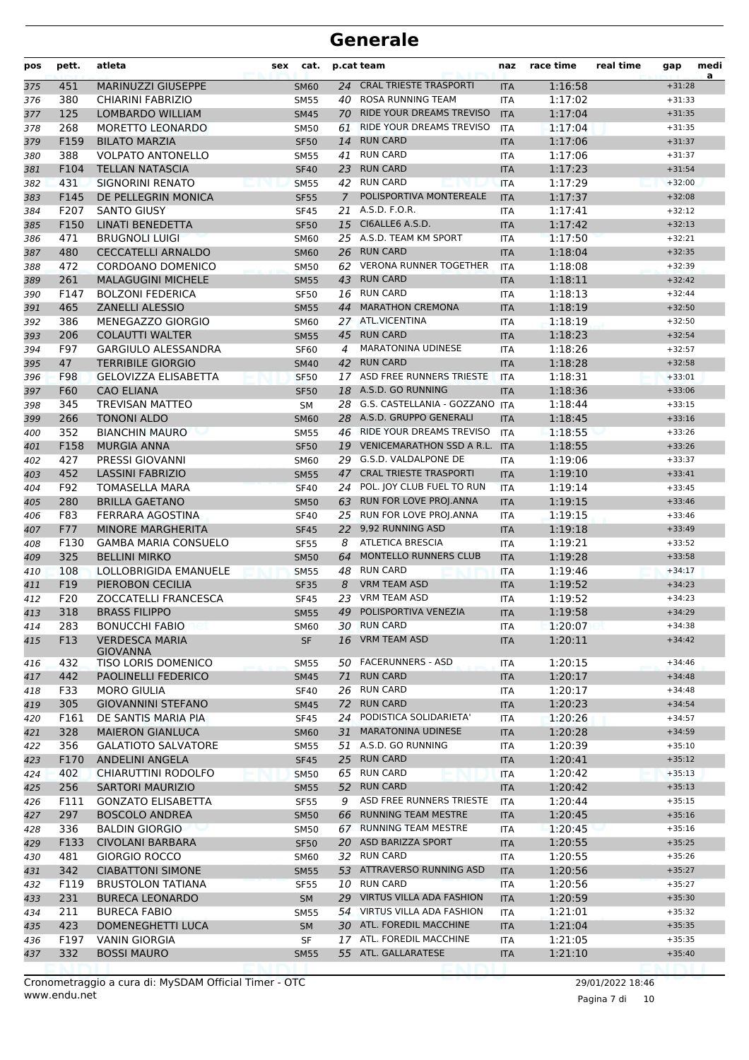| pos        | pett.      | atleta                                        | sex | cat.                     |                | p.cat team                               | naz                      | race time          | real time | gap                  | medi<br>a |
|------------|------------|-----------------------------------------------|-----|--------------------------|----------------|------------------------------------------|--------------------------|--------------------|-----------|----------------------|-----------|
| 375        | 451        | MARINUZZI GIUSEPPE                            |     | <b>SM60</b>              | 24             | <b>CRAL TRIESTE TRASPORTI</b>            | <b>ITA</b>               | 1:16:58            |           | $+31:28$             |           |
| 376        | 380        | CHIARINI FABRIZIO                             |     | <b>SM55</b>              | 40             | ROSA RUNNING TEAM                        | <b>ITA</b>               | 1:17:02            |           | $+31:33$             |           |
| 377        | 125        | LOMBARDO WILLIAM                              |     | <b>SM45</b>              | 70             | RIDE YOUR DREAMS TREVISO                 | <b>ITA</b>               | 1:17:04            |           | $+31:35$             |           |
| 378        | 268        | MORETTO LEONARDO                              |     | <b>SM50</b>              | 61             | RIDE YOUR DREAMS TREVISO                 | <b>ITA</b>               | 1:17:04            |           | $+31:35$             |           |
| 379        | F159       | <b>BILATO MARZIA</b>                          |     | <b>SF50</b>              | 14             | <b>RUN CARD</b>                          | <b>ITA</b>               | 1:17:06            |           | $+31:37$             |           |
| 380        | 388        | <b>VOLPATO ANTONELLO</b>                      |     | <b>SM55</b>              | 41             | <b>RUN CARD</b>                          | <b>ITA</b>               | 1:17:06            |           | $+31:37$             |           |
| 381        | F104       | <b>TELLAN NATASCIA</b>                        |     | <b>SF40</b>              | 23             | <b>RUN CARD</b>                          | <b>ITA</b>               | 1:17:23            |           | $+31:54$             |           |
| 382        | 431        | <b>SIGNORINI RENATO</b>                       |     | <b>SM55</b>              |                | 42 RUN CARD                              | <b>ITA</b>               | 1:17:29            |           | $+32:00$             |           |
| 383        | F145       | DE PELLEGRIN MONICA                           |     | <b>SF55</b>              | $\overline{7}$ | POLISPORTIVA MONTEREALE                  | <b>ITA</b>               | 1:17:37            |           | $+32:08$             |           |
| 384        | F207       | <b>SANTO GIUSY</b>                            |     | <b>SF45</b>              | 21             | A.S.D. F.O.R.                            | <b>ITA</b>               | 1:17:41            |           | $+32:12$             |           |
| 385        | F150       | <b>LINATI BENEDETTA</b>                       |     | <b>SF50</b>              | 15             | CI6ALLE6 A.S.D.                          | <b>ITA</b>               | 1:17:42            |           | $+32:13$             |           |
| 386        | 471        | <b>BRUGNOLI LUIGI</b>                         |     | <b>SM60</b>              |                | 25 A.S.D. TEAM KM SPORT                  | <b>ITA</b>               | 1:17:50            |           | $+32:21$             |           |
| 387        | 480        | <b>CECCATELLI ARNALDO</b>                     |     | <b>SM60</b>              |                | 26 RUN CARD                              | <b>ITA</b>               | 1:18:04            |           | $+32:35$             |           |
| 388        | 472        | CORDOANO DOMENICO                             |     | SM50                     |                | 62 VERONA RUNNER TOGETHER                | ITA                      | 1:18:08            |           | $+32:39$             |           |
| 389        | 261        | <b>MALAGUGINI MICHELE</b>                     |     | <b>SM55</b>              | 43             | <b>RUN CARD</b><br><b>RUN CARD</b>       | <b>ITA</b>               | 1:18:11            |           | $+32:42$             |           |
| 390        | F147       | <b>BOLZONI FEDERICA</b>                       |     | <b>SF50</b>              | 16             | <b>MARATHON CREMONA</b>                  | <b>ITA</b>               | 1:18:13            |           | $+32:44$             |           |
| 391        | 465<br>386 | ZANELLI ALESSIO                               |     | <b>SM55</b>              | 44             | 27 ATL.VICENTINA                         | <b>ITA</b>               | 1:18:19            |           | $+32:50$             |           |
| 392        | 206        | MENEGAZZO GIORGIO<br><b>COLAUTTI WALTER</b>   |     | SM60<br><b>SM55</b>      |                | 45 RUN CARD                              | <b>ITA</b>               | 1:18:19<br>1:18:23 |           | $+32:50$<br>$+32:54$ |           |
| 393<br>394 | F97        | <b>GARGIULO ALESSANDRA</b>                    |     | <b>SF60</b>              | 4              | <b>MARATONINA UDINESE</b>                | <b>ITA</b><br><b>ITA</b> | 1:18:26            |           | $+32:57$             |           |
| 395        | 47         | <b>TERRIBILE GIORGIO</b>                      |     | <b>SM40</b>              | 42             | <b>RUN CARD</b>                          | <b>ITA</b>               | 1:18:28            |           | $+32:58$             |           |
| 396        | <b>F98</b> | <b>GELOVIZZA ELISABETTA</b>                   |     | <b>SF50</b>              | 17             | ASD FREE RUNNERS TRIESTE                 | <b>ITA</b>               | 1:18:31            |           | $+33:01$             |           |
| 397        | F60        | <b>CAO ELIANA</b>                             |     | <b>SF50</b>              |                | 18 A.S.D. GO RUNNING                     | <b>ITA</b>               | 1:18:36            |           | $+33:06$             |           |
| 398        | 345        | <b>TREVISAN MATTEO</b>                        |     | <b>SM</b>                | 28             | G.S. CASTELLANIA - GOZZANO               | <b>ITA</b>               | 1:18:44            |           | $+33:15$             |           |
| 399        | 266        | <b>TONONI ALDO</b>                            |     | <b>SM60</b>              |                | 28 A.S.D. GRUPPO GENERALI                | <b>ITA</b>               | 1:18:45            |           | $+33:16$             |           |
| 400        | 352        | <b>BIANCHIN MAURO</b>                         |     | <b>SM55</b>              |                | 46 RIDE YOUR DREAMS TREVISO              | <b>ITA</b>               | 1:18:55            |           | $+33:26$             |           |
| 401        | F158       | <b>MURGIA ANNA</b>                            |     | <b>SF50</b>              | 19             | <b>VENICEMARATHON SSD A R.L.</b>         | <b>ITA</b>               | 1:18:55            |           | $+33:26$             |           |
| 402        | 427        | <b>PRESSI GIOVANNI</b>                        |     | SM60                     | 29             | G.S.D. VALDALPONE DE                     | <b>ITA</b>               | 1:19:06            |           | $+33:37$             |           |
| 403        | 452        | <b>LASSINI FABRIZIO</b>                       |     | <b>SM55</b>              | 47             | <b>CRAL TRIESTE TRASPORTI</b>            | <b>ITA</b>               | 1:19:10            |           | $+33:41$             |           |
| 404        | F92        | TOMASELLA MARA                                |     | <b>SF40</b>              | 24             | POL. JOY CLUB FUEL TO RUN                | <b>ITA</b>               | 1:19:14            |           | $+33:45$             |           |
| 405        | 280        | <b>BRILLA GAETANO</b>                         |     | <b>SM50</b>              | 63             | RUN FOR LOVE PROJ.ANNA                   | <b>ITA</b>               | 1:19:15            |           | $+33:46$             |           |
| 406        | F83        | FERRARA AGOSTINA                              |     | <b>SF40</b>              |                | 25 RUN FOR LOVE PROJ.ANNA                | ITA                      | 1:19:15            |           | $+33:46$             |           |
| 407        | F77        | <b>MINORE MARGHERITA</b>                      |     | <b>SF45</b>              | 22             | 9,92 RUNNING ASD                         | <b>ITA</b>               | 1:19:18            |           | $+33:49$             |           |
| 408        | F130       | <b>GAMBA MARIA CONSUELO</b>                   |     | <b>SF55</b>              | 8              | <b>ATLETICA BRESCIA</b>                  | <b>ITA</b>               | 1:19:21            |           | $+33:52$             |           |
| 409        | 325        | <b>BELLINI MIRKO</b>                          |     | <b>SM50</b>              | 64             | <b>MONTELLO RUNNERS CLUB</b>             | <b>ITA</b>               | 1:19:28            |           | $+33:58$             |           |
| 410        | 108        | <b>LOLLOBRIGIDA EMANUELE</b>                  |     | <b>SM55</b>              | 48             | <b>RUN CARD</b>                          | <b>ITA</b>               | 1:19:46            |           | $+34:17$             |           |
| 411        | F19        | PIEROBON CECILIA                              |     | <b>SF35</b>              | 8              | <b>VRM TEAM ASD</b>                      | <b>ITA</b>               | 1:19:52            |           | $+34:23$             |           |
| 412        | F20        | ZOCCATELLI FRANCESCA                          |     | <b>SF45</b>              | 23             | <b>VRM TEAM ASD</b>                      | ITA                      | 1:19:52            |           | $+34:23$             |           |
| 413        | 318        | <b>BRASS FILIPPO</b>                          |     | <b>SM55</b>              | 49             | POLISPORTIVA VENEZIA                     | <b>ITA</b>               | 1:19:58            |           | $+34:29$             |           |
| 414        | 283        | <b>BONUCCHI FABIO</b>                         |     | <b>SM60</b>              |                | 30 RUN CARD                              | ITA                      | 1:20:07            |           | $+34:38$             |           |
| 415        | F13        | <b>VERDESCA MARIA</b><br><b>GIOVANNA</b>      |     | <b>SF</b>                |                | 16 VRM TEAM ASD                          | <b>ITA</b>               | 1:20:11            |           | $+34:42$             |           |
| 416        | 432        | TISO LORIS DOMENICO                           |     | <b>SM55</b>              |                | 50 FACERUNNERS - ASD                     | <b>ITA</b>               | 1:20:15            |           | $+34:46$             |           |
| 417        | 442        | <b>PAOLINELLI FEDERICO</b>                    |     | <b>SM45</b>              | 71             | <b>RUN CARD</b>                          | <b>ITA</b>               | 1:20:17            |           | $+34:48$             |           |
| 418        | F33        | <b>MORO GIULIA</b>                            |     | <b>SF40</b>              |                | 26 RUN CARD                              | ITA                      | 1:20:17            |           | $+34:48$             |           |
| 419        | 305        | <b>GIOVANNINI STEFANO</b>                     |     | <b>SM45</b>              |                | 72 RUN CARD                              | <b>ITA</b>               | 1:20:23            |           | $+34:54$             |           |
| 420        | F161       | DE SANTIS MARIA PIA                           |     | <b>SF45</b>              | 24             | PODISTICA SOLIDARIETA'                   | ITA                      | 1:20:26            |           | $+34:57$             |           |
| 421        | 328        | <b>MAIERON GIANLUCA</b>                       |     | <b>SM60</b>              | 31             | MARATONINA UDINESE                       | <b>ITA</b>               | 1:20:28            |           | $+34:59$             |           |
| 422        | 356        | <b>GALATIOTO SALVATORE</b>                    |     | <b>SM55</b>              |                | 51 A.S.D. GO RUNNING                     | <b>ITA</b>               | 1:20:39            |           | $+35:10$             |           |
| 423        | F170       | <b>ANDELINI ANGELA</b>                        |     | <b>SF45</b>              |                | 25 RUN CARD                              | <b>ITA</b>               | 1:20:41            |           | $+35:12$             |           |
| 424        | 402        | CHIARUTTINI RODOLFO                           |     | <b>SM50</b>              |                | 65 RUN CARD                              | <b>ITA</b>               | 1:20:42            |           | $+35:13$             |           |
| 425        | 256        | <b>SARTORI MAURIZIO</b>                       |     | <b>SM55</b>              |                | 52 RUN CARD                              | <b>ITA</b>               | 1:20:42            |           | $+35:13$             |           |
| 426        | F111       | <b>GONZATO ELISABETTA</b>                     |     | <b>SF55</b>              | 9              | ASD FREE RUNNERS TRIESTE                 | <b>ITA</b>               | 1:20:44            |           | $+35:15$             |           |
| 427        | 297        | <b>BOSCOLO ANDREA</b>                         |     | <b>SM50</b>              | 66             | <b>RUNNING TEAM MESTRE</b>               | <b>ITA</b>               | 1:20:45            |           | $+35:16$             |           |
| 428        | 336        | <b>BALDIN GIORGIO</b>                         |     | SM50                     |                | 67 RUNNING TEAM MESTRE                   | ITA                      | 1:20:45            |           | $+35:16$             |           |
| 429        | F133       | <b>CIVOLANI BARBARA</b>                       |     | <b>SF50</b>              |                | 20 ASD BARIZZA SPORT                     | <b>ITA</b>               | 1:20:55            |           | $+35:25$             |           |
| 430        | 481        | <b>GIORGIO ROCCO</b>                          |     | <b>SM60</b>              |                | 32 RUN CARD                              | ITA                      | 1:20:55            |           | $+35:26$             |           |
| 431        | 342        | <b>CIABATTONI SIMONE</b>                      |     | <b>SM55</b>              |                | 53 ATTRAVERSO RUNNING ASD<br>10 RUN CARD | <b>ITA</b>               | 1:20:56            |           | $+35:27$             |           |
| 432        | F119       | <b>BRUSTOLON TATIANA</b>                      |     | <b>SF55</b>              |                | 29 VIRTUS VILLA ADA FASHION              | ITA                      | 1:20:56            |           | $+35:27$<br>$+35:30$ |           |
| 433        | 231<br>211 | <b>BURECA LEONARDO</b><br><b>BURECA FABIO</b> |     | SM                       |                | 54 VIRTUS VILLA ADA FASHION              | <b>ITA</b>               | 1:20:59<br>1:21:01 |           | $+35:32$             |           |
| 434<br>435 | 423        | DOMENEGHETTI LUCA                             |     | <b>SM55</b><br><b>SM</b> |                | 30 ATL. FOREDIL MACCHINE                 | ITA<br><b>ITA</b>        | 1:21:04            |           | $+35:35$             |           |
| 436        | F197       | <b>VANIN GIORGIA</b>                          |     | SF                       |                | 17 ATL. FOREDIL MACCHINE                 | <b>ITA</b>               | 1:21:05            |           | $+35:35$             |           |
| 437        | 332        | <b>BOSSI MAURO</b>                            |     | <b>SM55</b>              |                | 55 ATL. GALLARATESE                      | <b>ITA</b>               | 1:21:10            |           | $+35:40$             |           |
|            |            |                                               |     |                          |                |                                          |                          |                    |           |                      |           |

Pagina 7 di 10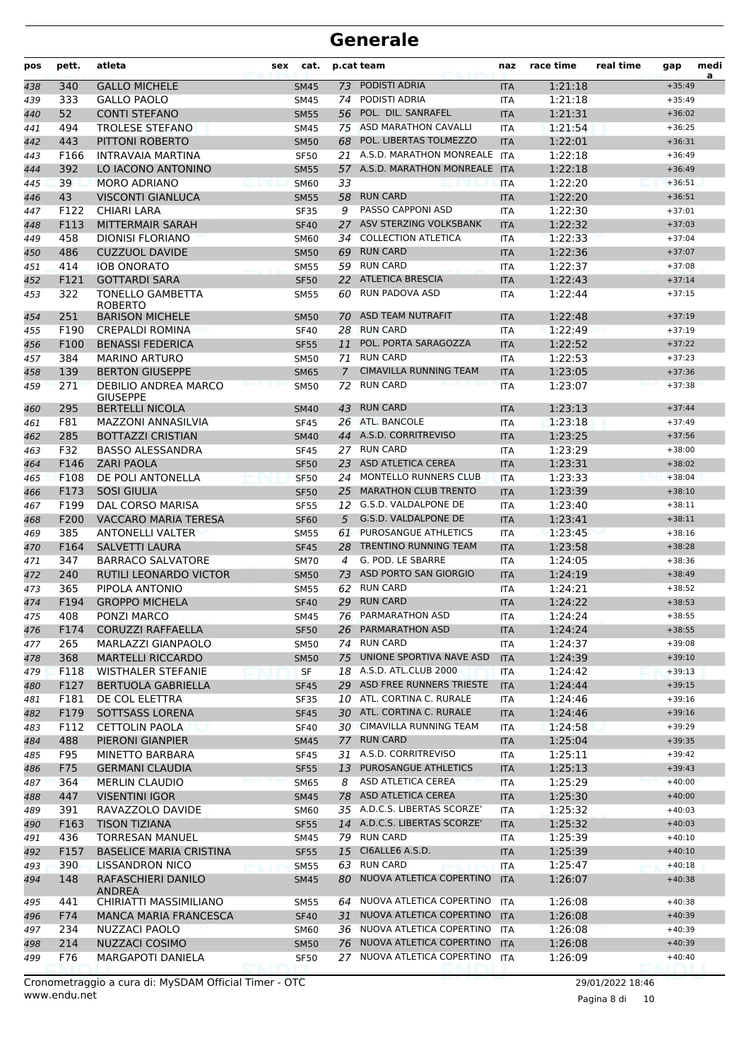| PODISTI ADRIA<br><b>GALLO MICHELE</b><br>1:21:18<br>$+35:49$<br>340<br>73<br>438<br><b>SM45</b><br><b>ITA</b><br>PODISTI ADRIA<br>333<br><b>GALLO PAOLO</b><br>74<br>1:21:18<br>439<br><b>SM45</b><br><b>ITA</b><br>$+35:49$<br>52<br>1:21:31<br><b>CONTI STEFANO</b><br>POL. DIL. SANRAFEL<br>440<br><b>SM55</b><br>56<br><b>ITA</b><br>$+36:02$<br>ASD MARATHON CAVALLI<br>494<br><b>TROLESE STEFANO</b><br>75<br>1:21:54<br>$+36:25$<br><b>SM45</b><br><b>ITA</b><br>441<br>POL. LIBERTAS TOLMEZZO<br>443<br>PITTONI ROBERTO<br>1:22:01<br>442<br><b>SM50</b><br>68<br><b>ITA</b><br>$+36:31$<br>21 A.S.D. MARATHON MONREALE<br>F166<br>INTRAVAIA MARTINA<br><b>ITA</b><br>1:22:18<br><b>SF50</b><br>$+36:49$<br>443<br>392<br>A.S.D. MARATHON MONREALE ITA<br>1:22:18<br>LO IACONO ANTONINO<br>57<br><b>SM55</b><br>$+36:49$<br>444<br>1:22:20<br>39<br><b>MORO ADRIANO</b><br><b>SM60</b><br>33<br>445<br><b>ITA</b><br>$+36:51$<br>43<br><b>RUN CARD</b><br>1:22:20<br><b>VISCONTI GIANLUCA</b><br>58<br><b>SM55</b><br><b>ITA</b><br>$+36:51$<br>446<br>PASSO CAPPONI ASD<br>F122<br><b>CHIARI LARA</b><br>1:22:30<br>$+37:01$<br>9<br><b>SF35</b><br><b>ITA</b><br>447<br>ASV STERZING VOLKSBANK<br>1:22:32<br>F113<br>MITTERMAIR SARAH<br>448<br><b>SF40</b><br>27<br><b>ITA</b><br>$+37:03$<br><b>COLLECTION ATLETICA</b><br>458<br><b>DIONISI FLORIANO</b><br>1:22:33<br>449<br><b>SM60</b><br>34<br><b>ITA</b><br>$+37:04$<br><b>RUN CARD</b><br>486<br><b>CUZZUOL DAVIDE</b><br>1:22:36<br>69<br>$+37:07$<br><b>SM50</b><br><b>ITA</b><br>450<br><b>IOB ONORATO</b><br>59 RUN CARD<br>414<br>1:22:37<br><b>SM55</b><br><b>ITA</b><br>$+37:08$<br>451<br>F121<br><b>GOTTARDI SARA</b><br>22<br><b>ATLETICA BRESCIA</b><br>1:22:43<br>$+37:14$<br><b>SF50</b><br><b>ITA</b><br>452<br>322<br>RUN PADOVA ASD<br><b>TONELLO GAMBETTA</b><br>1:22:44<br>$+37:15$<br>60<br>453<br><b>SM55</b><br>ITA<br><b>ROBERTO</b><br>ASD TEAM NUTRAFIT<br>251<br><b>BARISON MICHELE</b><br>1:22:48<br>$+37:19$<br>70<br>454<br><b>SM50</b><br><b>ITA</b><br><b>RUN CARD</b><br>F190<br><b>CREPALDI ROMINA</b><br>1:22:49<br>455<br><b>SF40</b><br>28<br><b>ITA</b><br>$+37:19$<br>POL. PORTA SARAGOZZA<br>F100<br><b>BENASSI FEDERICA</b><br>1:22:52<br><b>SF55</b><br>11<br><b>ITA</b><br>$+37:22$<br>456<br><b>RUN CARD</b><br>384<br><b>MARINO ARTURO</b><br>1:22:53<br>$+37:23$<br><b>SM50</b><br>71<br><b>ITA</b><br>457<br>139<br><b>BERTON GIUSEPPE</b><br><b>CIMAVILLA RUNNING TEAM</b><br>1:23:05<br><b>SM65</b><br>$\mathcal{I}$<br><b>ITA</b><br>$+37:36$<br>458<br>271<br>DEBILIO ANDREA MARCO<br>72<br><b>RUN CARD</b><br>1:23:07<br>$+37:38$<br>459<br><b>SM50</b><br><b>ITA</b><br><b>GIUSEPPE</b><br>295<br><b>RUN CARD</b><br>1:23:13<br><b>BERTELLI NICOLA</b><br>43<br>$+37:44$<br><b>ITA</b><br><b>SM40</b><br>460<br>F81<br>ATL. BANCOLE<br>1:23:18<br>MAZZONI ANNASILVIA<br>$+37:49$<br><b>SF45</b><br>26<br><b>ITA</b><br>461<br>44 A.S.D. CORRITREVISO<br>1:23:25<br>285<br><b>BOTTAZZI CRISTIAN</b><br>462<br><b>SM40</b><br><b>ITA</b><br>$+37:56$<br><b>RUN CARD</b><br>1:23:29<br>F32<br><b>BASSO ALESSANDRA</b><br>27<br><b>SF45</b><br><b>ITA</b><br>$+38:00$<br>463<br><b>ZARI PAOLA</b><br>ASD ATLETICA CEREA<br>1:23:31<br>F146<br>23<br>$+38:02$<br><b>SF50</b><br><b>ITA</b><br>464<br>24 MONTELLO RUNNERS CLUB<br>F108<br>DE POLI ANTONELLA<br>1:23:33<br><b>SF50</b><br><b>ITA</b><br>$+38:04$<br>465<br>F173<br><b>SOSI GIULIA</b><br><b>MARATHON CLUB TRENTO</b><br>1:23:39<br>25<br>$+38:10$<br><b>SF50</b><br><b>ITA</b><br>466<br>F199<br><b>DAL CORSO MARISA</b><br>G.S.D. VALDALPONE DE<br>1:23:40<br><b>SF55</b><br>12<br>$+38:11$<br>467<br><b>ITA</b><br>F200<br><b>VACCARO MARIA TERESA</b><br>G.S.D. VALDALPONE DE<br>1:23:41<br><b>SF60</b><br>5<br><b>ITA</b><br>$+38:11$<br>468<br>385<br><b>ANTONELLI VALTER</b><br>PUROSANGUE ATHLETICS<br>1:23:45<br><b>SM55</b><br>61<br><b>ITA</b><br>$+38:16$<br>469<br><b>TRENTINO RUNNING TEAM</b><br>1:23:58<br>F164<br><b>SALVETTI LAURA</b><br>28<br><b>SF45</b><br><b>ITA</b><br>470<br>$+38:28$<br>G. POD. LE SBARRE<br>347<br><b>BARRACO SALVATORE</b><br>1:24:05<br><b>SM70</b><br>$\overline{4}$<br><b>ITA</b><br>$+38:36$<br>471<br>RUTILI LEONARDO VICTOR<br>ASD PORTO SAN GIORGIO<br>240<br>73<br>1:24:19<br>$+38:49$<br><b>SM50</b><br><b>ITA</b><br>472<br><b>RUN CARD</b><br>365<br>PIPOLA ANTONIO<br>1:24:21<br>62<br>$+38:52$<br>473<br><b>SM55</b><br>ITA<br><b>RUN CARD</b><br>1:24:22<br>F194<br><b>GROPPO MICHELA</b><br>29<br>$+38:53$<br>474<br><b>SF40</b><br><b>ITA</b><br>PARMARATHON ASD<br>408<br>PONZI MARCO<br>76<br>1:24:24<br>475<br><b>SM45</b><br>$+38:55$<br><b>ITA</b><br>CORUZZI RAFFAELLA<br>PARMARATHON ASD<br>F174<br>1:24:24<br><b>SF50</b><br>26<br><b>ITA</b><br>$+38:55$<br>476<br>74 RUN CARD<br>265<br>MARLAZZI GIANPAOLO<br>1:24:37<br>$+39:08$<br><b>SM50</b><br>ITA<br>477<br>UNIONE SPORTIVA NAVE ASD<br>368<br><b>MARTELLI RICCARDO</b><br><b>SM50</b><br>75<br>1:24:39<br>$+39:10$<br><b>ITA</b><br>478<br>18 A.S.D. ATL.CLUB 2000<br>F118<br><b>WISTHALER STEFANIE</b><br>1:24:42<br><b>SF</b><br><b>ITA</b><br>$+39:13$<br>479<br>29 ASD FREE RUNNERS TRIESTE<br>F127<br><b>BERTUOLA GABRIELLA</b><br>1:24:44<br>$+39:15$<br><b>SF45</b><br><b>ITA</b><br>480<br>10 ATL. CORTINA C. RURALE<br>$+39:16$<br>F181<br>DE COL ELETTRA<br>1:24:46<br>481<br><b>SF35</b><br>ITA<br>30 ATL. CORTINA C. RURALE<br>F179<br>SOTTSASS LORENA<br>1:24:46<br><b>SF45</b><br><b>ITA</b><br>$+39:16$<br>482<br>30 CIMAVILLA RUNNING TEAM<br>F112<br><b>CETTOLIN PAOLA</b><br>1:24:58<br><b>SF40</b><br>ITA<br>$+39:29$<br>483<br><b>RUN CARD</b><br>488<br><b>PIERONI GIANPIER</b><br>77<br>1:25:04<br>$+39:35$<br><b>SM45</b><br><b>ITA</b><br>484<br>A.S.D. CORRITREVISO<br>F95<br>MINETTO BARBARA<br>1:25:11<br>$+39:42$<br>SF45<br>31<br>485<br>ITA<br>F75<br><b>GERMANI CLAUDIA</b><br>PUROSANGUE ATHLETICS<br>1:25:13<br><b>SF55</b><br>13<br><b>ITA</b><br>$+39:43$<br>486<br>ASD ATLETICA CEREA<br>$+40:00$<br>364<br><b>MERLIN CLAUDIO</b><br>1:25:29<br><b>SM65</b><br>8<br><b>ITA</b><br>487<br>78 ASD ATLETICA CEREA<br>447<br><b>VISENTINI IGOR</b><br>1:25:30<br><b>SM45</b><br><b>ITA</b><br>$+40:00$<br>488<br>35 A.D.C.S. LIBERTAS SCORZE'<br>391<br>RAVAZZOLO DAVIDE<br>1:25:32<br>$+40:03$<br>489<br><b>SM60</b><br>ITA<br><b>TISON TIZIANA</b><br>14 A.D.C.S. LIBERTAS SCORZE'<br>1:25:32<br>F163<br><b>SF55</b><br>$+40:03$<br><b>ITA</b><br>490<br><b>RUN CARD</b><br>436<br><b>TORRESAN MANUEL</b><br>1:25:39<br><b>SM45</b><br>79<br>$+40:10$<br>491<br>ITA<br>CI6ALLE6 A.S.D.<br>F157<br><b>BASELICE MARIA CRISTINA</b><br>15<br>1:25:39<br>$+40:10$<br><b>SF55</b><br>492<br><b>ITA</b><br><b>RUN CARD</b><br>$+40:18$<br>390<br>LISSANDRON NICO<br>63<br>1:25:47<br><b>SM55</b><br>ITA<br>493<br>NUOVA ATLETICA COPERTINO<br>148<br>RAFASCHIERI DANILO<br>80<br><b>ITA</b><br>1:26:07<br><b>SM45</b><br>$+40:38$<br>494<br>ANDREA<br>NUOVA ATLETICA COPERTINO<br>CHIRIATTI MASSIMILIANO<br>1:26:08<br>441<br>$+40:38$<br>495<br><b>SM55</b><br>64<br>ITA<br>F74<br><b>MANCA MARIA FRANCESCA</b><br>31 NUOVA ATLETICA COPERTINO<br>1:26:08<br><b>SF40</b><br><b>ITA</b><br>$+40:39$<br>496<br>36 NUOVA ATLETICA COPERTINO<br>$+40:39$<br>234<br>NUZZACI PAOLO<br>SM60<br><b>ITA</b><br>1:26:08<br>497<br>NUOVA ATLETICA COPERTINO<br>214<br>NUZZACI COSIMO<br>1:26:08<br>$+40:39$<br><b>SM50</b><br>76<br><b>ITA</b><br>498 | pos | pett. | atleta            | sex | cat.        | p.cat team                  | naz | race time | real time | gap      | medi<br>a |
|------------------------------------------------------------------------------------------------------------------------------------------------------------------------------------------------------------------------------------------------------------------------------------------------------------------------------------------------------------------------------------------------------------------------------------------------------------------------------------------------------------------------------------------------------------------------------------------------------------------------------------------------------------------------------------------------------------------------------------------------------------------------------------------------------------------------------------------------------------------------------------------------------------------------------------------------------------------------------------------------------------------------------------------------------------------------------------------------------------------------------------------------------------------------------------------------------------------------------------------------------------------------------------------------------------------------------------------------------------------------------------------------------------------------------------------------------------------------------------------------------------------------------------------------------------------------------------------------------------------------------------------------------------------------------------------------------------------------------------------------------------------------------------------------------------------------------------------------------------------------------------------------------------------------------------------------------------------------------------------------------------------------------------------------------------------------------------------------------------------------------------------------------------------------------------------------------------------------------------------------------------------------------------------------------------------------------------------------------------------------------------------------------------------------------------------------------------------------------------------------------------------------------------------------------------------------------------------------------------------------------------------------------------------------------------------------------------------------------------------------------------------------------------------------------------------------------------------------------------------------------------------------------------------------------------------------------------------------------------------------------------------------------------------------------------------------------------------------------------------------------------------------------------------------------------------------------------------------------------------------------------------------------------------------------------------------------------------------------------------------------------------------------------------------------------------------------------------------------------------------------------------------------------------------------------------------------------------------------------------------------------------------------------------------------------------------------------------------------------------------------------------------------------------------------------------------------------------------------------------------------------------------------------------------------------------------------------------------------------------------------------------------------------------------------------------------------------------------------------------------------------------------------------------------------------------------------------------------------------------------------------------------------------------------------------------------------------------------------------------------------------------------------------------------------------------------------------------------------------------------------------------------------------------------------------------------------------------------------------------------------------------------------------------------------------------------------------------------------------------------------------------------------------------------------------------------------------------------------------------------------------------------------------------------------------------------------------------------------------------------------------------------------------------------------------------------------------------------------------------------------------------------------------------------------------------------------------------------------------------------------------------------------------------------------------------------------------------------------------------------------------------------------------------------------------------------------------------------------------------------------------------------------------------------------------------------------------------------------------------------------------------------------------------------------------------------------------------------------------------------------------------------------------------------------------------------------------------------------------------------------------------------------------------------------------------------------------------------------------------------------------------------------------------------------------------------------------------------------------------------------------------------------------------------------------------------------------------------------------------------------------------------------------------------------------------------------------------------------------------------------------------------------------------------------------------------------------------------------------------------------------------------------------------------------------------------------------------------------------------------------------------------------------------------------------------------------------------------------------------------------------------------------------------------------------------------------------------------------------------------------------------------------------------------------------------------------------------------------------------------------------------------------------------------------------------------------------------------------------------------------------------------------------------------------------------------------------------------------------------------------------------------------------------------------------------------------------------------------------------------------------------------------------------------------------------------------------------------------------|-----|-------|-------------------|-----|-------------|-----------------------------|-----|-----------|-----------|----------|-----------|
|                                                                                                                                                                                                                                                                                                                                                                                                                                                                                                                                                                                                                                                                                                                                                                                                                                                                                                                                                                                                                                                                                                                                                                                                                                                                                                                                                                                                                                                                                                                                                                                                                                                                                                                                                                                                                                                                                                                                                                                                                                                                                                                                                                                                                                                                                                                                                                                                                                                                                                                                                                                                                                                                                                                                                                                                                                                                                                                                                                                                                                                                                                                                                                                                                                                                                                                                                                                                                                                                                                                                                                                                                                                                                                                                                                                                                                                                                                                                                                                                                                                                                                                                                                                                                                                                                                                                                                                                                                                                                                                                                                                                                                                                                                                                                                                                                                                                                                                                                                                                                                                                                                                                                                                                                                                                                                                                                                                                                                                                                                                                                                                                                                                                                                                                                                                                                                                                                                                                                                                                                                                                                                                                                                                                                                                                                                                                                                                                                                                                                                                                                                                                                                                                                                                                                                                                                                                                                                                                                                                                                                                                                                                                                                                                                                                                                                                                                                                                                                                                                    |     |       |                   |     |             |                             |     |           |           |          |           |
|                                                                                                                                                                                                                                                                                                                                                                                                                                                                                                                                                                                                                                                                                                                                                                                                                                                                                                                                                                                                                                                                                                                                                                                                                                                                                                                                                                                                                                                                                                                                                                                                                                                                                                                                                                                                                                                                                                                                                                                                                                                                                                                                                                                                                                                                                                                                                                                                                                                                                                                                                                                                                                                                                                                                                                                                                                                                                                                                                                                                                                                                                                                                                                                                                                                                                                                                                                                                                                                                                                                                                                                                                                                                                                                                                                                                                                                                                                                                                                                                                                                                                                                                                                                                                                                                                                                                                                                                                                                                                                                                                                                                                                                                                                                                                                                                                                                                                                                                                                                                                                                                                                                                                                                                                                                                                                                                                                                                                                                                                                                                                                                                                                                                                                                                                                                                                                                                                                                                                                                                                                                                                                                                                                                                                                                                                                                                                                                                                                                                                                                                                                                                                                                                                                                                                                                                                                                                                                                                                                                                                                                                                                                                                                                                                                                                                                                                                                                                                                                                                    |     |       |                   |     |             |                             |     |           |           |          |           |
|                                                                                                                                                                                                                                                                                                                                                                                                                                                                                                                                                                                                                                                                                                                                                                                                                                                                                                                                                                                                                                                                                                                                                                                                                                                                                                                                                                                                                                                                                                                                                                                                                                                                                                                                                                                                                                                                                                                                                                                                                                                                                                                                                                                                                                                                                                                                                                                                                                                                                                                                                                                                                                                                                                                                                                                                                                                                                                                                                                                                                                                                                                                                                                                                                                                                                                                                                                                                                                                                                                                                                                                                                                                                                                                                                                                                                                                                                                                                                                                                                                                                                                                                                                                                                                                                                                                                                                                                                                                                                                                                                                                                                                                                                                                                                                                                                                                                                                                                                                                                                                                                                                                                                                                                                                                                                                                                                                                                                                                                                                                                                                                                                                                                                                                                                                                                                                                                                                                                                                                                                                                                                                                                                                                                                                                                                                                                                                                                                                                                                                                                                                                                                                                                                                                                                                                                                                                                                                                                                                                                                                                                                                                                                                                                                                                                                                                                                                                                                                                                                    |     |       |                   |     |             |                             |     |           |           |          |           |
|                                                                                                                                                                                                                                                                                                                                                                                                                                                                                                                                                                                                                                                                                                                                                                                                                                                                                                                                                                                                                                                                                                                                                                                                                                                                                                                                                                                                                                                                                                                                                                                                                                                                                                                                                                                                                                                                                                                                                                                                                                                                                                                                                                                                                                                                                                                                                                                                                                                                                                                                                                                                                                                                                                                                                                                                                                                                                                                                                                                                                                                                                                                                                                                                                                                                                                                                                                                                                                                                                                                                                                                                                                                                                                                                                                                                                                                                                                                                                                                                                                                                                                                                                                                                                                                                                                                                                                                                                                                                                                                                                                                                                                                                                                                                                                                                                                                                                                                                                                                                                                                                                                                                                                                                                                                                                                                                                                                                                                                                                                                                                                                                                                                                                                                                                                                                                                                                                                                                                                                                                                                                                                                                                                                                                                                                                                                                                                                                                                                                                                                                                                                                                                                                                                                                                                                                                                                                                                                                                                                                                                                                                                                                                                                                                                                                                                                                                                                                                                                                                    |     |       |                   |     |             |                             |     |           |           |          |           |
|                                                                                                                                                                                                                                                                                                                                                                                                                                                                                                                                                                                                                                                                                                                                                                                                                                                                                                                                                                                                                                                                                                                                                                                                                                                                                                                                                                                                                                                                                                                                                                                                                                                                                                                                                                                                                                                                                                                                                                                                                                                                                                                                                                                                                                                                                                                                                                                                                                                                                                                                                                                                                                                                                                                                                                                                                                                                                                                                                                                                                                                                                                                                                                                                                                                                                                                                                                                                                                                                                                                                                                                                                                                                                                                                                                                                                                                                                                                                                                                                                                                                                                                                                                                                                                                                                                                                                                                                                                                                                                                                                                                                                                                                                                                                                                                                                                                                                                                                                                                                                                                                                                                                                                                                                                                                                                                                                                                                                                                                                                                                                                                                                                                                                                                                                                                                                                                                                                                                                                                                                                                                                                                                                                                                                                                                                                                                                                                                                                                                                                                                                                                                                                                                                                                                                                                                                                                                                                                                                                                                                                                                                                                                                                                                                                                                                                                                                                                                                                                                                    |     |       |                   |     |             |                             |     |           |           |          |           |
|                                                                                                                                                                                                                                                                                                                                                                                                                                                                                                                                                                                                                                                                                                                                                                                                                                                                                                                                                                                                                                                                                                                                                                                                                                                                                                                                                                                                                                                                                                                                                                                                                                                                                                                                                                                                                                                                                                                                                                                                                                                                                                                                                                                                                                                                                                                                                                                                                                                                                                                                                                                                                                                                                                                                                                                                                                                                                                                                                                                                                                                                                                                                                                                                                                                                                                                                                                                                                                                                                                                                                                                                                                                                                                                                                                                                                                                                                                                                                                                                                                                                                                                                                                                                                                                                                                                                                                                                                                                                                                                                                                                                                                                                                                                                                                                                                                                                                                                                                                                                                                                                                                                                                                                                                                                                                                                                                                                                                                                                                                                                                                                                                                                                                                                                                                                                                                                                                                                                                                                                                                                                                                                                                                                                                                                                                                                                                                                                                                                                                                                                                                                                                                                                                                                                                                                                                                                                                                                                                                                                                                                                                                                                                                                                                                                                                                                                                                                                                                                                                    |     |       |                   |     |             |                             |     |           |           |          |           |
|                                                                                                                                                                                                                                                                                                                                                                                                                                                                                                                                                                                                                                                                                                                                                                                                                                                                                                                                                                                                                                                                                                                                                                                                                                                                                                                                                                                                                                                                                                                                                                                                                                                                                                                                                                                                                                                                                                                                                                                                                                                                                                                                                                                                                                                                                                                                                                                                                                                                                                                                                                                                                                                                                                                                                                                                                                                                                                                                                                                                                                                                                                                                                                                                                                                                                                                                                                                                                                                                                                                                                                                                                                                                                                                                                                                                                                                                                                                                                                                                                                                                                                                                                                                                                                                                                                                                                                                                                                                                                                                                                                                                                                                                                                                                                                                                                                                                                                                                                                                                                                                                                                                                                                                                                                                                                                                                                                                                                                                                                                                                                                                                                                                                                                                                                                                                                                                                                                                                                                                                                                                                                                                                                                                                                                                                                                                                                                                                                                                                                                                                                                                                                                                                                                                                                                                                                                                                                                                                                                                                                                                                                                                                                                                                                                                                                                                                                                                                                                                                                    |     |       |                   |     |             |                             |     |           |           |          |           |
|                                                                                                                                                                                                                                                                                                                                                                                                                                                                                                                                                                                                                                                                                                                                                                                                                                                                                                                                                                                                                                                                                                                                                                                                                                                                                                                                                                                                                                                                                                                                                                                                                                                                                                                                                                                                                                                                                                                                                                                                                                                                                                                                                                                                                                                                                                                                                                                                                                                                                                                                                                                                                                                                                                                                                                                                                                                                                                                                                                                                                                                                                                                                                                                                                                                                                                                                                                                                                                                                                                                                                                                                                                                                                                                                                                                                                                                                                                                                                                                                                                                                                                                                                                                                                                                                                                                                                                                                                                                                                                                                                                                                                                                                                                                                                                                                                                                                                                                                                                                                                                                                                                                                                                                                                                                                                                                                                                                                                                                                                                                                                                                                                                                                                                                                                                                                                                                                                                                                                                                                                                                                                                                                                                                                                                                                                                                                                                                                                                                                                                                                                                                                                                                                                                                                                                                                                                                                                                                                                                                                                                                                                                                                                                                                                                                                                                                                                                                                                                                                                    |     |       |                   |     |             |                             |     |           |           |          |           |
|                                                                                                                                                                                                                                                                                                                                                                                                                                                                                                                                                                                                                                                                                                                                                                                                                                                                                                                                                                                                                                                                                                                                                                                                                                                                                                                                                                                                                                                                                                                                                                                                                                                                                                                                                                                                                                                                                                                                                                                                                                                                                                                                                                                                                                                                                                                                                                                                                                                                                                                                                                                                                                                                                                                                                                                                                                                                                                                                                                                                                                                                                                                                                                                                                                                                                                                                                                                                                                                                                                                                                                                                                                                                                                                                                                                                                                                                                                                                                                                                                                                                                                                                                                                                                                                                                                                                                                                                                                                                                                                                                                                                                                                                                                                                                                                                                                                                                                                                                                                                                                                                                                                                                                                                                                                                                                                                                                                                                                                                                                                                                                                                                                                                                                                                                                                                                                                                                                                                                                                                                                                                                                                                                                                                                                                                                                                                                                                                                                                                                                                                                                                                                                                                                                                                                                                                                                                                                                                                                                                                                                                                                                                                                                                                                                                                                                                                                                                                                                                                                    |     |       |                   |     |             |                             |     |           |           |          |           |
|                                                                                                                                                                                                                                                                                                                                                                                                                                                                                                                                                                                                                                                                                                                                                                                                                                                                                                                                                                                                                                                                                                                                                                                                                                                                                                                                                                                                                                                                                                                                                                                                                                                                                                                                                                                                                                                                                                                                                                                                                                                                                                                                                                                                                                                                                                                                                                                                                                                                                                                                                                                                                                                                                                                                                                                                                                                                                                                                                                                                                                                                                                                                                                                                                                                                                                                                                                                                                                                                                                                                                                                                                                                                                                                                                                                                                                                                                                                                                                                                                                                                                                                                                                                                                                                                                                                                                                                                                                                                                                                                                                                                                                                                                                                                                                                                                                                                                                                                                                                                                                                                                                                                                                                                                                                                                                                                                                                                                                                                                                                                                                                                                                                                                                                                                                                                                                                                                                                                                                                                                                                                                                                                                                                                                                                                                                                                                                                                                                                                                                                                                                                                                                                                                                                                                                                                                                                                                                                                                                                                                                                                                                                                                                                                                                                                                                                                                                                                                                                                                    |     |       |                   |     |             |                             |     |           |           |          |           |
|                                                                                                                                                                                                                                                                                                                                                                                                                                                                                                                                                                                                                                                                                                                                                                                                                                                                                                                                                                                                                                                                                                                                                                                                                                                                                                                                                                                                                                                                                                                                                                                                                                                                                                                                                                                                                                                                                                                                                                                                                                                                                                                                                                                                                                                                                                                                                                                                                                                                                                                                                                                                                                                                                                                                                                                                                                                                                                                                                                                                                                                                                                                                                                                                                                                                                                                                                                                                                                                                                                                                                                                                                                                                                                                                                                                                                                                                                                                                                                                                                                                                                                                                                                                                                                                                                                                                                                                                                                                                                                                                                                                                                                                                                                                                                                                                                                                                                                                                                                                                                                                                                                                                                                                                                                                                                                                                                                                                                                                                                                                                                                                                                                                                                                                                                                                                                                                                                                                                                                                                                                                                                                                                                                                                                                                                                                                                                                                                                                                                                                                                                                                                                                                                                                                                                                                                                                                                                                                                                                                                                                                                                                                                                                                                                                                                                                                                                                                                                                                                                    |     |       |                   |     |             |                             |     |           |           |          |           |
|                                                                                                                                                                                                                                                                                                                                                                                                                                                                                                                                                                                                                                                                                                                                                                                                                                                                                                                                                                                                                                                                                                                                                                                                                                                                                                                                                                                                                                                                                                                                                                                                                                                                                                                                                                                                                                                                                                                                                                                                                                                                                                                                                                                                                                                                                                                                                                                                                                                                                                                                                                                                                                                                                                                                                                                                                                                                                                                                                                                                                                                                                                                                                                                                                                                                                                                                                                                                                                                                                                                                                                                                                                                                                                                                                                                                                                                                                                                                                                                                                                                                                                                                                                                                                                                                                                                                                                                                                                                                                                                                                                                                                                                                                                                                                                                                                                                                                                                                                                                                                                                                                                                                                                                                                                                                                                                                                                                                                                                                                                                                                                                                                                                                                                                                                                                                                                                                                                                                                                                                                                                                                                                                                                                                                                                                                                                                                                                                                                                                                                                                                                                                                                                                                                                                                                                                                                                                                                                                                                                                                                                                                                                                                                                                                                                                                                                                                                                                                                                                                    |     |       |                   |     |             |                             |     |           |           |          |           |
|                                                                                                                                                                                                                                                                                                                                                                                                                                                                                                                                                                                                                                                                                                                                                                                                                                                                                                                                                                                                                                                                                                                                                                                                                                                                                                                                                                                                                                                                                                                                                                                                                                                                                                                                                                                                                                                                                                                                                                                                                                                                                                                                                                                                                                                                                                                                                                                                                                                                                                                                                                                                                                                                                                                                                                                                                                                                                                                                                                                                                                                                                                                                                                                                                                                                                                                                                                                                                                                                                                                                                                                                                                                                                                                                                                                                                                                                                                                                                                                                                                                                                                                                                                                                                                                                                                                                                                                                                                                                                                                                                                                                                                                                                                                                                                                                                                                                                                                                                                                                                                                                                                                                                                                                                                                                                                                                                                                                                                                                                                                                                                                                                                                                                                                                                                                                                                                                                                                                                                                                                                                                                                                                                                                                                                                                                                                                                                                                                                                                                                                                                                                                                                                                                                                                                                                                                                                                                                                                                                                                                                                                                                                                                                                                                                                                                                                                                                                                                                                                                    |     |       |                   |     |             |                             |     |           |           |          |           |
|                                                                                                                                                                                                                                                                                                                                                                                                                                                                                                                                                                                                                                                                                                                                                                                                                                                                                                                                                                                                                                                                                                                                                                                                                                                                                                                                                                                                                                                                                                                                                                                                                                                                                                                                                                                                                                                                                                                                                                                                                                                                                                                                                                                                                                                                                                                                                                                                                                                                                                                                                                                                                                                                                                                                                                                                                                                                                                                                                                                                                                                                                                                                                                                                                                                                                                                                                                                                                                                                                                                                                                                                                                                                                                                                                                                                                                                                                                                                                                                                                                                                                                                                                                                                                                                                                                                                                                                                                                                                                                                                                                                                                                                                                                                                                                                                                                                                                                                                                                                                                                                                                                                                                                                                                                                                                                                                                                                                                                                                                                                                                                                                                                                                                                                                                                                                                                                                                                                                                                                                                                                                                                                                                                                                                                                                                                                                                                                                                                                                                                                                                                                                                                                                                                                                                                                                                                                                                                                                                                                                                                                                                                                                                                                                                                                                                                                                                                                                                                                                                    |     |       |                   |     |             |                             |     |           |           |          |           |
|                                                                                                                                                                                                                                                                                                                                                                                                                                                                                                                                                                                                                                                                                                                                                                                                                                                                                                                                                                                                                                                                                                                                                                                                                                                                                                                                                                                                                                                                                                                                                                                                                                                                                                                                                                                                                                                                                                                                                                                                                                                                                                                                                                                                                                                                                                                                                                                                                                                                                                                                                                                                                                                                                                                                                                                                                                                                                                                                                                                                                                                                                                                                                                                                                                                                                                                                                                                                                                                                                                                                                                                                                                                                                                                                                                                                                                                                                                                                                                                                                                                                                                                                                                                                                                                                                                                                                                                                                                                                                                                                                                                                                                                                                                                                                                                                                                                                                                                                                                                                                                                                                                                                                                                                                                                                                                                                                                                                                                                                                                                                                                                                                                                                                                                                                                                                                                                                                                                                                                                                                                                                                                                                                                                                                                                                                                                                                                                                                                                                                                                                                                                                                                                                                                                                                                                                                                                                                                                                                                                                                                                                                                                                                                                                                                                                                                                                                                                                                                                                                    |     |       |                   |     |             |                             |     |           |           |          |           |
|                                                                                                                                                                                                                                                                                                                                                                                                                                                                                                                                                                                                                                                                                                                                                                                                                                                                                                                                                                                                                                                                                                                                                                                                                                                                                                                                                                                                                                                                                                                                                                                                                                                                                                                                                                                                                                                                                                                                                                                                                                                                                                                                                                                                                                                                                                                                                                                                                                                                                                                                                                                                                                                                                                                                                                                                                                                                                                                                                                                                                                                                                                                                                                                                                                                                                                                                                                                                                                                                                                                                                                                                                                                                                                                                                                                                                                                                                                                                                                                                                                                                                                                                                                                                                                                                                                                                                                                                                                                                                                                                                                                                                                                                                                                                                                                                                                                                                                                                                                                                                                                                                                                                                                                                                                                                                                                                                                                                                                                                                                                                                                                                                                                                                                                                                                                                                                                                                                                                                                                                                                                                                                                                                                                                                                                                                                                                                                                                                                                                                                                                                                                                                                                                                                                                                                                                                                                                                                                                                                                                                                                                                                                                                                                                                                                                                                                                                                                                                                                                                    |     |       |                   |     |             |                             |     |           |           |          |           |
|                                                                                                                                                                                                                                                                                                                                                                                                                                                                                                                                                                                                                                                                                                                                                                                                                                                                                                                                                                                                                                                                                                                                                                                                                                                                                                                                                                                                                                                                                                                                                                                                                                                                                                                                                                                                                                                                                                                                                                                                                                                                                                                                                                                                                                                                                                                                                                                                                                                                                                                                                                                                                                                                                                                                                                                                                                                                                                                                                                                                                                                                                                                                                                                                                                                                                                                                                                                                                                                                                                                                                                                                                                                                                                                                                                                                                                                                                                                                                                                                                                                                                                                                                                                                                                                                                                                                                                                                                                                                                                                                                                                                                                                                                                                                                                                                                                                                                                                                                                                                                                                                                                                                                                                                                                                                                                                                                                                                                                                                                                                                                                                                                                                                                                                                                                                                                                                                                                                                                                                                                                                                                                                                                                                                                                                                                                                                                                                                                                                                                                                                                                                                                                                                                                                                                                                                                                                                                                                                                                                                                                                                                                                                                                                                                                                                                                                                                                                                                                                                                    |     |       |                   |     |             |                             |     |           |           |          |           |
|                                                                                                                                                                                                                                                                                                                                                                                                                                                                                                                                                                                                                                                                                                                                                                                                                                                                                                                                                                                                                                                                                                                                                                                                                                                                                                                                                                                                                                                                                                                                                                                                                                                                                                                                                                                                                                                                                                                                                                                                                                                                                                                                                                                                                                                                                                                                                                                                                                                                                                                                                                                                                                                                                                                                                                                                                                                                                                                                                                                                                                                                                                                                                                                                                                                                                                                                                                                                                                                                                                                                                                                                                                                                                                                                                                                                                                                                                                                                                                                                                                                                                                                                                                                                                                                                                                                                                                                                                                                                                                                                                                                                                                                                                                                                                                                                                                                                                                                                                                                                                                                                                                                                                                                                                                                                                                                                                                                                                                                                                                                                                                                                                                                                                                                                                                                                                                                                                                                                                                                                                                                                                                                                                                                                                                                                                                                                                                                                                                                                                                                                                                                                                                                                                                                                                                                                                                                                                                                                                                                                                                                                                                                                                                                                                                                                                                                                                                                                                                                                                    |     |       |                   |     |             |                             |     |           |           |          |           |
|                                                                                                                                                                                                                                                                                                                                                                                                                                                                                                                                                                                                                                                                                                                                                                                                                                                                                                                                                                                                                                                                                                                                                                                                                                                                                                                                                                                                                                                                                                                                                                                                                                                                                                                                                                                                                                                                                                                                                                                                                                                                                                                                                                                                                                                                                                                                                                                                                                                                                                                                                                                                                                                                                                                                                                                                                                                                                                                                                                                                                                                                                                                                                                                                                                                                                                                                                                                                                                                                                                                                                                                                                                                                                                                                                                                                                                                                                                                                                                                                                                                                                                                                                                                                                                                                                                                                                                                                                                                                                                                                                                                                                                                                                                                                                                                                                                                                                                                                                                                                                                                                                                                                                                                                                                                                                                                                                                                                                                                                                                                                                                                                                                                                                                                                                                                                                                                                                                                                                                                                                                                                                                                                                                                                                                                                                                                                                                                                                                                                                                                                                                                                                                                                                                                                                                                                                                                                                                                                                                                                                                                                                                                                                                                                                                                                                                                                                                                                                                                                                    |     |       |                   |     |             |                             |     |           |           |          |           |
|                                                                                                                                                                                                                                                                                                                                                                                                                                                                                                                                                                                                                                                                                                                                                                                                                                                                                                                                                                                                                                                                                                                                                                                                                                                                                                                                                                                                                                                                                                                                                                                                                                                                                                                                                                                                                                                                                                                                                                                                                                                                                                                                                                                                                                                                                                                                                                                                                                                                                                                                                                                                                                                                                                                                                                                                                                                                                                                                                                                                                                                                                                                                                                                                                                                                                                                                                                                                                                                                                                                                                                                                                                                                                                                                                                                                                                                                                                                                                                                                                                                                                                                                                                                                                                                                                                                                                                                                                                                                                                                                                                                                                                                                                                                                                                                                                                                                                                                                                                                                                                                                                                                                                                                                                                                                                                                                                                                                                                                                                                                                                                                                                                                                                                                                                                                                                                                                                                                                                                                                                                                                                                                                                                                                                                                                                                                                                                                                                                                                                                                                                                                                                                                                                                                                                                                                                                                                                                                                                                                                                                                                                                                                                                                                                                                                                                                                                                                                                                                                                    |     |       |                   |     |             |                             |     |           |           |          |           |
|                                                                                                                                                                                                                                                                                                                                                                                                                                                                                                                                                                                                                                                                                                                                                                                                                                                                                                                                                                                                                                                                                                                                                                                                                                                                                                                                                                                                                                                                                                                                                                                                                                                                                                                                                                                                                                                                                                                                                                                                                                                                                                                                                                                                                                                                                                                                                                                                                                                                                                                                                                                                                                                                                                                                                                                                                                                                                                                                                                                                                                                                                                                                                                                                                                                                                                                                                                                                                                                                                                                                                                                                                                                                                                                                                                                                                                                                                                                                                                                                                                                                                                                                                                                                                                                                                                                                                                                                                                                                                                                                                                                                                                                                                                                                                                                                                                                                                                                                                                                                                                                                                                                                                                                                                                                                                                                                                                                                                                                                                                                                                                                                                                                                                                                                                                                                                                                                                                                                                                                                                                                                                                                                                                                                                                                                                                                                                                                                                                                                                                                                                                                                                                                                                                                                                                                                                                                                                                                                                                                                                                                                                                                                                                                                                                                                                                                                                                                                                                                                                    |     |       |                   |     |             |                             |     |           |           |          |           |
|                                                                                                                                                                                                                                                                                                                                                                                                                                                                                                                                                                                                                                                                                                                                                                                                                                                                                                                                                                                                                                                                                                                                                                                                                                                                                                                                                                                                                                                                                                                                                                                                                                                                                                                                                                                                                                                                                                                                                                                                                                                                                                                                                                                                                                                                                                                                                                                                                                                                                                                                                                                                                                                                                                                                                                                                                                                                                                                                                                                                                                                                                                                                                                                                                                                                                                                                                                                                                                                                                                                                                                                                                                                                                                                                                                                                                                                                                                                                                                                                                                                                                                                                                                                                                                                                                                                                                                                                                                                                                                                                                                                                                                                                                                                                                                                                                                                                                                                                                                                                                                                                                                                                                                                                                                                                                                                                                                                                                                                                                                                                                                                                                                                                                                                                                                                                                                                                                                                                                                                                                                                                                                                                                                                                                                                                                                                                                                                                                                                                                                                                                                                                                                                                                                                                                                                                                                                                                                                                                                                                                                                                                                                                                                                                                                                                                                                                                                                                                                                                                    |     |       |                   |     |             |                             |     |           |           |          |           |
|                                                                                                                                                                                                                                                                                                                                                                                                                                                                                                                                                                                                                                                                                                                                                                                                                                                                                                                                                                                                                                                                                                                                                                                                                                                                                                                                                                                                                                                                                                                                                                                                                                                                                                                                                                                                                                                                                                                                                                                                                                                                                                                                                                                                                                                                                                                                                                                                                                                                                                                                                                                                                                                                                                                                                                                                                                                                                                                                                                                                                                                                                                                                                                                                                                                                                                                                                                                                                                                                                                                                                                                                                                                                                                                                                                                                                                                                                                                                                                                                                                                                                                                                                                                                                                                                                                                                                                                                                                                                                                                                                                                                                                                                                                                                                                                                                                                                                                                                                                                                                                                                                                                                                                                                                                                                                                                                                                                                                                                                                                                                                                                                                                                                                                                                                                                                                                                                                                                                                                                                                                                                                                                                                                                                                                                                                                                                                                                                                                                                                                                                                                                                                                                                                                                                                                                                                                                                                                                                                                                                                                                                                                                                                                                                                                                                                                                                                                                                                                                                                    |     |       |                   |     |             |                             |     |           |           |          |           |
|                                                                                                                                                                                                                                                                                                                                                                                                                                                                                                                                                                                                                                                                                                                                                                                                                                                                                                                                                                                                                                                                                                                                                                                                                                                                                                                                                                                                                                                                                                                                                                                                                                                                                                                                                                                                                                                                                                                                                                                                                                                                                                                                                                                                                                                                                                                                                                                                                                                                                                                                                                                                                                                                                                                                                                                                                                                                                                                                                                                                                                                                                                                                                                                                                                                                                                                                                                                                                                                                                                                                                                                                                                                                                                                                                                                                                                                                                                                                                                                                                                                                                                                                                                                                                                                                                                                                                                                                                                                                                                                                                                                                                                                                                                                                                                                                                                                                                                                                                                                                                                                                                                                                                                                                                                                                                                                                                                                                                                                                                                                                                                                                                                                                                                                                                                                                                                                                                                                                                                                                                                                                                                                                                                                                                                                                                                                                                                                                                                                                                                                                                                                                                                                                                                                                                                                                                                                                                                                                                                                                                                                                                                                                                                                                                                                                                                                                                                                                                                                                                    |     |       |                   |     |             |                             |     |           |           |          |           |
|                                                                                                                                                                                                                                                                                                                                                                                                                                                                                                                                                                                                                                                                                                                                                                                                                                                                                                                                                                                                                                                                                                                                                                                                                                                                                                                                                                                                                                                                                                                                                                                                                                                                                                                                                                                                                                                                                                                                                                                                                                                                                                                                                                                                                                                                                                                                                                                                                                                                                                                                                                                                                                                                                                                                                                                                                                                                                                                                                                                                                                                                                                                                                                                                                                                                                                                                                                                                                                                                                                                                                                                                                                                                                                                                                                                                                                                                                                                                                                                                                                                                                                                                                                                                                                                                                                                                                                                                                                                                                                                                                                                                                                                                                                                                                                                                                                                                                                                                                                                                                                                                                                                                                                                                                                                                                                                                                                                                                                                                                                                                                                                                                                                                                                                                                                                                                                                                                                                                                                                                                                                                                                                                                                                                                                                                                                                                                                                                                                                                                                                                                                                                                                                                                                                                                                                                                                                                                                                                                                                                                                                                                                                                                                                                                                                                                                                                                                                                                                                                                    |     |       |                   |     |             |                             |     |           |           |          |           |
|                                                                                                                                                                                                                                                                                                                                                                                                                                                                                                                                                                                                                                                                                                                                                                                                                                                                                                                                                                                                                                                                                                                                                                                                                                                                                                                                                                                                                                                                                                                                                                                                                                                                                                                                                                                                                                                                                                                                                                                                                                                                                                                                                                                                                                                                                                                                                                                                                                                                                                                                                                                                                                                                                                                                                                                                                                                                                                                                                                                                                                                                                                                                                                                                                                                                                                                                                                                                                                                                                                                                                                                                                                                                                                                                                                                                                                                                                                                                                                                                                                                                                                                                                                                                                                                                                                                                                                                                                                                                                                                                                                                                                                                                                                                                                                                                                                                                                                                                                                                                                                                                                                                                                                                                                                                                                                                                                                                                                                                                                                                                                                                                                                                                                                                                                                                                                                                                                                                                                                                                                                                                                                                                                                                                                                                                                                                                                                                                                                                                                                                                                                                                                                                                                                                                                                                                                                                                                                                                                                                                                                                                                                                                                                                                                                                                                                                                                                                                                                                                                    |     |       |                   |     |             |                             |     |           |           |          |           |
|                                                                                                                                                                                                                                                                                                                                                                                                                                                                                                                                                                                                                                                                                                                                                                                                                                                                                                                                                                                                                                                                                                                                                                                                                                                                                                                                                                                                                                                                                                                                                                                                                                                                                                                                                                                                                                                                                                                                                                                                                                                                                                                                                                                                                                                                                                                                                                                                                                                                                                                                                                                                                                                                                                                                                                                                                                                                                                                                                                                                                                                                                                                                                                                                                                                                                                                                                                                                                                                                                                                                                                                                                                                                                                                                                                                                                                                                                                                                                                                                                                                                                                                                                                                                                                                                                                                                                                                                                                                                                                                                                                                                                                                                                                                                                                                                                                                                                                                                                                                                                                                                                                                                                                                                                                                                                                                                                                                                                                                                                                                                                                                                                                                                                                                                                                                                                                                                                                                                                                                                                                                                                                                                                                                                                                                                                                                                                                                                                                                                                                                                                                                                                                                                                                                                                                                                                                                                                                                                                                                                                                                                                                                                                                                                                                                                                                                                                                                                                                                                                    |     |       |                   |     |             |                             |     |           |           |          |           |
|                                                                                                                                                                                                                                                                                                                                                                                                                                                                                                                                                                                                                                                                                                                                                                                                                                                                                                                                                                                                                                                                                                                                                                                                                                                                                                                                                                                                                                                                                                                                                                                                                                                                                                                                                                                                                                                                                                                                                                                                                                                                                                                                                                                                                                                                                                                                                                                                                                                                                                                                                                                                                                                                                                                                                                                                                                                                                                                                                                                                                                                                                                                                                                                                                                                                                                                                                                                                                                                                                                                                                                                                                                                                                                                                                                                                                                                                                                                                                                                                                                                                                                                                                                                                                                                                                                                                                                                                                                                                                                                                                                                                                                                                                                                                                                                                                                                                                                                                                                                                                                                                                                                                                                                                                                                                                                                                                                                                                                                                                                                                                                                                                                                                                                                                                                                                                                                                                                                                                                                                                                                                                                                                                                                                                                                                                                                                                                                                                                                                                                                                                                                                                                                                                                                                                                                                                                                                                                                                                                                                                                                                                                                                                                                                                                                                                                                                                                                                                                                                                    |     |       |                   |     |             |                             |     |           |           |          |           |
|                                                                                                                                                                                                                                                                                                                                                                                                                                                                                                                                                                                                                                                                                                                                                                                                                                                                                                                                                                                                                                                                                                                                                                                                                                                                                                                                                                                                                                                                                                                                                                                                                                                                                                                                                                                                                                                                                                                                                                                                                                                                                                                                                                                                                                                                                                                                                                                                                                                                                                                                                                                                                                                                                                                                                                                                                                                                                                                                                                                                                                                                                                                                                                                                                                                                                                                                                                                                                                                                                                                                                                                                                                                                                                                                                                                                                                                                                                                                                                                                                                                                                                                                                                                                                                                                                                                                                                                                                                                                                                                                                                                                                                                                                                                                                                                                                                                                                                                                                                                                                                                                                                                                                                                                                                                                                                                                                                                                                                                                                                                                                                                                                                                                                                                                                                                                                                                                                                                                                                                                                                                                                                                                                                                                                                                                                                                                                                                                                                                                                                                                                                                                                                                                                                                                                                                                                                                                                                                                                                                                                                                                                                                                                                                                                                                                                                                                                                                                                                                                                    |     |       |                   |     |             |                             |     |           |           |          |           |
|                                                                                                                                                                                                                                                                                                                                                                                                                                                                                                                                                                                                                                                                                                                                                                                                                                                                                                                                                                                                                                                                                                                                                                                                                                                                                                                                                                                                                                                                                                                                                                                                                                                                                                                                                                                                                                                                                                                                                                                                                                                                                                                                                                                                                                                                                                                                                                                                                                                                                                                                                                                                                                                                                                                                                                                                                                                                                                                                                                                                                                                                                                                                                                                                                                                                                                                                                                                                                                                                                                                                                                                                                                                                                                                                                                                                                                                                                                                                                                                                                                                                                                                                                                                                                                                                                                                                                                                                                                                                                                                                                                                                                                                                                                                                                                                                                                                                                                                                                                                                                                                                                                                                                                                                                                                                                                                                                                                                                                                                                                                                                                                                                                                                                                                                                                                                                                                                                                                                                                                                                                                                                                                                                                                                                                                                                                                                                                                                                                                                                                                                                                                                                                                                                                                                                                                                                                                                                                                                                                                                                                                                                                                                                                                                                                                                                                                                                                                                                                                                                    |     |       |                   |     |             |                             |     |           |           |          |           |
|                                                                                                                                                                                                                                                                                                                                                                                                                                                                                                                                                                                                                                                                                                                                                                                                                                                                                                                                                                                                                                                                                                                                                                                                                                                                                                                                                                                                                                                                                                                                                                                                                                                                                                                                                                                                                                                                                                                                                                                                                                                                                                                                                                                                                                                                                                                                                                                                                                                                                                                                                                                                                                                                                                                                                                                                                                                                                                                                                                                                                                                                                                                                                                                                                                                                                                                                                                                                                                                                                                                                                                                                                                                                                                                                                                                                                                                                                                                                                                                                                                                                                                                                                                                                                                                                                                                                                                                                                                                                                                                                                                                                                                                                                                                                                                                                                                                                                                                                                                                                                                                                                                                                                                                                                                                                                                                                                                                                                                                                                                                                                                                                                                                                                                                                                                                                                                                                                                                                                                                                                                                                                                                                                                                                                                                                                                                                                                                                                                                                                                                                                                                                                                                                                                                                                                                                                                                                                                                                                                                                                                                                                                                                                                                                                                                                                                                                                                                                                                                                                    |     |       |                   |     |             |                             |     |           |           |          |           |
|                                                                                                                                                                                                                                                                                                                                                                                                                                                                                                                                                                                                                                                                                                                                                                                                                                                                                                                                                                                                                                                                                                                                                                                                                                                                                                                                                                                                                                                                                                                                                                                                                                                                                                                                                                                                                                                                                                                                                                                                                                                                                                                                                                                                                                                                                                                                                                                                                                                                                                                                                                                                                                                                                                                                                                                                                                                                                                                                                                                                                                                                                                                                                                                                                                                                                                                                                                                                                                                                                                                                                                                                                                                                                                                                                                                                                                                                                                                                                                                                                                                                                                                                                                                                                                                                                                                                                                                                                                                                                                                                                                                                                                                                                                                                                                                                                                                                                                                                                                                                                                                                                                                                                                                                                                                                                                                                                                                                                                                                                                                                                                                                                                                                                                                                                                                                                                                                                                                                                                                                                                                                                                                                                                                                                                                                                                                                                                                                                                                                                                                                                                                                                                                                                                                                                                                                                                                                                                                                                                                                                                                                                                                                                                                                                                                                                                                                                                                                                                                                                    |     |       |                   |     |             |                             |     |           |           |          |           |
|                                                                                                                                                                                                                                                                                                                                                                                                                                                                                                                                                                                                                                                                                                                                                                                                                                                                                                                                                                                                                                                                                                                                                                                                                                                                                                                                                                                                                                                                                                                                                                                                                                                                                                                                                                                                                                                                                                                                                                                                                                                                                                                                                                                                                                                                                                                                                                                                                                                                                                                                                                                                                                                                                                                                                                                                                                                                                                                                                                                                                                                                                                                                                                                                                                                                                                                                                                                                                                                                                                                                                                                                                                                                                                                                                                                                                                                                                                                                                                                                                                                                                                                                                                                                                                                                                                                                                                                                                                                                                                                                                                                                                                                                                                                                                                                                                                                                                                                                                                                                                                                                                                                                                                                                                                                                                                                                                                                                                                                                                                                                                                                                                                                                                                                                                                                                                                                                                                                                                                                                                                                                                                                                                                                                                                                                                                                                                                                                                                                                                                                                                                                                                                                                                                                                                                                                                                                                                                                                                                                                                                                                                                                                                                                                                                                                                                                                                                                                                                                                                    |     |       |                   |     |             |                             |     |           |           |          |           |
|                                                                                                                                                                                                                                                                                                                                                                                                                                                                                                                                                                                                                                                                                                                                                                                                                                                                                                                                                                                                                                                                                                                                                                                                                                                                                                                                                                                                                                                                                                                                                                                                                                                                                                                                                                                                                                                                                                                                                                                                                                                                                                                                                                                                                                                                                                                                                                                                                                                                                                                                                                                                                                                                                                                                                                                                                                                                                                                                                                                                                                                                                                                                                                                                                                                                                                                                                                                                                                                                                                                                                                                                                                                                                                                                                                                                                                                                                                                                                                                                                                                                                                                                                                                                                                                                                                                                                                                                                                                                                                                                                                                                                                                                                                                                                                                                                                                                                                                                                                                                                                                                                                                                                                                                                                                                                                                                                                                                                                                                                                                                                                                                                                                                                                                                                                                                                                                                                                                                                                                                                                                                                                                                                                                                                                                                                                                                                                                                                                                                                                                                                                                                                                                                                                                                                                                                                                                                                                                                                                                                                                                                                                                                                                                                                                                                                                                                                                                                                                                                                    |     |       |                   |     |             |                             |     |           |           |          |           |
|                                                                                                                                                                                                                                                                                                                                                                                                                                                                                                                                                                                                                                                                                                                                                                                                                                                                                                                                                                                                                                                                                                                                                                                                                                                                                                                                                                                                                                                                                                                                                                                                                                                                                                                                                                                                                                                                                                                                                                                                                                                                                                                                                                                                                                                                                                                                                                                                                                                                                                                                                                                                                                                                                                                                                                                                                                                                                                                                                                                                                                                                                                                                                                                                                                                                                                                                                                                                                                                                                                                                                                                                                                                                                                                                                                                                                                                                                                                                                                                                                                                                                                                                                                                                                                                                                                                                                                                                                                                                                                                                                                                                                                                                                                                                                                                                                                                                                                                                                                                                                                                                                                                                                                                                                                                                                                                                                                                                                                                                                                                                                                                                                                                                                                                                                                                                                                                                                                                                                                                                                                                                                                                                                                                                                                                                                                                                                                                                                                                                                                                                                                                                                                                                                                                                                                                                                                                                                                                                                                                                                                                                                                                                                                                                                                                                                                                                                                                                                                                                                    |     |       |                   |     |             |                             |     |           |           |          |           |
|                                                                                                                                                                                                                                                                                                                                                                                                                                                                                                                                                                                                                                                                                                                                                                                                                                                                                                                                                                                                                                                                                                                                                                                                                                                                                                                                                                                                                                                                                                                                                                                                                                                                                                                                                                                                                                                                                                                                                                                                                                                                                                                                                                                                                                                                                                                                                                                                                                                                                                                                                                                                                                                                                                                                                                                                                                                                                                                                                                                                                                                                                                                                                                                                                                                                                                                                                                                                                                                                                                                                                                                                                                                                                                                                                                                                                                                                                                                                                                                                                                                                                                                                                                                                                                                                                                                                                                                                                                                                                                                                                                                                                                                                                                                                                                                                                                                                                                                                                                                                                                                                                                                                                                                                                                                                                                                                                                                                                                                                                                                                                                                                                                                                                                                                                                                                                                                                                                                                                                                                                                                                                                                                                                                                                                                                                                                                                                                                                                                                                                                                                                                                                                                                                                                                                                                                                                                                                                                                                                                                                                                                                                                                                                                                                                                                                                                                                                                                                                                                                    |     |       |                   |     |             |                             |     |           |           |          |           |
|                                                                                                                                                                                                                                                                                                                                                                                                                                                                                                                                                                                                                                                                                                                                                                                                                                                                                                                                                                                                                                                                                                                                                                                                                                                                                                                                                                                                                                                                                                                                                                                                                                                                                                                                                                                                                                                                                                                                                                                                                                                                                                                                                                                                                                                                                                                                                                                                                                                                                                                                                                                                                                                                                                                                                                                                                                                                                                                                                                                                                                                                                                                                                                                                                                                                                                                                                                                                                                                                                                                                                                                                                                                                                                                                                                                                                                                                                                                                                                                                                                                                                                                                                                                                                                                                                                                                                                                                                                                                                                                                                                                                                                                                                                                                                                                                                                                                                                                                                                                                                                                                                                                                                                                                                                                                                                                                                                                                                                                                                                                                                                                                                                                                                                                                                                                                                                                                                                                                                                                                                                                                                                                                                                                                                                                                                                                                                                                                                                                                                                                                                                                                                                                                                                                                                                                                                                                                                                                                                                                                                                                                                                                                                                                                                                                                                                                                                                                                                                                                                    |     |       |                   |     |             |                             |     |           |           |          |           |
|                                                                                                                                                                                                                                                                                                                                                                                                                                                                                                                                                                                                                                                                                                                                                                                                                                                                                                                                                                                                                                                                                                                                                                                                                                                                                                                                                                                                                                                                                                                                                                                                                                                                                                                                                                                                                                                                                                                                                                                                                                                                                                                                                                                                                                                                                                                                                                                                                                                                                                                                                                                                                                                                                                                                                                                                                                                                                                                                                                                                                                                                                                                                                                                                                                                                                                                                                                                                                                                                                                                                                                                                                                                                                                                                                                                                                                                                                                                                                                                                                                                                                                                                                                                                                                                                                                                                                                                                                                                                                                                                                                                                                                                                                                                                                                                                                                                                                                                                                                                                                                                                                                                                                                                                                                                                                                                                                                                                                                                                                                                                                                                                                                                                                                                                                                                                                                                                                                                                                                                                                                                                                                                                                                                                                                                                                                                                                                                                                                                                                                                                                                                                                                                                                                                                                                                                                                                                                                                                                                                                                                                                                                                                                                                                                                                                                                                                                                                                                                                                                    |     |       |                   |     |             |                             |     |           |           |          |           |
|                                                                                                                                                                                                                                                                                                                                                                                                                                                                                                                                                                                                                                                                                                                                                                                                                                                                                                                                                                                                                                                                                                                                                                                                                                                                                                                                                                                                                                                                                                                                                                                                                                                                                                                                                                                                                                                                                                                                                                                                                                                                                                                                                                                                                                                                                                                                                                                                                                                                                                                                                                                                                                                                                                                                                                                                                                                                                                                                                                                                                                                                                                                                                                                                                                                                                                                                                                                                                                                                                                                                                                                                                                                                                                                                                                                                                                                                                                                                                                                                                                                                                                                                                                                                                                                                                                                                                                                                                                                                                                                                                                                                                                                                                                                                                                                                                                                                                                                                                                                                                                                                                                                                                                                                                                                                                                                                                                                                                                                                                                                                                                                                                                                                                                                                                                                                                                                                                                                                                                                                                                                                                                                                                                                                                                                                                                                                                                                                                                                                                                                                                                                                                                                                                                                                                                                                                                                                                                                                                                                                                                                                                                                                                                                                                                                                                                                                                                                                                                                                                    |     |       |                   |     |             |                             |     |           |           |          |           |
|                                                                                                                                                                                                                                                                                                                                                                                                                                                                                                                                                                                                                                                                                                                                                                                                                                                                                                                                                                                                                                                                                                                                                                                                                                                                                                                                                                                                                                                                                                                                                                                                                                                                                                                                                                                                                                                                                                                                                                                                                                                                                                                                                                                                                                                                                                                                                                                                                                                                                                                                                                                                                                                                                                                                                                                                                                                                                                                                                                                                                                                                                                                                                                                                                                                                                                                                                                                                                                                                                                                                                                                                                                                                                                                                                                                                                                                                                                                                                                                                                                                                                                                                                                                                                                                                                                                                                                                                                                                                                                                                                                                                                                                                                                                                                                                                                                                                                                                                                                                                                                                                                                                                                                                                                                                                                                                                                                                                                                                                                                                                                                                                                                                                                                                                                                                                                                                                                                                                                                                                                                                                                                                                                                                                                                                                                                                                                                                                                                                                                                                                                                                                                                                                                                                                                                                                                                                                                                                                                                                                                                                                                                                                                                                                                                                                                                                                                                                                                                                                                    |     |       |                   |     |             |                             |     |           |           |          |           |
|                                                                                                                                                                                                                                                                                                                                                                                                                                                                                                                                                                                                                                                                                                                                                                                                                                                                                                                                                                                                                                                                                                                                                                                                                                                                                                                                                                                                                                                                                                                                                                                                                                                                                                                                                                                                                                                                                                                                                                                                                                                                                                                                                                                                                                                                                                                                                                                                                                                                                                                                                                                                                                                                                                                                                                                                                                                                                                                                                                                                                                                                                                                                                                                                                                                                                                                                                                                                                                                                                                                                                                                                                                                                                                                                                                                                                                                                                                                                                                                                                                                                                                                                                                                                                                                                                                                                                                                                                                                                                                                                                                                                                                                                                                                                                                                                                                                                                                                                                                                                                                                                                                                                                                                                                                                                                                                                                                                                                                                                                                                                                                                                                                                                                                                                                                                                                                                                                                                                                                                                                                                                                                                                                                                                                                                                                                                                                                                                                                                                                                                                                                                                                                                                                                                                                                                                                                                                                                                                                                                                                                                                                                                                                                                                                                                                                                                                                                                                                                                                                    |     |       |                   |     |             |                             |     |           |           |          |           |
|                                                                                                                                                                                                                                                                                                                                                                                                                                                                                                                                                                                                                                                                                                                                                                                                                                                                                                                                                                                                                                                                                                                                                                                                                                                                                                                                                                                                                                                                                                                                                                                                                                                                                                                                                                                                                                                                                                                                                                                                                                                                                                                                                                                                                                                                                                                                                                                                                                                                                                                                                                                                                                                                                                                                                                                                                                                                                                                                                                                                                                                                                                                                                                                                                                                                                                                                                                                                                                                                                                                                                                                                                                                                                                                                                                                                                                                                                                                                                                                                                                                                                                                                                                                                                                                                                                                                                                                                                                                                                                                                                                                                                                                                                                                                                                                                                                                                                                                                                                                                                                                                                                                                                                                                                                                                                                                                                                                                                                                                                                                                                                                                                                                                                                                                                                                                                                                                                                                                                                                                                                                                                                                                                                                                                                                                                                                                                                                                                                                                                                                                                                                                                                                                                                                                                                                                                                                                                                                                                                                                                                                                                                                                                                                                                                                                                                                                                                                                                                                                                    |     |       |                   |     |             |                             |     |           |           |          |           |
|                                                                                                                                                                                                                                                                                                                                                                                                                                                                                                                                                                                                                                                                                                                                                                                                                                                                                                                                                                                                                                                                                                                                                                                                                                                                                                                                                                                                                                                                                                                                                                                                                                                                                                                                                                                                                                                                                                                                                                                                                                                                                                                                                                                                                                                                                                                                                                                                                                                                                                                                                                                                                                                                                                                                                                                                                                                                                                                                                                                                                                                                                                                                                                                                                                                                                                                                                                                                                                                                                                                                                                                                                                                                                                                                                                                                                                                                                                                                                                                                                                                                                                                                                                                                                                                                                                                                                                                                                                                                                                                                                                                                                                                                                                                                                                                                                                                                                                                                                                                                                                                                                                                                                                                                                                                                                                                                                                                                                                                                                                                                                                                                                                                                                                                                                                                                                                                                                                                                                                                                                                                                                                                                                                                                                                                                                                                                                                                                                                                                                                                                                                                                                                                                                                                                                                                                                                                                                                                                                                                                                                                                                                                                                                                                                                                                                                                                                                                                                                                                                    |     |       |                   |     |             |                             |     |           |           |          |           |
|                                                                                                                                                                                                                                                                                                                                                                                                                                                                                                                                                                                                                                                                                                                                                                                                                                                                                                                                                                                                                                                                                                                                                                                                                                                                                                                                                                                                                                                                                                                                                                                                                                                                                                                                                                                                                                                                                                                                                                                                                                                                                                                                                                                                                                                                                                                                                                                                                                                                                                                                                                                                                                                                                                                                                                                                                                                                                                                                                                                                                                                                                                                                                                                                                                                                                                                                                                                                                                                                                                                                                                                                                                                                                                                                                                                                                                                                                                                                                                                                                                                                                                                                                                                                                                                                                                                                                                                                                                                                                                                                                                                                                                                                                                                                                                                                                                                                                                                                                                                                                                                                                                                                                                                                                                                                                                                                                                                                                                                                                                                                                                                                                                                                                                                                                                                                                                                                                                                                                                                                                                                                                                                                                                                                                                                                                                                                                                                                                                                                                                                                                                                                                                                                                                                                                                                                                                                                                                                                                                                                                                                                                                                                                                                                                                                                                                                                                                                                                                                                                    |     |       |                   |     |             |                             |     |           |           |          |           |
|                                                                                                                                                                                                                                                                                                                                                                                                                                                                                                                                                                                                                                                                                                                                                                                                                                                                                                                                                                                                                                                                                                                                                                                                                                                                                                                                                                                                                                                                                                                                                                                                                                                                                                                                                                                                                                                                                                                                                                                                                                                                                                                                                                                                                                                                                                                                                                                                                                                                                                                                                                                                                                                                                                                                                                                                                                                                                                                                                                                                                                                                                                                                                                                                                                                                                                                                                                                                                                                                                                                                                                                                                                                                                                                                                                                                                                                                                                                                                                                                                                                                                                                                                                                                                                                                                                                                                                                                                                                                                                                                                                                                                                                                                                                                                                                                                                                                                                                                                                                                                                                                                                                                                                                                                                                                                                                                                                                                                                                                                                                                                                                                                                                                                                                                                                                                                                                                                                                                                                                                                                                                                                                                                                                                                                                                                                                                                                                                                                                                                                                                                                                                                                                                                                                                                                                                                                                                                                                                                                                                                                                                                                                                                                                                                                                                                                                                                                                                                                                                                    |     |       |                   |     |             |                             |     |           |           |          |           |
|                                                                                                                                                                                                                                                                                                                                                                                                                                                                                                                                                                                                                                                                                                                                                                                                                                                                                                                                                                                                                                                                                                                                                                                                                                                                                                                                                                                                                                                                                                                                                                                                                                                                                                                                                                                                                                                                                                                                                                                                                                                                                                                                                                                                                                                                                                                                                                                                                                                                                                                                                                                                                                                                                                                                                                                                                                                                                                                                                                                                                                                                                                                                                                                                                                                                                                                                                                                                                                                                                                                                                                                                                                                                                                                                                                                                                                                                                                                                                                                                                                                                                                                                                                                                                                                                                                                                                                                                                                                                                                                                                                                                                                                                                                                                                                                                                                                                                                                                                                                                                                                                                                                                                                                                                                                                                                                                                                                                                                                                                                                                                                                                                                                                                                                                                                                                                                                                                                                                                                                                                                                                                                                                                                                                                                                                                                                                                                                                                                                                                                                                                                                                                                                                                                                                                                                                                                                                                                                                                                                                                                                                                                                                                                                                                                                                                                                                                                                                                                                                                    |     |       |                   |     |             |                             |     |           |           |          |           |
|                                                                                                                                                                                                                                                                                                                                                                                                                                                                                                                                                                                                                                                                                                                                                                                                                                                                                                                                                                                                                                                                                                                                                                                                                                                                                                                                                                                                                                                                                                                                                                                                                                                                                                                                                                                                                                                                                                                                                                                                                                                                                                                                                                                                                                                                                                                                                                                                                                                                                                                                                                                                                                                                                                                                                                                                                                                                                                                                                                                                                                                                                                                                                                                                                                                                                                                                                                                                                                                                                                                                                                                                                                                                                                                                                                                                                                                                                                                                                                                                                                                                                                                                                                                                                                                                                                                                                                                                                                                                                                                                                                                                                                                                                                                                                                                                                                                                                                                                                                                                                                                                                                                                                                                                                                                                                                                                                                                                                                                                                                                                                                                                                                                                                                                                                                                                                                                                                                                                                                                                                                                                                                                                                                                                                                                                                                                                                                                                                                                                                                                                                                                                                                                                                                                                                                                                                                                                                                                                                                                                                                                                                                                                                                                                                                                                                                                                                                                                                                                                                    |     |       |                   |     |             |                             |     |           |           |          |           |
|                                                                                                                                                                                                                                                                                                                                                                                                                                                                                                                                                                                                                                                                                                                                                                                                                                                                                                                                                                                                                                                                                                                                                                                                                                                                                                                                                                                                                                                                                                                                                                                                                                                                                                                                                                                                                                                                                                                                                                                                                                                                                                                                                                                                                                                                                                                                                                                                                                                                                                                                                                                                                                                                                                                                                                                                                                                                                                                                                                                                                                                                                                                                                                                                                                                                                                                                                                                                                                                                                                                                                                                                                                                                                                                                                                                                                                                                                                                                                                                                                                                                                                                                                                                                                                                                                                                                                                                                                                                                                                                                                                                                                                                                                                                                                                                                                                                                                                                                                                                                                                                                                                                                                                                                                                                                                                                                                                                                                                                                                                                                                                                                                                                                                                                                                                                                                                                                                                                                                                                                                                                                                                                                                                                                                                                                                                                                                                                                                                                                                                                                                                                                                                                                                                                                                                                                                                                                                                                                                                                                                                                                                                                                                                                                                                                                                                                                                                                                                                                                                    |     |       |                   |     |             |                             |     |           |           |          |           |
|                                                                                                                                                                                                                                                                                                                                                                                                                                                                                                                                                                                                                                                                                                                                                                                                                                                                                                                                                                                                                                                                                                                                                                                                                                                                                                                                                                                                                                                                                                                                                                                                                                                                                                                                                                                                                                                                                                                                                                                                                                                                                                                                                                                                                                                                                                                                                                                                                                                                                                                                                                                                                                                                                                                                                                                                                                                                                                                                                                                                                                                                                                                                                                                                                                                                                                                                                                                                                                                                                                                                                                                                                                                                                                                                                                                                                                                                                                                                                                                                                                                                                                                                                                                                                                                                                                                                                                                                                                                                                                                                                                                                                                                                                                                                                                                                                                                                                                                                                                                                                                                                                                                                                                                                                                                                                                                                                                                                                                                                                                                                                                                                                                                                                                                                                                                                                                                                                                                                                                                                                                                                                                                                                                                                                                                                                                                                                                                                                                                                                                                                                                                                                                                                                                                                                                                                                                                                                                                                                                                                                                                                                                                                                                                                                                                                                                                                                                                                                                                                                    |     |       |                   |     |             |                             |     |           |           |          |           |
|                                                                                                                                                                                                                                                                                                                                                                                                                                                                                                                                                                                                                                                                                                                                                                                                                                                                                                                                                                                                                                                                                                                                                                                                                                                                                                                                                                                                                                                                                                                                                                                                                                                                                                                                                                                                                                                                                                                                                                                                                                                                                                                                                                                                                                                                                                                                                                                                                                                                                                                                                                                                                                                                                                                                                                                                                                                                                                                                                                                                                                                                                                                                                                                                                                                                                                                                                                                                                                                                                                                                                                                                                                                                                                                                                                                                                                                                                                                                                                                                                                                                                                                                                                                                                                                                                                                                                                                                                                                                                                                                                                                                                                                                                                                                                                                                                                                                                                                                                                                                                                                                                                                                                                                                                                                                                                                                                                                                                                                                                                                                                                                                                                                                                                                                                                                                                                                                                                                                                                                                                                                                                                                                                                                                                                                                                                                                                                                                                                                                                                                                                                                                                                                                                                                                                                                                                                                                                                                                                                                                                                                                                                                                                                                                                                                                                                                                                                                                                                                                                    |     |       |                   |     |             |                             |     |           |           |          |           |
|                                                                                                                                                                                                                                                                                                                                                                                                                                                                                                                                                                                                                                                                                                                                                                                                                                                                                                                                                                                                                                                                                                                                                                                                                                                                                                                                                                                                                                                                                                                                                                                                                                                                                                                                                                                                                                                                                                                                                                                                                                                                                                                                                                                                                                                                                                                                                                                                                                                                                                                                                                                                                                                                                                                                                                                                                                                                                                                                                                                                                                                                                                                                                                                                                                                                                                                                                                                                                                                                                                                                                                                                                                                                                                                                                                                                                                                                                                                                                                                                                                                                                                                                                                                                                                                                                                                                                                                                                                                                                                                                                                                                                                                                                                                                                                                                                                                                                                                                                                                                                                                                                                                                                                                                                                                                                                                                                                                                                                                                                                                                                                                                                                                                                                                                                                                                                                                                                                                                                                                                                                                                                                                                                                                                                                                                                                                                                                                                                                                                                                                                                                                                                                                                                                                                                                                                                                                                                                                                                                                                                                                                                                                                                                                                                                                                                                                                                                                                                                                                                    |     |       |                   |     |             |                             |     |           |           |          |           |
|                                                                                                                                                                                                                                                                                                                                                                                                                                                                                                                                                                                                                                                                                                                                                                                                                                                                                                                                                                                                                                                                                                                                                                                                                                                                                                                                                                                                                                                                                                                                                                                                                                                                                                                                                                                                                                                                                                                                                                                                                                                                                                                                                                                                                                                                                                                                                                                                                                                                                                                                                                                                                                                                                                                                                                                                                                                                                                                                                                                                                                                                                                                                                                                                                                                                                                                                                                                                                                                                                                                                                                                                                                                                                                                                                                                                                                                                                                                                                                                                                                                                                                                                                                                                                                                                                                                                                                                                                                                                                                                                                                                                                                                                                                                                                                                                                                                                                                                                                                                                                                                                                                                                                                                                                                                                                                                                                                                                                                                                                                                                                                                                                                                                                                                                                                                                                                                                                                                                                                                                                                                                                                                                                                                                                                                                                                                                                                                                                                                                                                                                                                                                                                                                                                                                                                                                                                                                                                                                                                                                                                                                                                                                                                                                                                                                                                                                                                                                                                                                                    |     |       |                   |     |             |                             |     |           |           |          |           |
|                                                                                                                                                                                                                                                                                                                                                                                                                                                                                                                                                                                                                                                                                                                                                                                                                                                                                                                                                                                                                                                                                                                                                                                                                                                                                                                                                                                                                                                                                                                                                                                                                                                                                                                                                                                                                                                                                                                                                                                                                                                                                                                                                                                                                                                                                                                                                                                                                                                                                                                                                                                                                                                                                                                                                                                                                                                                                                                                                                                                                                                                                                                                                                                                                                                                                                                                                                                                                                                                                                                                                                                                                                                                                                                                                                                                                                                                                                                                                                                                                                                                                                                                                                                                                                                                                                                                                                                                                                                                                                                                                                                                                                                                                                                                                                                                                                                                                                                                                                                                                                                                                                                                                                                                                                                                                                                                                                                                                                                                                                                                                                                                                                                                                                                                                                                                                                                                                                                                                                                                                                                                                                                                                                                                                                                                                                                                                                                                                                                                                                                                                                                                                                                                                                                                                                                                                                                                                                                                                                                                                                                                                                                                                                                                                                                                                                                                                                                                                                                                                    |     |       |                   |     |             |                             |     |           |           |          |           |
|                                                                                                                                                                                                                                                                                                                                                                                                                                                                                                                                                                                                                                                                                                                                                                                                                                                                                                                                                                                                                                                                                                                                                                                                                                                                                                                                                                                                                                                                                                                                                                                                                                                                                                                                                                                                                                                                                                                                                                                                                                                                                                                                                                                                                                                                                                                                                                                                                                                                                                                                                                                                                                                                                                                                                                                                                                                                                                                                                                                                                                                                                                                                                                                                                                                                                                                                                                                                                                                                                                                                                                                                                                                                                                                                                                                                                                                                                                                                                                                                                                                                                                                                                                                                                                                                                                                                                                                                                                                                                                                                                                                                                                                                                                                                                                                                                                                                                                                                                                                                                                                                                                                                                                                                                                                                                                                                                                                                                                                                                                                                                                                                                                                                                                                                                                                                                                                                                                                                                                                                                                                                                                                                                                                                                                                                                                                                                                                                                                                                                                                                                                                                                                                                                                                                                                                                                                                                                                                                                                                                                                                                                                                                                                                                                                                                                                                                                                                                                                                                                    |     |       |                   |     |             |                             |     |           |           |          |           |
|                                                                                                                                                                                                                                                                                                                                                                                                                                                                                                                                                                                                                                                                                                                                                                                                                                                                                                                                                                                                                                                                                                                                                                                                                                                                                                                                                                                                                                                                                                                                                                                                                                                                                                                                                                                                                                                                                                                                                                                                                                                                                                                                                                                                                                                                                                                                                                                                                                                                                                                                                                                                                                                                                                                                                                                                                                                                                                                                                                                                                                                                                                                                                                                                                                                                                                                                                                                                                                                                                                                                                                                                                                                                                                                                                                                                                                                                                                                                                                                                                                                                                                                                                                                                                                                                                                                                                                                                                                                                                                                                                                                                                                                                                                                                                                                                                                                                                                                                                                                                                                                                                                                                                                                                                                                                                                                                                                                                                                                                                                                                                                                                                                                                                                                                                                                                                                                                                                                                                                                                                                                                                                                                                                                                                                                                                                                                                                                                                                                                                                                                                                                                                                                                                                                                                                                                                                                                                                                                                                                                                                                                                                                                                                                                                                                                                                                                                                                                                                                                                    |     |       |                   |     |             |                             |     |           |           |          |           |
|                                                                                                                                                                                                                                                                                                                                                                                                                                                                                                                                                                                                                                                                                                                                                                                                                                                                                                                                                                                                                                                                                                                                                                                                                                                                                                                                                                                                                                                                                                                                                                                                                                                                                                                                                                                                                                                                                                                                                                                                                                                                                                                                                                                                                                                                                                                                                                                                                                                                                                                                                                                                                                                                                                                                                                                                                                                                                                                                                                                                                                                                                                                                                                                                                                                                                                                                                                                                                                                                                                                                                                                                                                                                                                                                                                                                                                                                                                                                                                                                                                                                                                                                                                                                                                                                                                                                                                                                                                                                                                                                                                                                                                                                                                                                                                                                                                                                                                                                                                                                                                                                                                                                                                                                                                                                                                                                                                                                                                                                                                                                                                                                                                                                                                                                                                                                                                                                                                                                                                                                                                                                                                                                                                                                                                                                                                                                                                                                                                                                                                                                                                                                                                                                                                                                                                                                                                                                                                                                                                                                                                                                                                                                                                                                                                                                                                                                                                                                                                                                                    |     |       |                   |     |             |                             |     |           |           |          |           |
|                                                                                                                                                                                                                                                                                                                                                                                                                                                                                                                                                                                                                                                                                                                                                                                                                                                                                                                                                                                                                                                                                                                                                                                                                                                                                                                                                                                                                                                                                                                                                                                                                                                                                                                                                                                                                                                                                                                                                                                                                                                                                                                                                                                                                                                                                                                                                                                                                                                                                                                                                                                                                                                                                                                                                                                                                                                                                                                                                                                                                                                                                                                                                                                                                                                                                                                                                                                                                                                                                                                                                                                                                                                                                                                                                                                                                                                                                                                                                                                                                                                                                                                                                                                                                                                                                                                                                                                                                                                                                                                                                                                                                                                                                                                                                                                                                                                                                                                                                                                                                                                                                                                                                                                                                                                                                                                                                                                                                                                                                                                                                                                                                                                                                                                                                                                                                                                                                                                                                                                                                                                                                                                                                                                                                                                                                                                                                                                                                                                                                                                                                                                                                                                                                                                                                                                                                                                                                                                                                                                                                                                                                                                                                                                                                                                                                                                                                                                                                                                                                    |     |       |                   |     |             |                             |     |           |           |          |           |
|                                                                                                                                                                                                                                                                                                                                                                                                                                                                                                                                                                                                                                                                                                                                                                                                                                                                                                                                                                                                                                                                                                                                                                                                                                                                                                                                                                                                                                                                                                                                                                                                                                                                                                                                                                                                                                                                                                                                                                                                                                                                                                                                                                                                                                                                                                                                                                                                                                                                                                                                                                                                                                                                                                                                                                                                                                                                                                                                                                                                                                                                                                                                                                                                                                                                                                                                                                                                                                                                                                                                                                                                                                                                                                                                                                                                                                                                                                                                                                                                                                                                                                                                                                                                                                                                                                                                                                                                                                                                                                                                                                                                                                                                                                                                                                                                                                                                                                                                                                                                                                                                                                                                                                                                                                                                                                                                                                                                                                                                                                                                                                                                                                                                                                                                                                                                                                                                                                                                                                                                                                                                                                                                                                                                                                                                                                                                                                                                                                                                                                                                                                                                                                                                                                                                                                                                                                                                                                                                                                                                                                                                                                                                                                                                                                                                                                                                                                                                                                                                                    |     |       |                   |     |             |                             |     |           |           |          |           |
|                                                                                                                                                                                                                                                                                                                                                                                                                                                                                                                                                                                                                                                                                                                                                                                                                                                                                                                                                                                                                                                                                                                                                                                                                                                                                                                                                                                                                                                                                                                                                                                                                                                                                                                                                                                                                                                                                                                                                                                                                                                                                                                                                                                                                                                                                                                                                                                                                                                                                                                                                                                                                                                                                                                                                                                                                                                                                                                                                                                                                                                                                                                                                                                                                                                                                                                                                                                                                                                                                                                                                                                                                                                                                                                                                                                                                                                                                                                                                                                                                                                                                                                                                                                                                                                                                                                                                                                                                                                                                                                                                                                                                                                                                                                                                                                                                                                                                                                                                                                                                                                                                                                                                                                                                                                                                                                                                                                                                                                                                                                                                                                                                                                                                                                                                                                                                                                                                                                                                                                                                                                                                                                                                                                                                                                                                                                                                                                                                                                                                                                                                                                                                                                                                                                                                                                                                                                                                                                                                                                                                                                                                                                                                                                                                                                                                                                                                                                                                                                                                    |     |       |                   |     |             |                             |     |           |           |          |           |
|                                                                                                                                                                                                                                                                                                                                                                                                                                                                                                                                                                                                                                                                                                                                                                                                                                                                                                                                                                                                                                                                                                                                                                                                                                                                                                                                                                                                                                                                                                                                                                                                                                                                                                                                                                                                                                                                                                                                                                                                                                                                                                                                                                                                                                                                                                                                                                                                                                                                                                                                                                                                                                                                                                                                                                                                                                                                                                                                                                                                                                                                                                                                                                                                                                                                                                                                                                                                                                                                                                                                                                                                                                                                                                                                                                                                                                                                                                                                                                                                                                                                                                                                                                                                                                                                                                                                                                                                                                                                                                                                                                                                                                                                                                                                                                                                                                                                                                                                                                                                                                                                                                                                                                                                                                                                                                                                                                                                                                                                                                                                                                                                                                                                                                                                                                                                                                                                                                                                                                                                                                                                                                                                                                                                                                                                                                                                                                                                                                                                                                                                                                                                                                                                                                                                                                                                                                                                                                                                                                                                                                                                                                                                                                                                                                                                                                                                                                                                                                                                                    |     |       |                   |     |             |                             |     |           |           |          |           |
|                                                                                                                                                                                                                                                                                                                                                                                                                                                                                                                                                                                                                                                                                                                                                                                                                                                                                                                                                                                                                                                                                                                                                                                                                                                                                                                                                                                                                                                                                                                                                                                                                                                                                                                                                                                                                                                                                                                                                                                                                                                                                                                                                                                                                                                                                                                                                                                                                                                                                                                                                                                                                                                                                                                                                                                                                                                                                                                                                                                                                                                                                                                                                                                                                                                                                                                                                                                                                                                                                                                                                                                                                                                                                                                                                                                                                                                                                                                                                                                                                                                                                                                                                                                                                                                                                                                                                                                                                                                                                                                                                                                                                                                                                                                                                                                                                                                                                                                                                                                                                                                                                                                                                                                                                                                                                                                                                                                                                                                                                                                                                                                                                                                                                                                                                                                                                                                                                                                                                                                                                                                                                                                                                                                                                                                                                                                                                                                                                                                                                                                                                                                                                                                                                                                                                                                                                                                                                                                                                                                                                                                                                                                                                                                                                                                                                                                                                                                                                                                                                    | 499 | F76   | MARGAPOTI DANIELA |     | <b>SF50</b> | 27 NUOVA ATLETICA COPERTINO | ITA | 1:26:09   |           | $+40:40$ |           |

Pagina 8 di 10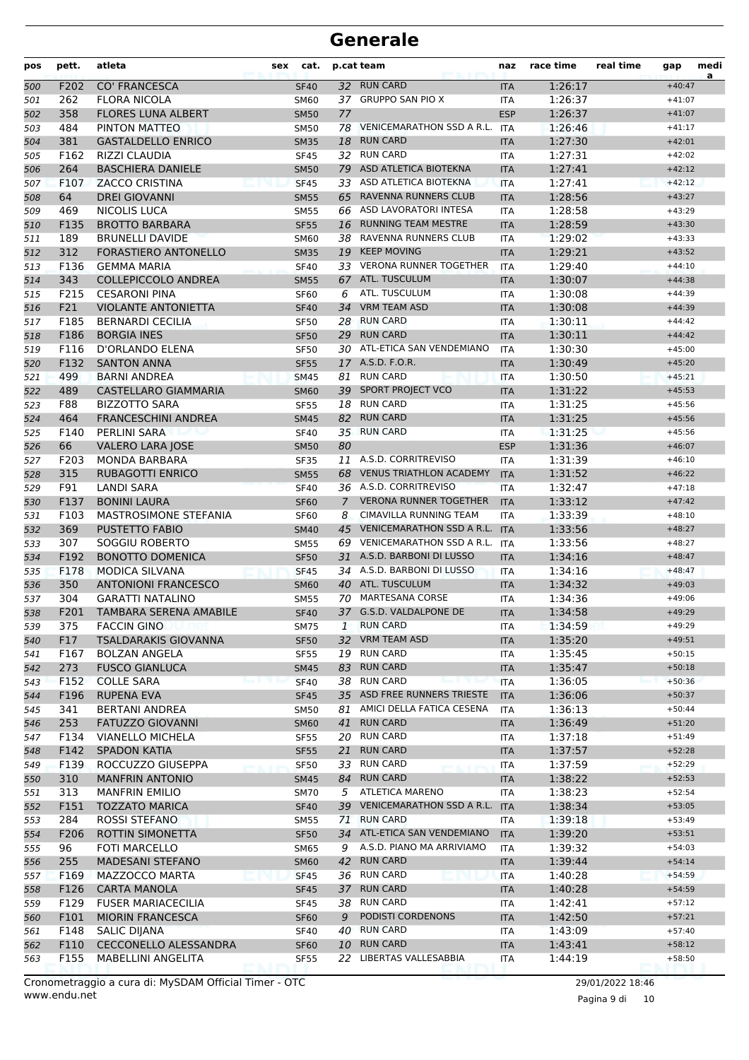| pos        | pett.       | atleta                                            | sex | cat.                       |                 | p.cat team                                    | naz                      | race time          | real time | gap                  | medi<br>a |
|------------|-------------|---------------------------------------------------|-----|----------------------------|-----------------|-----------------------------------------------|--------------------------|--------------------|-----------|----------------------|-----------|
| 500        | F202        | <b>CO' FRANCESCA</b>                              |     | <b>SF40</b>                | 32 <sup>2</sup> | <b>RUN CARD</b>                               | <b>ITA</b>               | 1:26:17            |           | $+40:47$             |           |
| 501        | 262         | <b>FLORA NICOLA</b>                               |     | <b>SM60</b>                |                 | 37 GRUPPO SAN PIO X                           | ITA                      | 1:26:37            |           | $+41:07$             |           |
| 502        | 358         | <b>FLORES LUNA ALBERT</b>                         |     | <b>SM50</b>                | 77              |                                               | <b>ESP</b>               | 1:26:37            |           | $+41:07$             |           |
| 503        | 484         | PINTON MATTEO                                     |     | <b>SM50</b>                | 78              | <b>VENICEMARATHON SSD A R.L.</b>              | <b>ITA</b>               | 1:26:46            |           | $+41:17$             |           |
| 504        | 381         | <b>GASTALDELLO ENRICO</b>                         |     | <b>SM35</b>                | 18              | <b>RUN CARD</b>                               | <b>ITA</b>               | 1:27:30            |           | $+42:01$             |           |
| 505        | F162        | <b>RIZZI CLAUDIA</b>                              |     | <b>SF45</b>                |                 | 32 RUN CARD                                   | <b>ITA</b>               | 1:27:31            |           | $+42:02$             |           |
| 506        | 264         | <b>BASCHIERA DANIELE</b>                          |     | <b>SM50</b>                | 79              | ASD ATLETICA BIOTEKNA                         | <b>ITA</b>               | 1:27:41            |           | $+42:12$             |           |
| 507        | F107        | <b>ZACCO CRISTINA</b>                             |     | <b>SF45</b>                |                 | 33 ASD ATLETICA BIOTEKNA                      | <b>ITA</b>               | 1:27:41            |           | $+42:12$             |           |
| 508        | 64          | <b>DREI GIOVANNI</b>                              |     | <b>SM55</b>                | 65              | RAVENNA RUNNERS CLUB                          | <b>ITA</b>               | 1:28:56            |           | $+43:27$             |           |
| 509        | 469         | <b>NICOLIS LUCA</b>                               |     | <b>SM55</b>                | 66              | <b>ASD LAVORATORI INTESA</b>                  | <b>ITA</b>               | 1:28:58            |           | $+43:29$             |           |
| 510        | F135        | <b>BROTTO BARBARA</b>                             |     | <b>SF55</b>                | 16              | <b>RUNNING TEAM MESTRE</b>                    | <b>ITA</b>               | 1:28:59            |           | $+43:30$             |           |
| 511        | 189         | <b>BRUNELLI DAVIDE</b>                            |     | SM60                       | 38              | RAVENNA RUNNERS CLUB                          | <b>ITA</b>               | 1:29:02            |           | $+43:33$             |           |
| 512        | 312         | FORASTIERO ANTONELLO                              |     | <b>SM35</b>                | 19              | <b>KEEP MOVING</b>                            | <b>ITA</b>               | 1:29:21            |           | $+43:52$             |           |
| 513        | F136        | <b>GEMMA MARIA</b>                                |     | <b>SF40</b>                |                 | 33 VERONA RUNNER TOGETHER                     | ITA                      | 1:29:40            |           | $+44:10$             |           |
| 514        | 343         | <b>COLLEPICCOLO ANDREA</b>                        |     | <b>SM55</b>                | 67              | ATL. TUSCULUM                                 | <b>ITA</b>               | 1:30:07            |           | $+44:38$             |           |
| 515        | F215        | <b>CESARONI PINA</b>                              |     | <b>SF60</b>                | 6               | ATL. TUSCULUM                                 | ITA                      | 1:30:08            |           | $+44:39$             |           |
| 516        | F21         | <b>VIOLANTE ANTONIETTA</b>                        |     | <b>SF40</b>                | 34              | <b>VRM TEAM ASD</b>                           | <b>ITA</b>               | 1:30:08            |           | $+44:39$             |           |
| 517        | F185        | <b>BERNARDI CECILIA</b>                           |     | <b>SF50</b>                |                 | 28 RUN CARD                                   | <b>ITA</b>               | 1:30:11            |           | $+44:42$             |           |
| 518        | F186        | <b>BORGIA INES</b>                                |     | <b>SF50</b>                | 29              | <b>RUN CARD</b>                               | <b>ITA</b>               | 1:30:11            |           | $+44:42$             |           |
| 519        | F116        | D'ORLANDO ELENA                                   |     | <b>SF50</b>                |                 | 30 ATL-ETICA SAN VENDEMIANO                   | <b>ITA</b>               | 1:30:30            |           | $+45:00$             |           |
| 520        | F132        | <b>SANTON ANNA</b>                                |     | <b>SF55</b>                |                 | 17 A.S.D. F.O.R.                              | <b>ITA</b>               | 1:30:49            |           | $+45:20$             |           |
| 521        | 499         | <b>BARNI ANDREA</b>                               |     | <b>SM45</b>                | 81              | <b>RUN CARD</b>                               | <b>ITA</b>               | 1:30:50            |           | $+45:21$             |           |
| 522        | 489         | CASTELLARO GIAMMARIA                              |     | <b>SM60</b>                | 39              | SPORT PROJECT VCO                             | <b>ITA</b>               | 1:31:22            |           | $+45:53$             |           |
| 523        | F88         | <b>BIZZOTTO SARA</b>                              |     | <b>SF55</b>                | 18              | <b>RUN CARD</b>                               | <b>ITA</b>               | 1:31:25            |           | $+45:56$             |           |
| 524        | 464         | <b>FRANCESCHINI ANDREA</b>                        |     | <b>SM45</b>                | 82              | <b>RUN CARD</b>                               | <b>ITA</b>               | 1:31:25            |           | $+45:56$             |           |
| 525        | F140        | PERLINI SARA                                      |     | <b>SF40</b>                |                 | 35 RUN CARD                                   | <b>ITA</b>               | 1:31:25            |           | $+45:56$             |           |
| 526        | 66          | <b>VALERO LARA JOSE</b>                           |     | <b>SM50</b>                | 80              |                                               | <b>ESP</b>               | 1:31:36            |           | $+46:07$             |           |
| 527        | F203        | <b>MONDA BARBARA</b>                              |     | <b>SF35</b>                | 11              | A.S.D. CORRITREVISO                           | <b>ITA</b>               | 1:31:39            |           | $+46:10$             |           |
| 528        | 315         | <b>RUBAGOTTI ENRICO</b>                           |     | <b>SM55</b>                | 68              | <b>VENUS TRIATHLON ACADEMY</b>                | <b>ITA</b>               | 1:31:52            |           | $+46:22$             |           |
| 529        | F91         | LANDI SARA                                        |     | <b>SF40</b>                |                 | 36 A.S.D. CORRITREVISO                        | <b>ITA</b>               | 1:32:47            |           | $+47:18$             |           |
| 530        | F137        | <b>BONINI LAURA</b>                               |     | <b>SF60</b>                | $\overline{7}$  | <b>VERONA RUNNER TOGETHER</b>                 | <b>ITA</b>               | 1:33:12            |           | $+47:42$             |           |
| 531        | F103        | <b>MASTROSIMONE STEFANIA</b>                      |     | <b>SF60</b>                | 8               | <b>CIMAVILLA RUNNING TEAM</b>                 | <b>ITA</b>               | 1:33:39            |           | $+48:10$             |           |
| 532        | 369         | <b>PUSTETTO FABIO</b>                             |     | <b>SM40</b>                | 45              | <b>VENICEMARATHON SSD A R.L.</b>              | <b>ITA</b>               | 1:33:56            |           | $+48:27$             |           |
| 533        | 307         | SOGGIU ROBERTO                                    |     | <b>SM55</b>                | 69              | VENICEMARATHON SSD A R.L.                     | ITA                      | 1:33:56            |           | $+48:27$             |           |
| 534        | F192        | <b>BONOTTO DOMENICA</b>                           |     | <b>SF50</b>                | 31              | A.S.D. BARBONI DI LUSSO                       | <b>ITA</b>               | 1:34:16            |           | $+48:47$             |           |
| 535        | F178        | <b>MODICA SILVANA</b>                             |     | <b>SF45</b>                |                 | 34 A.S.D. BARBONI DI LUSSO                    | <b>ITA</b>               | 1:34:16            |           | $+48:47$             |           |
| 536        | 350         | <b>ANTONIONI FRANCESCO</b>                        |     | <b>SM60</b>                |                 | 40 ATL. TUSCULUM                              | <b>ITA</b>               | 1:34:32            |           | $+49:03$             |           |
| 537        | 304         | <b>GARATTI NATALINO</b>                           |     | <b>SM55</b>                |                 | 70 MARTESANA CORSE<br>37 G.S.D. VALDALPONE DE | <b>ITA</b>               | 1:34:36            |           | $+49:06$             |           |
| 538        | F201        | TAMBARA SERENA AMABILE                            |     | <b>SF40</b>                |                 | <b>RUN CARD</b>                               | <b>ITA</b>               | 1:34:58            |           | $+49:29$             |           |
| 539        | 375         | <b>FACCIN GINO</b><br><b>TSALDARAKIS GIOVANNA</b> |     | <b>SM75</b>                | 1               | <b>VRM TEAM ASD</b>                           | ITA                      | 1:34:59<br>1:35:20 |           | $+49:29$             |           |
| 540        | F17         |                                                   |     | <b>SF50</b>                | 32              | 19 RUN CARD                                   | <b>ITA</b>               |                    |           | $+49:51$<br>$+50:15$ |           |
| 541        | F167        | <b>BOLZAN ANGELA</b>                              |     | <b>SF55</b>                | 83              | <b>RUN CARD</b>                               | ITA                      | 1:35:45            |           |                      |           |
| 542        | 273<br>F152 | <b>FUSCO GIANLUCA</b><br><b>COLLE SARA</b>        |     | <b>SM45</b><br><b>SF40</b> |                 | 38 RUN CARD                                   | <b>ITA</b><br><b>ITA</b> | 1:35:47<br>1:36:05 |           | $+50:18$<br>$+50:36$ |           |
| 543        | F196        | <b>RUPENA EVA</b>                                 |     |                            |                 | 35 ASD FREE RUNNERS TRIESTE                   |                          | 1:36:06            |           | $+50:37$             |           |
| 544        | 341         | <b>BERTANI ANDREA</b>                             |     | <b>SF45</b>                | 81              | AMICI DELLA FATICA CESENA                     | <b>ITA</b>               | 1:36:13            |           | $+50:44$             |           |
| 545<br>546 | 253         | <b>FATUZZO GIOVANNI</b>                           |     | <b>SM50</b><br><b>SM60</b> | 41              | <b>RUN CARD</b>                               | ITA<br><b>ITA</b>        | 1:36:49            |           | $+51:20$             |           |
| 547        | F134        | <b>VIANELLO MICHELA</b>                           |     | <b>SF55</b>                |                 | 20 RUN CARD                                   | ITA                      | 1:37:18            |           | $+51:49$             |           |
|            | F142        | <b>SPADON KATIA</b>                               |     | <b>SF55</b>                | 21              | <b>RUN CARD</b>                               | <b>ITA</b>               | 1:37:57            |           | $+52:28$             |           |
| 548<br>549 | F139        | ROCCUZZO GIUSEPPA                                 |     | <b>SF50</b>                |                 | 33 RUN CARD                                   | <b>ITA</b>               | 1:37:59            |           | $+52:29$             |           |
| 550        | 310         | <b>MANFRIN ANTONIO</b>                            |     | <b>SM45</b>                |                 | 84 RUN CARD                                   | <b>ITA</b>               | 1:38:22            |           | $+52:53$             |           |
| 551        | 313         | <b>MANFRIN EMILIO</b>                             |     | <b>SM70</b>                | 5               | <b>ATLETICA MARENO</b>                        | ITA                      | 1:38:23            |           | $+52:54$             |           |
| 552        | F151        | <b>TOZZATO MARICA</b>                             |     | <b>SF40</b>                |                 | 39 VENICEMARATHON SSD A R.L. ITA              |                          | 1:38:34            |           | $+53:05$             |           |
| 553        | 284         | ROSSI STEFANO                                     |     | SM55                       | 71              | <b>RUN CARD</b>                               | ITA                      | 1:39:18            |           | $+53:49$             |           |
| 554        | F206        | ROTTIN SIMONETTA                                  |     | <b>SF50</b>                |                 | 34 ATL-ETICA SAN VENDEMIANO                   | <b>ITA</b>               | 1:39:20            |           | $+53:51$             |           |
| 555        | 96          | FOTI MARCELLO                                     |     | <b>SM65</b>                | 9               | A.S.D. PIANO MA ARRIVIAMO                     | <b>ITA</b>               | 1:39:32            |           | $+54:03$             |           |
| 556        | 255         | <b>MADESANI STEFANO</b>                           |     | <b>SM60</b>                | 42              | <b>RUN CARD</b>                               | <b>ITA</b>               | 1:39:44            |           | $+54:14$             |           |
| 557        | F169        | MAZZOCCO MARTA                                    |     | <b>SF45</b>                |                 | 36 RUN CARD                                   | ITA                      | 1:40:28            |           | $+54:59$             |           |
| 558        | F126        | <b>CARTA MANOLA</b>                               |     | <b>SF45</b>                | 37              | <b>RUN CARD</b>                               | <b>ITA</b>               | 1:40:28            |           | $+54:59$             |           |
| 559        | F129        | <b>FUSER MARIACECILIA</b>                         |     | <b>SF45</b>                |                 | 38 RUN CARD                                   | ITA                      | 1:42:41            |           | $+57:12$             |           |
| 560        | F101        | <b>MIORIN FRANCESCA</b>                           |     | <b>SF60</b>                | 9               | PODISTI CORDENONS                             | <b>ITA</b>               | 1:42:50            |           | $+57:21$             |           |
| 561        | F148        | <b>SALIC DIJANA</b>                               |     | <b>SF40</b>                |                 | 40 RUN CARD                                   | ITA                      | 1:43:09            |           | $+57:40$             |           |
| 562        | F110        | CECCONELLO ALESSANDRA                             |     | <b>SF60</b>                |                 | 10 RUN CARD                                   | <b>ITA</b>               | 1:43:41            |           | $+58:12$             |           |
| 563        | F155        | MABELLINI ANGELITA                                |     | <b>SF55</b>                |                 | 22 LIBERTAS VALLESABBIA                       | ITA                      | 1:44:19            |           | $+58:50$             |           |
|            |             |                                                   |     |                            |                 |                                               |                          |                    |           |                      |           |

Pagina 9 di 10